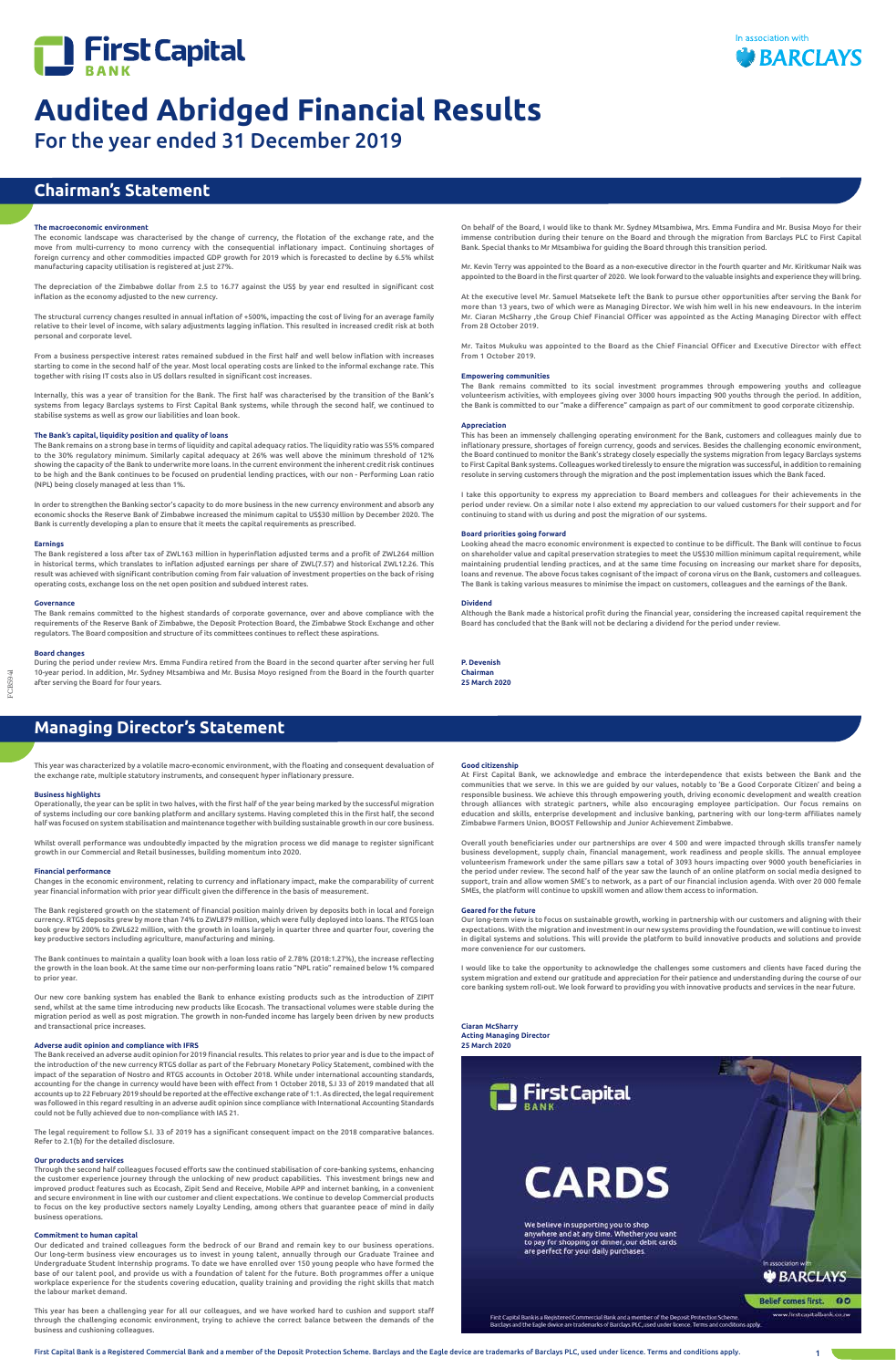



For the year ended 31 December 2019

First Capital Bank is a Registered Commercial Bank and a member of the Deposit Protection Scheme. Barclays and the Eagle device are trademarks of Barclays PLC, used under licence. Terms and conditions apply. 1

# **Chairman's Statement**

# **Managing Director's Statement**

# **The macroeconomic environment**

The economic landscape was characterised by the change of currency, the flotation of the exchange rate, and the move from multi-currency to mono currency with the consequential inflationary impact. Continuing shortages of foreign currency and other commodities impacted GDP growth for 2019 which is forecasted to decline by 6.5% whilst manufacturing capacity utilisation is registered at just 27%.

The depreciation of the Zimbabwe dollar from 2.5 to 16.77 against the US\$ by year end resulted in significant cost inflation as the economy adjusted to the new currency.

The structural currency changes resulted in annual inflation of +500%, impacting the cost of living for an average family relative to their level of income, with salary adjustments lagging inflation. This resulted in increased credit risk at both personal and corporate level.

From a business perspective interest rates remained subdued in the first half and well below inflation with increases starting to come in the second half of the year. Most local operating costs are linked to the informal exchange rate. This together with rising IT costs also in US dollars resulted in significant cost increases.

Internally, this was a year of transition for the Bank. The first half was characterised by the transition of the Bank's systems from legacy Barclays systems to First Capital Bank systems, while through the second half, we continued to stabilise systems as well as grow our liabilities and loan book.

# **The Bank's capital, liquidity position and quality of loans**

The Bank remains on a strong base in terms of liquidity and capital adequacy ratios. The liquidity ratio was 55% compared to the 30% regulatory minimum. Similarly capital adequacy at 26% was well above the minimum threshold of 12% showing the capacity of the Bank to underwrite more loans. In the current environment the inherent credit risk continues to be high and the Bank continues to be focused on prudential lending practices, with our non - Performing Loan ratio (NPL) being closely managed at less than 1%.

In order to strengthen the Banking sector's capacity to do more business in the new currency environment and absorb any economic shocks the Reserve Bank of Zimbabwe increased the minimum capital to US\$30 million by December 2020. The Bank is currently developing a plan to ensure that it meets the capital requirements as prescribed.

#### **Earnings**

The Bank registered a loss after tax of ZWL163 million in hyperinflation adjusted terms and a profit of ZWL264 million in historical terms, which translates to inflation adjusted earnings per share of ZWL(7.57) and historical ZWL12.26. This result was achieved with significant contribution coming from fair valuation of investment properties on the back of rising operating costs, exchange loss on the net open position and subdued interest rates.

#### **Governance**

The Bank remains committed to the highest standards of corporate governance, over and above compliance with the requirements of the Reserve Bank of Zimbabwe, the Deposit Protection Board, the Zimbabwe Stock Exchange and other regulators. The Board composition and structure of its committees continues to reflect these aspirations.

#### **Board changes**

During the period under review Mrs. Emma Fundira retired from the Board in the second quarter after serving her full 10-year period. In addition, Mr. Sydney Mtsambiwa and Mr. Busisa Moyo resigned from the Board in the fourth quarter after serving the Board for four years.

FCB594

This year was characterized by a volatile macro-economic environment, with the floating and consequent devaluation of the exchange rate, multiple statutory instruments, and consequent hyper inflationary pressure.

# **Business highlights**

Operationally, the year can be split in two halves, with the first half of the year being marked by the successful migration of systems including our core banking platform and ancillary systems. Having completed this in the first half, the second half was focused on system stabilisation and maintenance together with building sustainable growth in our core business.

Whilst overall performance was undoubtedly impacted by the migration process we did manage to register significant growth in our Commercial and Retail businesses, building momentum into 2020.

# **Financial performance**

Changes in the economic environment, relating to currency and inflationary impact, make the comparability of current year financial information with prior year difficult given the difference in the basis of measurement.

The Bank registered growth on the statement of financial position mainly driven by deposits both in local and foreign currency. RTGS deposits grew by more than 74% to ZWL879 million, which were fully deployed into loans. The RTGS loan book grew by 200% to ZWL622 million, with the growth in loans largely in quarter three and quarter four, covering the key productive sectors including agriculture, manufacturing and mining.

The Bank continues to maintain a quality loan book with a loan loss ratio of 2.78% (2018:1.27%), the increase reflecting the growth in the loan book. At the same time our non-performing loans ratio "NPL ratio" remained below 1% compared to prior year.

Our new core banking system has enabled the Bank to enhance existing products such as the introduction of ZIPIT send, whilst at the same time introducing new products like Ecocash. The transactional volumes were stable during the migration period as well as post migration. The growth in non-funded income has largely been driven by new products and transactional price increases.

# **Adverse audit opinion and compliance with IFRS**

The Bank received an adverse audit opinion for 2019 financial results. This relates to prior year and is due to the impact of the introduction of the new currency RTGS dollar as part of the February Monetary Policy Statement, combined with the impact of the separation of Nostro and RTGS accounts in October 2018. While under international accounting standards, accounting for the change in currency would have been with effect from 1 October 2018, S.I.33 of 2019 mand accounts up to 22 February 2019 should be reported at the effective exchange rate of 1:1. As directed, the legal requirement was followed in this regard resulting in an adverse audit opinion since compliance with International Accounting Standards could not be fully achieved due to non-compliance with IAS 21.

The legal requirement to follow S.I. 33 of 2019 has a significant consequent impact on the 2018 comparative balances. Refer to 2.1(b) for the detailed disclosure.

# **Our products and services**

Through the second half colleagues focused efforts saw the continued stabilisation of core-banking systems, enhancing the customer experience journey through the unlocking of new product capabilities. This investment brings new and improved product features such as Ecocash, Zipit Send and Receive, Mobile APP and internet banking, in a convenient and secure environment in line with our customer and client expectations. We continue to develop Commercial products to focus on the key productive sectors namely Loyalty Lending, among others that guarantee peace of mind in daily business operations.

### **Commitment to human capital**

Our dedicated and trained colleagues form the bedrock of our Brand and remain key to our business operations. Our long-term business view encourages us to invest in young talent, annually through our Graduate Trainee and Undergraduate Student Internship programs. To date we have enrolled over 150 young people who have formed the base of our talent pool, and provide us with a foundation of talent for the future. Both programmes offer a unique workplace experience for the students covering education, quality training and providing the right skills that match the labour market demand.

This year has been a challenging year for all our colleagues, and we have worked hard to cushion and support staff through the challenging economic environment, trying to achieve the correct balance between the demands of the business and cushioning colleagues.



# **Good citizenship**

At First Capital Bank, we acknowledge and embrace the interdependence that exists between the Bank and the communities that we serve. In this we are guided by our values, notably to 'Be a Good Corporate Citizen' and being a responsible business. We achieve this through empowering youth, driving economic development and wealth creation through alliances with strategic partners, while also encouraging employee participation. Our focus remains on education and skills, enterprise development and inclusive banking, partnering with our long-term affiliates namely Zimbabwe Farmers Union, BOOST Fellowship and Junior Achievement Zimbabwe.

Overall youth beneficiaries under our partnerships are over 4 500 and were impacted through skills transfer namely business development, supply chain, financial management, work readiness and people skills. The annual employee volunteerism framework under the same pillars saw a total of 3093 hours impacting over 9000 youth beneficiaries in the period under review. The second half of the year saw the launch of an online platform on social media designed to support, train and allow women SME's to network, as a part of our financial inclusion agenda. With over 20 000 female SMEs, the platform will continue to upskill women and allow them access to information.

# **Geared for the future**

Our long-term view is to focus on sustainable growth, working in partnership with our customers and aligning with their expectations. With the migration and investment in our new systems providing the foundation, we will continue to invest in digital systems and solutions. This will provide the platform to build innovative products and solutions and provide more convenience for our customers.

I would like to take the opportunity to acknowledge the challenges some customers and clients have faced during the system migration and extend our gratitude and appreciation for their patience and understanding during the course of our core banking system roll-out. We look forward to providing you with innovative products and services in the near future.

**Ciaran McSharry Acting Managing Director 25 March 2020**

**ENGINE** 

On behalf of the Board, I would like to thank Mr. Sydney Mtsambiwa, Mrs. Emma Fundira and Mr. Busisa Moyo for their immense contribution during their tenure on the Board and through the migration from Barclays PLC to First Capital Bank. Special thanks to Mr Mtsambiwa for guiding the Board through this transition period.

Mr. Kevin Terry was appointed to the Board as a non-executive director in the fourth quarter and Mr. Kiritkumar Naik was appointed to the Board in the first quarter of 2020. We look forward to the valuable insights and experience they will bring.

At the executive level Mr. Samuel Matsekete left the Bank to pursue other opportunities after serving the Bank for more than 13 years, two of which were as Managing Director. We wish him well in his new endeavours. In the interim Mr. Ciaran McSharry ,the Group Chief Financial Officer was appointed as the Acting Managing Director with effect from 28 October 2019.

Mr. Taitos Mukuku was appointed to the Board as the Chief Financial Officer and Executive Director with effect from 1 October 2019.

#### **Empowering communities**

The Bank remains committed to its social investment programmes through empowering youths and colleague volunteerism activities, with employees giving over 3000 hours impacting 900 youths through the period. In addition, the Bank is committed to our "make a difference" campaign as part of our commitment to good corporate citizenship.

# **Appreciation**

This has been an immensely challenging operating environment for the Bank, customers and colleagues mainly due to inflationary pressure, shortages of foreign currency, goods and services. Besides the challenging economic environment, the Board continued to monitor the Bank's strategy closely especially the systems migration from legacy Barclays systems to First Capital Bank systems. Colleagues worked tirelessly to ensure the migration was successful, in addition to remaining resolute in serving customers through the migration and the post implementation issues which the Bank faced.

I take this opportunity to express my appreciation to Board members and colleagues for their achievements in the period under review. On a similar note I also extend my appreciation to our valued customers for their support and for continuing to stand with us during and post the migration of our systems.

# **Board priorities going forward**

Looking ahead the macro economic environment is expected to continue to be difficult. The Bank will continue to focus on shareholder value and capital preservation strategies to meet the US\$30 million minimum capital requirement, while maintaining prudential lending practices, and at the same time focusing on increasing our market share for deposits, loans and revenue. The above focus takes cognisant of the impact of corona virus on the Bank, customers and colleagues. The Bank is taking various measures to minimise the impact on customers, colleagues and the earnings of the Bank.

## **Dividend**

Although the Bank made a historical profit during the financial year, considering the increased capital requirement the Board has concluded that the Bank will not be declaring a dividend for the period under review.

**P. Devenish Chairman 25 March 2020**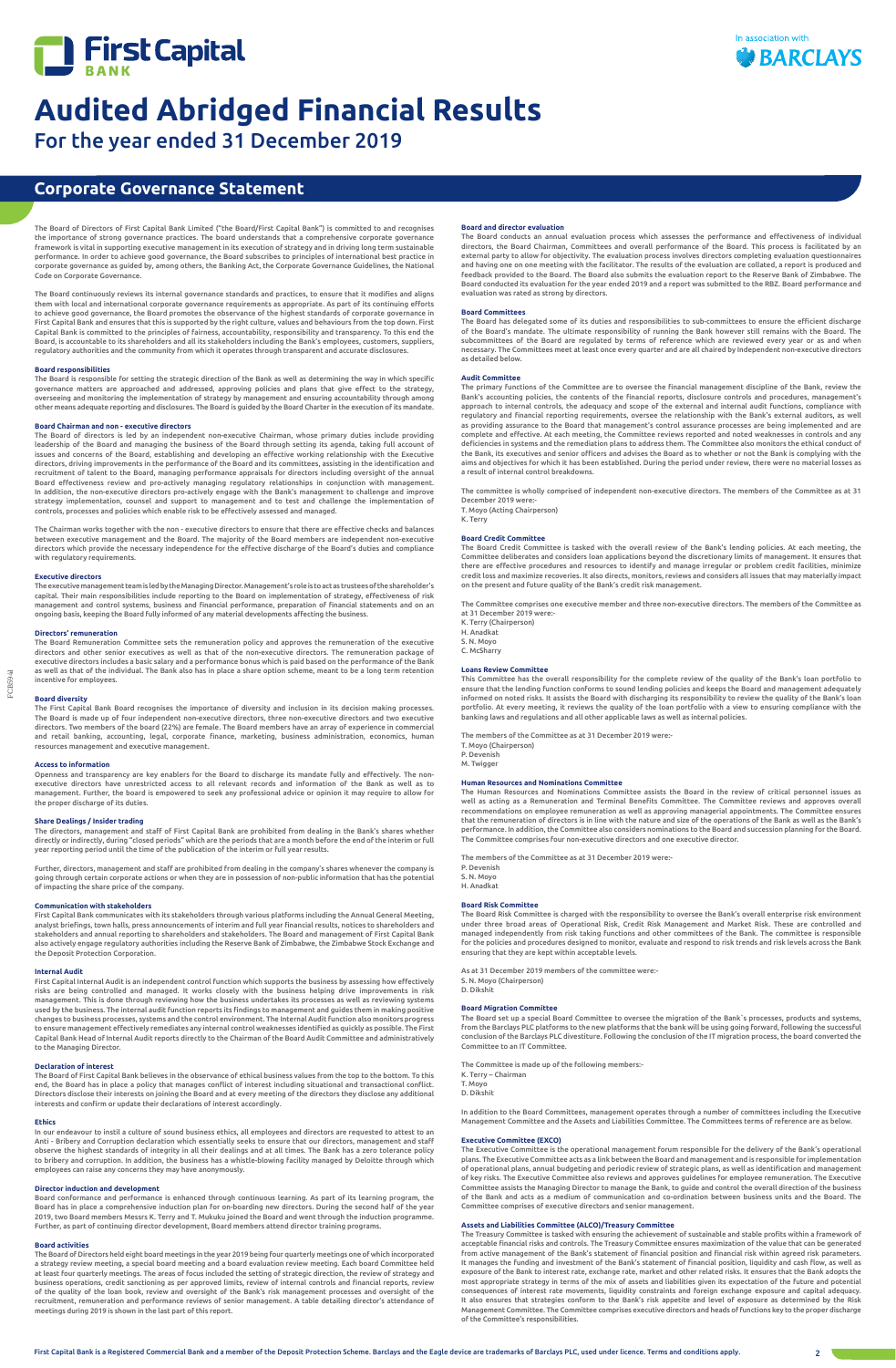



For the year ended 31 December 2019

FCB5941

The Board of Directors of First Capital Bank Limited ("the Board/First Capital Bank") is committed to and recognises the importance of strong governance practices. The board understands that a comprehensive corporate governance framework is vital in supporting executive management in its execution of strategy and in driving long term sustainable performance. In order to achieve good governance, the Board subscribes to principles of international best practice in corporate governance as guided by, among others, the Banking Act, the Corporate Governance Guidelines, the National Code on Corporate Governance.

The Board continuously reviews its internal governance standards and practices, to ensure that it modifies and aligns them with local and international corporate governance requirements as appropriate. As part of its continuing efforts to achieve good governance, the Board promotes the observance of the highest standards of corporate governance in First Capital Bank and ensures that this is supported by the right culture, values and behaviours from the top down. First Capital Bank is committed to the principles of fairness, accountability, responsibility and transparency. To this end the Board, is accountable to its shareholders and all its stakeholders including the Bank's employees, customers, suppliers, regulatory authorities and the community from which it operates through transparent and accurate disclosures.

The Board of directors is led by an independent non-executive Chairman, whose primary duties include providing<br>leadership of the Board and managing the business of the Board through setting its agenda, taking full account issues and concerns of the Board, establishing and developing an effective working relationship with the Executive directors, driving improvements in the performance of the Board and its committees, assisting in the identification and recruitment of talent to the Board, managing performance appraisals for directors including oversight of the annual Board effectiveness review and pro-actively managing regulatory relationships in conjunction with management. In addition, the non-executive directors pro-actively engage with the Bank's management to challenge and improve strategy implementation, counsel and support to management and to test and challenge the implementation of controls, processes and policies which enable risk to be effectively assessed and managed.

# **Board responsibilities**

The Board is responsible for setting the strategic direction of the Bank as well as determining the way in which specific governance matters are approached and addressed, approving policies and plans that give effect to the strategy,<br>overseeing and monitoring the implementation of strategy by management and ensuring accountability through amo other means adequate reporting and disclosures. The Board is guided by the Board Charter in the execution of its mandate.

# **Board Chairman and non - executive directors**

The Chairman works together with the non - executive directors to ensure that there are effective checks and balances between executive management and the Board. The majority of the Board members are independent non-executive directors which provide the necessary independence for the effective discharge of the Board's duties and compliance with regulatory requirements.

# **Executive directors**

The executive management team is led by the Managing Director. Management's role is to act as trustees of the shareholder's capital. Their main responsibilities include reporting to the Board on implementation of strategy, effectiveness of risk management and control systems, business and financial performance, preparation of financial statements and on an ongoing basis, keeping the Board fully informed of any material developments affecting the business.

# **Directors' remuneration**

The Board Remuneration Committee sets the remuneration policy and approves the remuneration of the executive directors and other senior executives as well as that of the non-executive directors. The remuneration package of executive directors includes a basic salary and a performance bonus which is paid based on the performance of the Bank as well as that of the individual. The Bank also has in place a share option scheme, meant to be a long term retention incentive for employees.

# **Board diversity**

The First Capital Bank Board recognises the importance of diversity and inclusion in its decision making processes. The Board is made up of four independent non-executive directors, three non-executive directors and two executive<br>directors. Two members of the board (22%) are female. The Board members have an array of experience in comme and retail banking, accounting, legal, corporate finance, marketing, business administration, economics, human resources management and executive management.

# **Access to information**

Openness and transparency are key enablers for the Board to discharge its mandate fully and effectively. The nonexecutive directors have unrestricted access to all relevant records and information of the Bank as well as to management. Further, the board is empowered to seek any professional advice or opinion it may require to allow for the proper discharge of its duties.

# **Share Dealings / Insider trading**

The directors, management and staff of First Capital Bank are prohibited from dealing in the Bank's shares whether directly or indirectly, during "closed periods" which are the periods that are a month before the end of the interim or full year reporting period until the time of the publication of the interim or full year results.

Further, directors, management and staff are prohibited from dealing in the company's shares whenever the company is going through certain corporate actions or when they are in possession of non-public information that has the potential of impacting the share price of the company.

# **Communication with stakeholders**

First Capital Bank communicates with its stakeholders through various platforms including the Annual General Meeting, analyst briefings, town halls, press announcements of interim and full year financial results, notices to shareholders and stakeholders and annual reporting to shareholders and stakeholders. The Board and management of First Capital Bank also actively engage regulatory authorities including the Reserve Bank of Zimbabwe, the Zimbabwe Stock Exchange and the Deposit Protection Corporation.

This Committee has the overall responsibility for the complete review of the quality of the Bank's loan portfolio to ensure that the lending function conforms to sound lending policies and keeps the Board and management adequately informed on noted risks. It assists the Board with discharging its responsibility to review the quality of the Bank's loan portfolio. At every meeting, it reviews the quality of the loan portfolio with a view to ensuring compliance with the<br>banking laws and regulations and all other applicable laws as well as internal policies.

# **Internal Audit**

First Capital Internal Audit is an independent control function which supports the business by assessing how effectively risks are being controlled and managed. It works closely with the business helping drive improvements in risk management. This is done through reviewing how the business undertakes its processes as well as reviewing systems<br>used by the business. The internal audit function reports its findings to management and guides them in maki changes to business processes, systems and the control environment. The Internal Audit function also monitors progress to ensure management effectively remediates any internal control weaknesses identified as quickly as possible. The First Capital Bank Head of Internal Audit reports directly to the Chairman of the Board Audit Committee and administratively to the Managing Director.

# **Declaration of interest**

The Board of First Capital Bank believes in the observance of ethical business values from the top to the bottom. To this end, the Board has in place a policy that manages conflict of interest including situational and transactional conflict.

Directors disclose their interests on joining the Board and at every meeting of the directors they disclose any additional interests and confirm or update their declarations of interest accordingly.

### **Ethics**

In our endeavour to instil a culture of sound business ethics, all employees and directors are requested to attest to an Anti - Bribery and Corruption declaration which essentially seeks to ensure that our directors, management and staff observe the highest standards of integrity in all their dealings and at all times. The Bank has a zero tolerance policy to bribery and corruption. In addition, the business has a whistle-blowing facility managed by Deloitte through which employees can raise any concerns they may have anonymously.

### **Director induction and development**

Board conformance and performance is enhanced through continuous learning. As part of its learning program, the Board has in place a comprehensive induction plan for on-boarding new directors. During the second half of the year 2019, two Board members Messrs K. Terry and T. Mukuku joined the Board and went through the induction programme. Further, as part of continuing director development, Board members attend director training programs.

# **Board activities**

The Board of Directors held eight board meetings in the year 2019 being four quarterly meetings one of which incorporated a strategy review meeting, a special board meeting and a board evaluation review meeting. Each board Committee held at least four quarterly meetings. The areas of focus included the setting of strategic direction, the review of strategy and business operations, credit sanctioning as per approved limits, review of internal controls and financial reports, review of the quality of the loan book, review and oversight of the Bank's risk management processes and oversight of the recruitment, remuneration and performance reviews of senior management. A table detailing director's attendance of meetings during 2019 is shown in the last part of this report.

# **Corporate Governance Statement**

# **Board and director evaluation**

The Board conducts an annual evaluation process which assesses the performance and effectiveness of individual directors, the Board Chairman, Committees and overall performance of the Board. This process is facilitated by an external party to allow for objectivity. The evaluation process involves directors completing evaluation questionnaires<br>and having one on one meeting with the facilitator. The results of the evaluation are collated, a repo feedback provided to the Board. The Board also submits the evaluation report to the Reserve Bank of Zimbabwe. The Board conducted its evaluation for the year ended 2019 and a report was submitted to the RBZ. Board performance and evaluation was rated as strong by directors.

### **Board Committees**

The Board has delegated some of its duties and responsibilities to sub-committees to ensure the efficient discharge of the Board's mandate. The ultimate responsibility of running the Bank however still remains with the Board. The subcommittees of the Board are regulated by terms of reference which are reviewed every year or as and when necessary. The Committees meet at least once every quarter and are all chaired by Independent non-executive directors as detailed below.

### **Audit Committee**

The primary functions of the Committee are to oversee the financial management discipline of the Bank, review the Bank's accounting policies, the contents of the financial reports, disclosure controls and procedures, management's approach to internal controls, the adequacy and scope of the external and internal audit functions, compliance with regulatory and financial reporting requirements, oversee the relationship with the Bank's external auditors, as well as providing assurance to the Board that management's control assurance processes are being implemented and are complete and effective. At each meeting, the Committee reviews reported and noted weaknesses in controls and any deficiencies in systems and the remediation plans to address them. The Committee also monitors the ethical conduct of the Bank, its executives and senior officers and advises the Board as to whether or not the Bank is complying with the aims and objectives for which it has been established. During the period under review, there were no material losses as a result of internal control breakdowns.

The committee is wholly comprised of independent non-executive directors. The members of the Committee as at 31 December 2019 were:- T. Moyo (Acting Chairperson)

K. Terry

# **Board Credit Committee**

The Board Credit Committee is tasked with the overall review of the Bank's lending policies. At each meeting, the Committee deliberates and considers loan applications beyond the discretionary limits of management. It ensures that there are effective procedures and resources to identify and manage irregular or problem credit facilities, minimize<br>credit loss and maximize recoveries. It also directs, monitors, reviews and considers all issues that may on the present and future quality of the Bank's credit risk management.

The Committee comprises one executive member and three non-executive directors. The members of the Committee as at 31 December 2019 were:-

K. Terry (Chairperson) H. Anadkat

S. N. Moyo

C. McSharry

# **Loans Review Committee**

The members of the Committee as at 31 December 2019 were:- T. Moyo (Chairperson) P. Devenish M. Twigger

#### **Human Resources and Nominations Committee**

The Human Resources and Nominations Committee assists the Board in the review of critical personnel issues as well as acting as a Remuneration and Terminal Benefits Committee. The Committee reviews and approves overall recommendations on employee remuneration as well as approving managerial appointments. The Committee ensures that the remuneration of directors is in line with the nature and size of the operations of the Bank as well as the Bank's performance. In addition, the Committee also considers nominations to the Board and succession planning for the Board. The Committee comprises four non-executive directors and one executive director.

The members of the Committee as at 31 December 2019 were:- P. Devenish S. N. Moyo H. Anadkat

### **Board Risk Committee**

The Board Risk Committee is charged with the responsibility to oversee the Bank's overall enterprise risk environment under three broad areas of Operational Risk, Credit Risk Management and Market Risk. These are controlled and managed independently from risk taking functions and other committees of the Bank. The committee is responsible for the policies and procedures designed to monitor, evaluate and respond to risk trends and risk levels across the Bank ensuring that they are kept within acceptable levels.

As at 31 December 2019 members of the committee were:- S. N. Moyo (Chairperson) D. Dikshit

## **Board Migration Committee**

The Board set up a special Board Committee to oversee the migration of the Bank`s processes, products and systems, from the Barclays PLC platforms to the new platforms that the bank will be using going forward, following the successful conclusion of the Barclays PLC divestiture. Following the conclusion of the IT migration process, the board converted the Committee to an IT Committee.

The Committee is made up of the following members:- K. Terry – Chairman T. Moyo

D. Dikshit

In addition to the Board Committees, management operates through a number of committees including the Executive Management Committee and the Assets and Liabilities Committee. The Committees terms of reference are as below.

### **Executive Committee (EXCO)**

The Executive Committee is the operational management forum responsible for the delivery of the Bank's operational plans. The Executive Committee acts as a link between the Board and management and is responsible for implementation of operational plans, annual budgeting and periodic review of strategic plans, as well as identification and management of key risks. The Executive Committee also reviews and approves guidelines for employee remuneration. The Executive Committee assists the Managing Director to manage the Bank, to guide and control the overall direction of the business of the Bank and acts as a medium of communication and co-ordination between business units and the Board. The Committee comprises of executive directors and senior management.

### **Assets and Liabilities Committee (ALCO)/Treasury Committee**

The Treasury Committee is tasked with ensuring the achievement of sustainable and stable profits within a framework of acceptable financial risks and controls. The Treasury Committee ensures maximization of the value that can be generated from active management of the Bank's statement of financial position and financial risk within agreed risk parameters. It manages the funding and investment of the Bank's statement of financial position, liquidity and cash flow, as well as exposure of the Bank to interest rate, exchange rate, market and other related risks. It ensures that the Bank adopts the most appropriate strategy in terms of the mix of assets and liabilities given its expectation of the future and potential consequences of interest rate movements, liquidity constraints and foreign exchange exposure and capital adequacy. It also ensures that strategies conform to the Bank's risk appetite and level of exposure as determined by the Risk Management Committee. The Committee comprises executive directors and heads of functions key to the proper discharge of the Committee's responsibilities.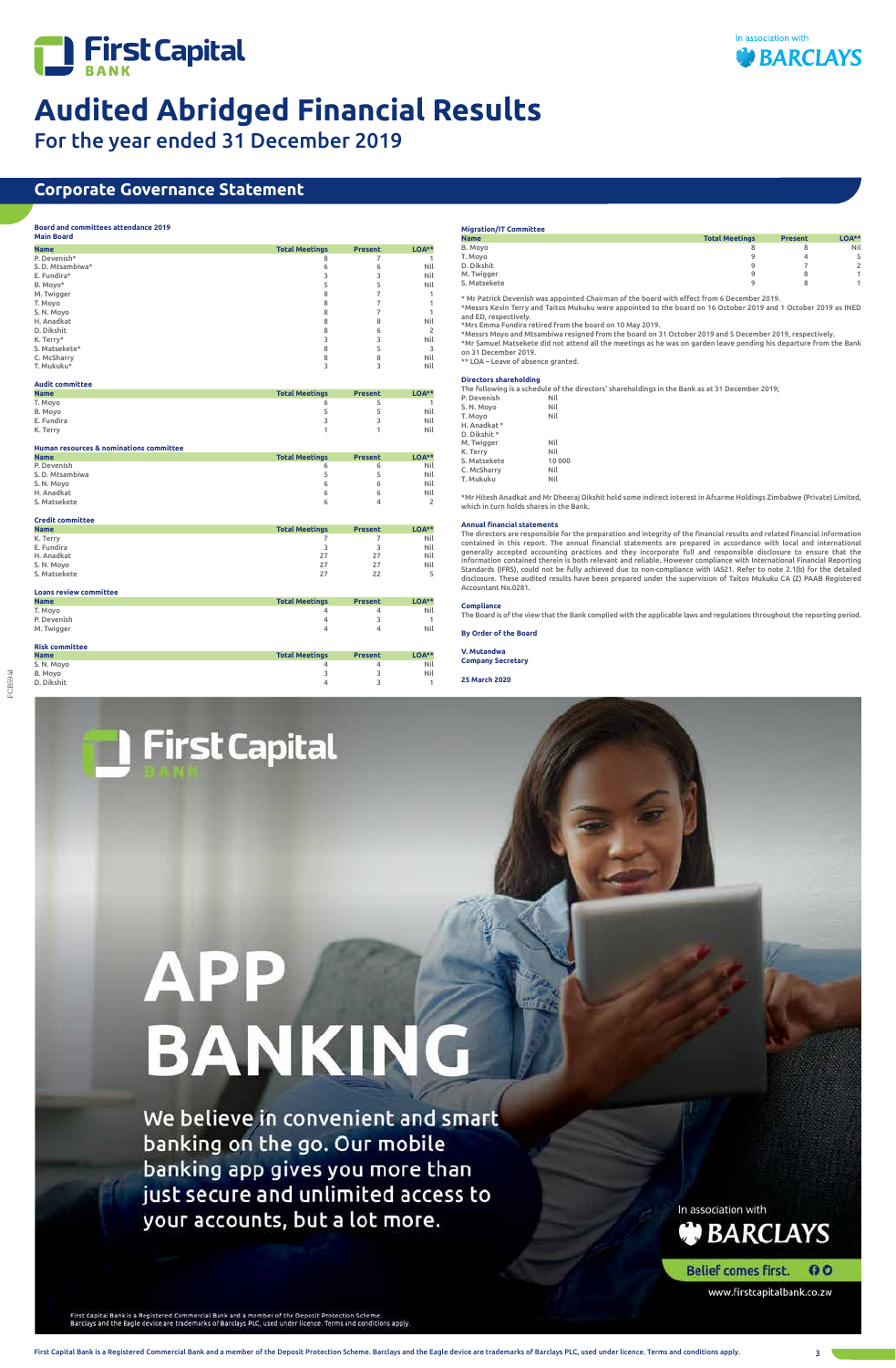



For the year ended 31 December 2019

FCB5941

We believe in convenient and smart banking on the go. Our mobile banking app gives you more than just secure and unlimited access to your accounts, but a lot more.

**BANKING** 

In association with BARCLAYS

**Belief comes first.** 00

www.firstcapitalbank.co.zw

First Capital Bank is a Registered Commercial Bank and a member of the Deposit Protection Scheme Barclays and the Eagle device are trademarks of Barclays PLC, used under licence. Terms and conditions apply

First Capital Bank is a Registered Commercial Bank and a member of the Deposit Protection Scheme. Barclays and the Eagle device are trademarks of Barclays PLC, used under licence. Terms and conditions apply. 3

# **Corporate Governance Statement**

# **Board and committees attendance 2019**

| <b>Total Meetings</b><br>LOA**<br><b>Present</b><br><b>Name</b><br>P. Devenish*<br>8<br>7<br>1<br>S. D. Mtsambiwa*<br>6<br>Nil<br>6<br>E. Fundira*<br>3<br>3<br>Nil<br>B. Moyo*<br>5<br>5<br>Nil<br>8<br>$\overline{7}$<br>M. Twigger<br>1<br>8<br>$\overline{7}$<br>1<br>T. Moyo<br>8<br>7<br>1<br>S. N. Moyo<br>8<br>8<br>Nil<br>H. Anadkat<br>D. Dikshit<br>8<br>6<br>$\overline{2}$<br>3<br>3<br>Nil<br>K. Terry*<br>8<br>S. Matsekete*<br>5<br>3<br>8<br>8<br>Nil<br>C. McSharry<br>T. Mukuku*<br>3<br>3<br>Nil<br><b>Audit committee</b><br><b>Total Meetings</b><br>LOA**<br><b>Name</b><br><b>Present</b><br>T. Moyo<br>5<br>6<br>1<br>5<br>5<br>Nil<br>B. Movo<br>3<br>3<br>E. Fundira<br>Nil<br>K. Terry<br>1<br>1<br>Nil<br>Human resources & nominations committee<br><b>Total Meetings</b><br>LOA**<br><b>Name</b><br><b>Present</b><br>P. Devenish<br>Nil<br>6<br>6<br>S. D. Mtsambiwa<br>5<br>5<br>Nil<br>6<br>6<br>S. N. Moyo<br>Nil<br>H. Anadkat<br>6<br>6<br>Nil<br>S. Matsekete<br>4<br>$\overline{2}$<br>6<br><b>Credit committee</b><br>LOA**<br><b>Name</b><br><b>Total Meetings</b><br><b>Present</b><br>K. Terry<br>$\overline{7}$<br>$\overline{7}$<br>Nil<br>E. Fundira<br>3<br>3<br>Nil<br>H. Anadkat<br>27<br>27<br>Nil<br>27<br>S. N. Moyo<br>27<br>Nil<br>S. Matsekete<br>27<br>22<br>5<br><b>Loans review committee</b><br><b>Total Meetings</b><br><b>LOA**</b><br><b>Name</b><br><b>Present</b><br>T. Movo<br>4<br>4<br>Nil<br>P. Devenish<br>3<br>4<br>1<br>Nil<br>M. Twigger<br>4<br>4<br><b>Risk committee</b><br><b>Total Meetings</b><br><b>Present</b><br>LOA**<br><b>Name</b><br>S. N. Moyo<br>4<br>Nil<br>4<br>3<br>B. Moyo<br>3<br>Nil<br>D. Dikshit<br>4<br>3<br>1 | <b>Main Board</b> |  |  |
|----------------------------------------------------------------------------------------------------------------------------------------------------------------------------------------------------------------------------------------------------------------------------------------------------------------------------------------------------------------------------------------------------------------------------------------------------------------------------------------------------------------------------------------------------------------------------------------------------------------------------------------------------------------------------------------------------------------------------------------------------------------------------------------------------------------------------------------------------------------------------------------------------------------------------------------------------------------------------------------------------------------------------------------------------------------------------------------------------------------------------------------------------------------------------------------------------------------------------------------------------------------------------------------------------------------------------------------------------------------------------------------------------------------------------------------------------------------------------------------------------------------------------------------------------------------------------------------------------------------------------------------------------------------------------------------------------------------|-------------------|--|--|
|                                                                                                                                                                                                                                                                                                                                                                                                                                                                                                                                                                                                                                                                                                                                                                                                                                                                                                                                                                                                                                                                                                                                                                                                                                                                                                                                                                                                                                                                                                                                                                                                                                                                                                                |                   |  |  |
|                                                                                                                                                                                                                                                                                                                                                                                                                                                                                                                                                                                                                                                                                                                                                                                                                                                                                                                                                                                                                                                                                                                                                                                                                                                                                                                                                                                                                                                                                                                                                                                                                                                                                                                |                   |  |  |
|                                                                                                                                                                                                                                                                                                                                                                                                                                                                                                                                                                                                                                                                                                                                                                                                                                                                                                                                                                                                                                                                                                                                                                                                                                                                                                                                                                                                                                                                                                                                                                                                                                                                                                                |                   |  |  |
|                                                                                                                                                                                                                                                                                                                                                                                                                                                                                                                                                                                                                                                                                                                                                                                                                                                                                                                                                                                                                                                                                                                                                                                                                                                                                                                                                                                                                                                                                                                                                                                                                                                                                                                |                   |  |  |
|                                                                                                                                                                                                                                                                                                                                                                                                                                                                                                                                                                                                                                                                                                                                                                                                                                                                                                                                                                                                                                                                                                                                                                                                                                                                                                                                                                                                                                                                                                                                                                                                                                                                                                                |                   |  |  |
|                                                                                                                                                                                                                                                                                                                                                                                                                                                                                                                                                                                                                                                                                                                                                                                                                                                                                                                                                                                                                                                                                                                                                                                                                                                                                                                                                                                                                                                                                                                                                                                                                                                                                                                |                   |  |  |
|                                                                                                                                                                                                                                                                                                                                                                                                                                                                                                                                                                                                                                                                                                                                                                                                                                                                                                                                                                                                                                                                                                                                                                                                                                                                                                                                                                                                                                                                                                                                                                                                                                                                                                                |                   |  |  |
|                                                                                                                                                                                                                                                                                                                                                                                                                                                                                                                                                                                                                                                                                                                                                                                                                                                                                                                                                                                                                                                                                                                                                                                                                                                                                                                                                                                                                                                                                                                                                                                                                                                                                                                |                   |  |  |
|                                                                                                                                                                                                                                                                                                                                                                                                                                                                                                                                                                                                                                                                                                                                                                                                                                                                                                                                                                                                                                                                                                                                                                                                                                                                                                                                                                                                                                                                                                                                                                                                                                                                                                                |                   |  |  |
|                                                                                                                                                                                                                                                                                                                                                                                                                                                                                                                                                                                                                                                                                                                                                                                                                                                                                                                                                                                                                                                                                                                                                                                                                                                                                                                                                                                                                                                                                                                                                                                                                                                                                                                |                   |  |  |
|                                                                                                                                                                                                                                                                                                                                                                                                                                                                                                                                                                                                                                                                                                                                                                                                                                                                                                                                                                                                                                                                                                                                                                                                                                                                                                                                                                                                                                                                                                                                                                                                                                                                                                                |                   |  |  |
|                                                                                                                                                                                                                                                                                                                                                                                                                                                                                                                                                                                                                                                                                                                                                                                                                                                                                                                                                                                                                                                                                                                                                                                                                                                                                                                                                                                                                                                                                                                                                                                                                                                                                                                |                   |  |  |
|                                                                                                                                                                                                                                                                                                                                                                                                                                                                                                                                                                                                                                                                                                                                                                                                                                                                                                                                                                                                                                                                                                                                                                                                                                                                                                                                                                                                                                                                                                                                                                                                                                                                                                                |                   |  |  |
|                                                                                                                                                                                                                                                                                                                                                                                                                                                                                                                                                                                                                                                                                                                                                                                                                                                                                                                                                                                                                                                                                                                                                                                                                                                                                                                                                                                                                                                                                                                                                                                                                                                                                                                |                   |  |  |
|                                                                                                                                                                                                                                                                                                                                                                                                                                                                                                                                                                                                                                                                                                                                                                                                                                                                                                                                                                                                                                                                                                                                                                                                                                                                                                                                                                                                                                                                                                                                                                                                                                                                                                                |                   |  |  |
|                                                                                                                                                                                                                                                                                                                                                                                                                                                                                                                                                                                                                                                                                                                                                                                                                                                                                                                                                                                                                                                                                                                                                                                                                                                                                                                                                                                                                                                                                                                                                                                                                                                                                                                |                   |  |  |
|                                                                                                                                                                                                                                                                                                                                                                                                                                                                                                                                                                                                                                                                                                                                                                                                                                                                                                                                                                                                                                                                                                                                                                                                                                                                                                                                                                                                                                                                                                                                                                                                                                                                                                                |                   |  |  |
|                                                                                                                                                                                                                                                                                                                                                                                                                                                                                                                                                                                                                                                                                                                                                                                                                                                                                                                                                                                                                                                                                                                                                                                                                                                                                                                                                                                                                                                                                                                                                                                                                                                                                                                |                   |  |  |
|                                                                                                                                                                                                                                                                                                                                                                                                                                                                                                                                                                                                                                                                                                                                                                                                                                                                                                                                                                                                                                                                                                                                                                                                                                                                                                                                                                                                                                                                                                                                                                                                                                                                                                                |                   |  |  |
|                                                                                                                                                                                                                                                                                                                                                                                                                                                                                                                                                                                                                                                                                                                                                                                                                                                                                                                                                                                                                                                                                                                                                                                                                                                                                                                                                                                                                                                                                                                                                                                                                                                                                                                |                   |  |  |
|                                                                                                                                                                                                                                                                                                                                                                                                                                                                                                                                                                                                                                                                                                                                                                                                                                                                                                                                                                                                                                                                                                                                                                                                                                                                                                                                                                                                                                                                                                                                                                                                                                                                                                                |                   |  |  |
|                                                                                                                                                                                                                                                                                                                                                                                                                                                                                                                                                                                                                                                                                                                                                                                                                                                                                                                                                                                                                                                                                                                                                                                                                                                                                                                                                                                                                                                                                                                                                                                                                                                                                                                |                   |  |  |
|                                                                                                                                                                                                                                                                                                                                                                                                                                                                                                                                                                                                                                                                                                                                                                                                                                                                                                                                                                                                                                                                                                                                                                                                                                                                                                                                                                                                                                                                                                                                                                                                                                                                                                                |                   |  |  |
|                                                                                                                                                                                                                                                                                                                                                                                                                                                                                                                                                                                                                                                                                                                                                                                                                                                                                                                                                                                                                                                                                                                                                                                                                                                                                                                                                                                                                                                                                                                                                                                                                                                                                                                |                   |  |  |
|                                                                                                                                                                                                                                                                                                                                                                                                                                                                                                                                                                                                                                                                                                                                                                                                                                                                                                                                                                                                                                                                                                                                                                                                                                                                                                                                                                                                                                                                                                                                                                                                                                                                                                                |                   |  |  |
|                                                                                                                                                                                                                                                                                                                                                                                                                                                                                                                                                                                                                                                                                                                                                                                                                                                                                                                                                                                                                                                                                                                                                                                                                                                                                                                                                                                                                                                                                                                                                                                                                                                                                                                |                   |  |  |
|                                                                                                                                                                                                                                                                                                                                                                                                                                                                                                                                                                                                                                                                                                                                                                                                                                                                                                                                                                                                                                                                                                                                                                                                                                                                                                                                                                                                                                                                                                                                                                                                                                                                                                                |                   |  |  |
|                                                                                                                                                                                                                                                                                                                                                                                                                                                                                                                                                                                                                                                                                                                                                                                                                                                                                                                                                                                                                                                                                                                                                                                                                                                                                                                                                                                                                                                                                                                                                                                                                                                                                                                |                   |  |  |
|                                                                                                                                                                                                                                                                                                                                                                                                                                                                                                                                                                                                                                                                                                                                                                                                                                                                                                                                                                                                                                                                                                                                                                                                                                                                                                                                                                                                                                                                                                                                                                                                                                                                                                                |                   |  |  |
|                                                                                                                                                                                                                                                                                                                                                                                                                                                                                                                                                                                                                                                                                                                                                                                                                                                                                                                                                                                                                                                                                                                                                                                                                                                                                                                                                                                                                                                                                                                                                                                                                                                                                                                |                   |  |  |
|                                                                                                                                                                                                                                                                                                                                                                                                                                                                                                                                                                                                                                                                                                                                                                                                                                                                                                                                                                                                                                                                                                                                                                                                                                                                                                                                                                                                                                                                                                                                                                                                                                                                                                                |                   |  |  |
|                                                                                                                                                                                                                                                                                                                                                                                                                                                                                                                                                                                                                                                                                                                                                                                                                                                                                                                                                                                                                                                                                                                                                                                                                                                                                                                                                                                                                                                                                                                                                                                                                                                                                                                |                   |  |  |
|                                                                                                                                                                                                                                                                                                                                                                                                                                                                                                                                                                                                                                                                                                                                                                                                                                                                                                                                                                                                                                                                                                                                                                                                                                                                                                                                                                                                                                                                                                                                                                                                                                                                                                                |                   |  |  |
|                                                                                                                                                                                                                                                                                                                                                                                                                                                                                                                                                                                                                                                                                                                                                                                                                                                                                                                                                                                                                                                                                                                                                                                                                                                                                                                                                                                                                                                                                                                                                                                                                                                                                                                |                   |  |  |
|                                                                                                                                                                                                                                                                                                                                                                                                                                                                                                                                                                                                                                                                                                                                                                                                                                                                                                                                                                                                                                                                                                                                                                                                                                                                                                                                                                                                                                                                                                                                                                                                                                                                                                                |                   |  |  |
|                                                                                                                                                                                                                                                                                                                                                                                                                                                                                                                                                                                                                                                                                                                                                                                                                                                                                                                                                                                                                                                                                                                                                                                                                                                                                                                                                                                                                                                                                                                                                                                                                                                                                                                |                   |  |  |
|                                                                                                                                                                                                                                                                                                                                                                                                                                                                                                                                                                                                                                                                                                                                                                                                                                                                                                                                                                                                                                                                                                                                                                                                                                                                                                                                                                                                                                                                                                                                                                                                                                                                                                                |                   |  |  |
|                                                                                                                                                                                                                                                                                                                                                                                                                                                                                                                                                                                                                                                                                                                                                                                                                                                                                                                                                                                                                                                                                                                                                                                                                                                                                                                                                                                                                                                                                                                                                                                                                                                                                                                |                   |  |  |
|                                                                                                                                                                                                                                                                                                                                                                                                                                                                                                                                                                                                                                                                                                                                                                                                                                                                                                                                                                                                                                                                                                                                                                                                                                                                                                                                                                                                                                                                                                                                                                                                                                                                                                                |                   |  |  |
|                                                                                                                                                                                                                                                                                                                                                                                                                                                                                                                                                                                                                                                                                                                                                                                                                                                                                                                                                                                                                                                                                                                                                                                                                                                                                                                                                                                                                                                                                                                                                                                                                                                                                                                |                   |  |  |
|                                                                                                                                                                                                                                                                                                                                                                                                                                                                                                                                                                                                                                                                                                                                                                                                                                                                                                                                                                                                                                                                                                                                                                                                                                                                                                                                                                                                                                                                                                                                                                                                                                                                                                                |                   |  |  |
|                                                                                                                                                                                                                                                                                                                                                                                                                                                                                                                                                                                                                                                                                                                                                                                                                                                                                                                                                                                                                                                                                                                                                                                                                                                                                                                                                                                                                                                                                                                                                                                                                                                                                                                |                   |  |  |
|                                                                                                                                                                                                                                                                                                                                                                                                                                                                                                                                                                                                                                                                                                                                                                                                                                                                                                                                                                                                                                                                                                                                                                                                                                                                                                                                                                                                                                                                                                                                                                                                                                                                                                                |                   |  |  |
|                                                                                                                                                                                                                                                                                                                                                                                                                                                                                                                                                                                                                                                                                                                                                                                                                                                                                                                                                                                                                                                                                                                                                                                                                                                                                                                                                                                                                                                                                                                                                                                                                                                                                                                |                   |  |  |
|                                                                                                                                                                                                                                                                                                                                                                                                                                                                                                                                                                                                                                                                                                                                                                                                                                                                                                                                                                                                                                                                                                                                                                                                                                                                                                                                                                                                                                                                                                                                                                                                                                                                                                                |                   |  |  |
|                                                                                                                                                                                                                                                                                                                                                                                                                                                                                                                                                                                                                                                                                                                                                                                                                                                                                                                                                                                                                                                                                                                                                                                                                                                                                                                                                                                                                                                                                                                                                                                                                                                                                                                |                   |  |  |

**First Capital** 

**APP** 

## **Migration/IT Committee Name Total Meetings Present LOA\*\*** B. Moyo 8 8 Nil T. Moyo 9 4 5 D. Dikshit 9 7 2 M. Twigger 9 8 1 S. Matsekete 9 8 1

\* Mr Patrick Devenish was appointed Chairman of the board with effect from 6 December 2019.

\*Messrs Kevin Terry and Taitos Mukuku were appointed to the board on 16 October 2019 and 1 October 2019 as INED and ED, respectively.

\*Mrs Emma Fundira retired from the board on 10 May 2019.

\*Messrs Moyo and Mtsambiwa resigned from the board on 31 October 2019 and 5 December 2019, respectively.

\*Mr Samuel Matsekete did not attend all the meetings as he was on garden leave pending his departure from the Bank on 31 December 2019. \*\* LOA – Leave of absence granted.

# **Directors shareholding**

The following is a schedule of the directors' shareholdings in the Bank as at 31 December 2019;

| P. Devenish  | Nil    |
|--------------|--------|
| S. N. Moyo   | Nil    |
| T. Moyo      | Nil    |
| H. Anadkat * |        |
| D. Dikshit * |        |
| M. Twigger   | Nil    |
| K. Terry     | Nil    |
| S. Matsekete | 10 000 |
| C. McSharry  | Nil    |
| T. Mukuku    | Nil    |
|              |        |

\*Mr Hitesh Anadkat and Mr Dheeraj Dikshit hold some indirect interest in Afcarme Holdings Zimbabwe (Private) Limited, which in turn holds shares in the Bank.

# **Annual financial statements**

The directors are responsible for the preparation and integrity of the financial results and related financial information contained in this report. The annual financial statements are prepared in accordance with local and international generally accepted accounting practices and they incorporate full and responsible disclosure to ensure that the<br>information contained therein is both relevant and reliable. However compliance with International Financial R Standards (IFRS), could not be fully achieved due to non-compliance with IAS21. Refer to note 2.1(b) for the detailed disclosure. These audited results have been prepared under the supervision of Taitos Mukuku CA (Z) PAAB Registered Accountant No.0281.

# **Compliance**

The Board is of the view that the Bank complied with the applicable laws and regulations throughout the reporting period.

**By Order of the Board**

**V. Mutandwa Company Secretary**

**25 March 2020**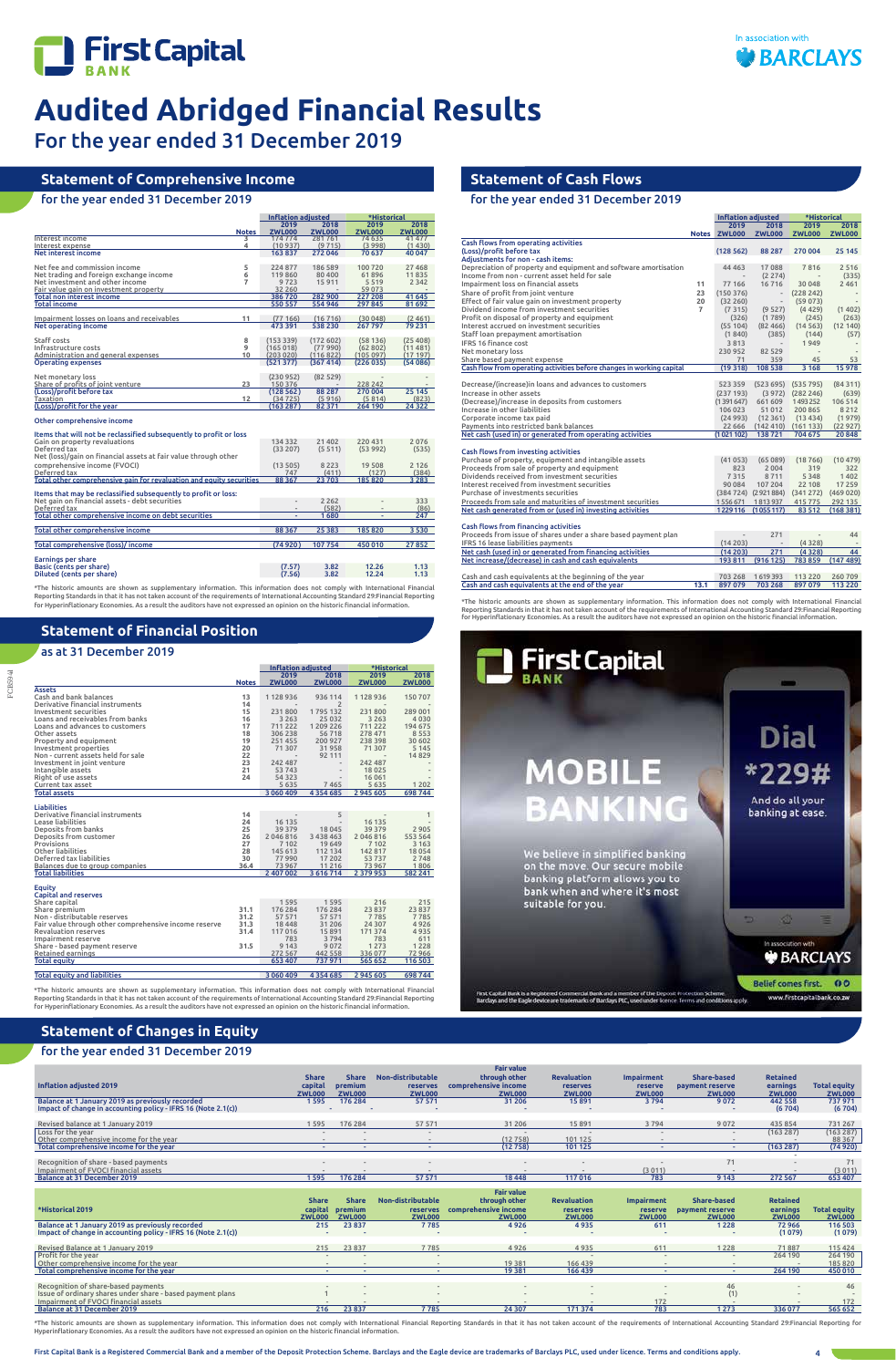



For the year ended 31 December 2019

FCB5941

# **Statement of Financial Position**

# as at 31 December 2019

# **Statement of Cash Flows**

for the year ended 31 December 2019

# **Statement of Comprehensive Income**

# for the year ended 31 December 2019

|                                                                                                                             |              | <b>Inflation adiusted</b> |               | *Historical         |           |  |
|-----------------------------------------------------------------------------------------------------------------------------|--------------|---------------------------|---------------|---------------------|-----------|--|
|                                                                                                                             |              | 2019                      | 2018          | 2019                | 2018      |  |
|                                                                                                                             | <b>Notes</b> | <b>ZWL000</b>             | <b>ZWL000</b> | <b>ZWL000</b>       | ZWL000    |  |
| Interest income                                                                                                             | 3            | 174 774                   | 281761        | 74 635              | 41 477    |  |
| Interest expense                                                                                                            | 4            | (10937)                   | (9715)        | (3998)              | (1430)    |  |
| Net interest income                                                                                                         |              | 163837                    | 272 046       | 70 637              | 40 047    |  |
| Net fee and commission income                                                                                               | 5            | 224 877                   | 186 589       | 100720              | 27468     |  |
| Net trading and foreign exchange income                                                                                     | 6            | 119860                    | 80 400        | 61896               | 11835     |  |
| Net investment and other income                                                                                             | 7            | 9723                      | 15911         | 5519                | 2 3 4 2   |  |
| Fair value gain on investment property                                                                                      |              | 32 260                    |               | 59 073              |           |  |
| <b>Total non interest income</b>                                                                                            |              | 386720                    | 282 900       | 227 208             | 41 645    |  |
| <b>Total income</b>                                                                                                         |              | 550 557                   | 554 946       | 297 845             | 81 692    |  |
|                                                                                                                             |              |                           |               |                     |           |  |
| Impairment losses on loans and receivables                                                                                  | 11           | (77166)                   | (16716)       | (30048)             | (2, 461)  |  |
| Net operating income                                                                                                        |              | 473 391                   | 538 230       | 267 797             | 79 231    |  |
|                                                                                                                             |              |                           |               |                     |           |  |
| <b>Staff costs</b>                                                                                                          | 8            | (153339)                  | (172602)      | (58136)             | (25, 408) |  |
| Infrastructure costs                                                                                                        | 9<br>10      | (165018)                  | (77990)       | (62802)<br>(105097) | (11481)   |  |
| Administration and general expenses                                                                                         |              | (203 020)                 | (116822)      |                     | (17197)   |  |
| <b>Operating expenses</b>                                                                                                   |              | (521377)                  | (367 414)     | (226035)            | (54 086)  |  |
| Net monetary loss                                                                                                           |              | (230952)                  | (82529)       |                     |           |  |
| Share of profits of joint venture                                                                                           | 23           | 150 376                   |               | 228 242             |           |  |
| (Loss)/profit before tax                                                                                                    |              | (128562)                  | 88 287        | 270 004             | 25 145    |  |
| Taxation                                                                                                                    | 12           | (34725)                   | (5916)        | (5814)              | (823)     |  |
| (Loss)/profit for the year                                                                                                  |              | (163287)                  | 82 371        | 264 190             | 24 3 22   |  |
| Other comprehensive income                                                                                                  |              |                           |               |                     |           |  |
|                                                                                                                             |              |                           |               |                     |           |  |
| Items that will not be reclassified subsequently to profit or loss                                                          |              |                           |               |                     |           |  |
| Gain on property revaluations                                                                                               |              | 134 332                   | 21 402        | 220 431             | 2076      |  |
| Deferred tax                                                                                                                |              | (33 207)                  | (5511)        | (53992)             | (535)     |  |
| Net (loss)/gain on financial assets at fair value through other                                                             |              |                           |               |                     |           |  |
| comprehensive income (FVOCI)                                                                                                |              | (13505)                   | 8 2 2 3       | 19 508              | 2 1 2 6   |  |
| Deferred tax                                                                                                                |              | 747                       | (411)         | (127)               | (384)     |  |
| Total other comprehensive gain for revaluation and equity securities                                                        |              | 88 3 67                   | 23 703        | 185820              | 3 2 8 3   |  |
| Items that may be reclassified subsequently to profit or loss:                                                              |              |                           |               |                     |           |  |
| Net gain on financial assets - debt securities                                                                              |              |                           | 2 2 6 2       |                     | 333       |  |
| Deferred tax                                                                                                                |              |                           | (582)         |                     | (86)      |  |
| Total other comprehensive income on debt securities                                                                         |              |                           | 1680          |                     | 247       |  |
|                                                                                                                             |              |                           |               |                     |           |  |
| Total other comprehensive income                                                                                            |              | 88 367                    | 25 38 3       | 185 820             | 3 5 3 0   |  |
| Total comprehensive (loss)/income                                                                                           |              | (74920)                   | 107754        | 450 010             | 27852     |  |
|                                                                                                                             |              |                           |               |                     |           |  |
| <b>Earnings per share</b>                                                                                                   |              |                           |               |                     |           |  |
| Basic (cents per share)                                                                                                     |              | (7.57)                    | 3.82          | 12.26               | 1.13      |  |
| Diluted (cents per share)                                                                                                   |              | (7.56)                    | 3.82          | 12.24               | 1.13      |  |
| *The historic amounts are shown as supplementary information. This information does not comply with International Financial |              |                           |               |                     |           |  |

\*The historic amounts are shown as supplementary information. This information does not comply with International Financial<br>Reporting Standards in that it has not taken account of the requirements of International Accounti

|                                                       |              |               | <b>Inflation adjusted</b> |               | *Historical                |
|-------------------------------------------------------|--------------|---------------|---------------------------|---------------|----------------------------|
|                                                       |              | 2019          | 2018                      | 2019          | 2018                       |
|                                                       | <b>Notes</b> | <b>ZWL000</b> | <b>ZWL000</b>             | <b>ZWL000</b> | <b>ZWL000</b>              |
| <b>Assets</b>                                         |              |               |                           |               |                            |
| Cash and bank balances                                | 13           | 1128936       | 936 114                   | 1128936       | 150 707                    |
| Derivative financial instruments                      | 14           |               | $\overline{2}$            |               |                            |
| Investment securities                                 | 15           | 231800        | 1795132                   | 231800        | 289 001                    |
| Loans and receivables from banks                      | 16           | 3 2 6 3       | 25 0 32                   | 3 2 6 3       | 4030                       |
| Loans and advances to customers                       | 17           | 711 222       | 1 209 226                 | 711 222       | 194 675                    |
| Other assets                                          | 18           | 306 238       | 56718                     | 278 471       | 8553                       |
| Property and equipment                                | 19           | 251455        | 200 927                   | 238 398       | 30 602                     |
| Investment properties                                 | 20           | 71 307        | 31958                     | 71 307        | 5 1 4 5                    |
| Non - current assets held for sale                    | 22           |               | 92 111                    |               | 14829                      |
| Investment in joint venture                           | 23           | 242 487       |                           | 242 487       |                            |
| Intangible assets                                     | 21           | 53 743        |                           | 18025         |                            |
| Right of use assets                                   | 24           | 54 323        |                           | 16 061        |                            |
| Current tax asset                                     |              | 5 6 3 5       | 7 4 6 5                   | 5 6 3 5       | 1 2 0 2                    |
| <b>Total assets</b>                                   |              | 3 060 409     | 4 3 5 4 6 8 5             | 2 945 605     | 698 744                    |
|                                                       |              |               |                           |               |                            |
| <b>Liabilities</b>                                    |              |               |                           |               |                            |
| Derivative financial instruments                      | 14           |               | 5                         |               | 1                          |
| Lease liabilities                                     | 24           | 16 135        | $\overline{\phantom{a}}$  | 16 135        |                            |
| Deposits from banks                                   | 25           | 39 379        | 18 045                    | 39 379        | 2 9 0 5                    |
| Deposits from customer                                | 26           | 2046816       | 3 4 3 8 4 6 3             | 2046816       | 553 564                    |
| Provisions                                            | 27           | 7 102         | 19 649                    | 7 102         | 3 1 6 3                    |
| Other liabilities                                     | 28           | 145 613       | 112 134                   | 142 817       | 18054                      |
| Deferred tax liabilities                              | 30           | 77990         | 17 202                    | 53737         | 2748                       |
| Balances due to group companies                       | 36.4         | 73 967        | 11216                     | 73 967        | 1806                       |
| <b>Total liabilities</b>                              |              | 2 407 002     | 3616714                   | 2 3 7 9 9 5 3 | 582 241                    |
| Equity                                                |              |               |                           |               |                            |
| <b>Capital and reserves</b>                           |              |               |                           |               |                            |
| Share capital                                         |              | 1595          | 1595                      | 216           | 215                        |
| Share premium                                         | 31.1         | 176 284       | 176 284                   | 23 837        | 23 837                     |
| Non - distributable reserves                          | 31.2         | 57 571        | 57 571                    | 7785          | 7785                       |
| Fair value through other comprehensive income reserve | 31.3         | 18 4 48       | 31 20 6                   | 24 307        | 4926                       |
| <b>Revaluation reserves</b>                           | 31.4         | 117016        | 15891                     | 171 374       | 4935                       |
| Impairment reserve                                    |              | 783           | 3794                      | 783           | 611                        |
| Share - based payment reserve                         | 31.5         | 9 1 4 3       | 9072                      | 1273          | 1 2 2 8                    |
|                                                       |              |               |                           |               |                            |
|                                                       |              |               |                           |               |                            |
|                                                       |              | 272 567       | 442 558                   | 336077        |                            |
| Retained earnings<br><b>Total equity</b>              |              | 653 407       | 737 971                   | 565 652       |                            |
| <b>Total equity and liabilities</b>                   |              | 3 060 409     | 4 3 5 4 6 8 5             | 2 945 605     | 72966<br>116 503<br>698744 |

\*The historic amounts are shown as supplementary information. This information does not comply with International Financial<br>Reporting Standards in that it has not taken account of the requirements of International Accounti

\*The historic amounts are shown as supplementary information. This information does not comply with International Financial Reporting Standards in that it has not taken account of the requirements of International Accounting Standard 29:Financial Reporting<br>for Hyperinflationary Economies. As a result the auditors have not expressed an opinion o



\*The historic amounts are shown as supplementary information. This information does not comply with International Financial Reporting Standards in that it has not taken account of the requirements of International Accounti Hyperinflationary Economies. As a result the auditors have not expressed an opinion on the historic financial information.

|                                                                       |                | Inflation adjusted |                      | *Historical   |               |
|-----------------------------------------------------------------------|----------------|--------------------|----------------------|---------------|---------------|
|                                                                       |                | 2019               | 2018                 | 2019          | 2018          |
|                                                                       |                | Notes ZWL000       | <b>ZWL000</b>        | <b>ZWL000</b> | <b>ZWL000</b> |
| Cash flows from operating activities                                  |                |                    |                      |               |               |
| (Loss)/profit before tax                                              |                | (128562)           | 88 2 8 7             | 270 004       | 25 145        |
| <b>Adiustments for non - cash items:</b>                              |                |                    |                      |               |               |
| Depreciation of property and equipment and software amortisation      |                | 44 4 63            | 17088                | 7816          | 2516          |
| Income from non - current asset held for sale                         |                |                    | (2274)               |               | (335)         |
| Impairment loss on financial assets                                   | 11             | 77 166             | 16716                | 30 048        | 2 4 6 1       |
| Share of profit from joint venture                                    | 23             | (150376)           |                      | (228 242)     |               |
| Effect of fair value gain on investment property                      | 20             | (32260)            |                      | (59073)       |               |
| Dividend income from investment securities                            | $\overline{7}$ | (7315)             | (9527)               | (4429)        | (1402)        |
| Profit on disposal of property and equipment                          |                | (326)              | (1789)               | (245)         | (263)         |
| Interest accrued on investment securities                             |                | (55104)            | (82, 466)            | (14563)       | (12140)       |
| Staff loan prepayment amortisation                                    |                | (1840)             | (385)                | (144)         | (57)          |
| <b>IFRS 16 finance cost</b>                                           |                | 3813               |                      | 1949          |               |
| Net monetary loss                                                     |                | 230952             | 82 5 29              |               |               |
| Share based payment expense                                           |                | 71                 | 359                  | 45            | 53            |
| Cash flow from operating activities before changes in working capital |                | (19318)            | 108 538              | 3 1 6 8       | 15978         |
|                                                                       |                |                    |                      |               |               |
| Decrease/(increase) in loans and advances to customers                |                | 523 359            | (523695)             | (535795)      | (84311)       |
| Increase in other assets                                              |                | (237 193)          | (3972)               | (282 246)     | (639)         |
| (Decrease)/increase in deposits from customers                        |                | (1391647)          | 661 609              | 1493252       | 106 514       |
| Increase in other liabilities                                         |                | 106 023            | 51 0 12              | 200 865       | 8212          |
| Corporate income tax paid                                             |                | (24993)            | (12361)              | (13434)       | (1979)        |
| Payments into restricted bank balances                                |                | 22 666             | (142 410)            | (161133)      | (22927)       |
| Net cash (used in) or generated from operating activities             |                | (1021102)          | 138721               | 704 675       | 20848         |
|                                                                       |                |                    |                      |               |               |
| Cash flows from investing activities                                  |                |                    |                      |               |               |
| Purchase of property, equipment and intangible assets                 |                | (41053)            | (65089)              | (18766)       | (10479)       |
| Proceeds from sale of property and equipment                          |                | 823                | 2004                 | 319           | 322           |
| Dividends received from investment securities                         |                | 7315               | 8711                 | 5 3 4 8       | 1402          |
| Interest received from investment securities                          |                | 90 084             | 107 204              | 22 108        | 17 259        |
| Purchase of investments securities                                    |                |                    | (384 724) (2921 884) | (341272)      | (469 020)     |
| Proceeds from sale and maturities of investment securities            |                | 1556671            | 1813937              | 415 775       | 292 135       |
| Net cash generated from or (used in) investing activities             |                | 1229 116           | (1055117)            | 83512         | (168381)      |
|                                                                       |                |                    |                      |               |               |
| Cash flows from financing activities                                  |                |                    |                      |               |               |
| Proceeds from issue of shares under a share based payment plan        |                |                    | 271                  |               | 44            |
| IFRS 16 lease liabilities payments                                    |                | (14203)            |                      | (4328)        |               |
| Net cash (used in) or generated from financing activities             |                | (14203)            | 271                  | (4328)        | 44            |
| Net increase/(decrease) in cash and cash equivalents                  |                | 193 811            | (916125)             | 783859        | (147489)      |
|                                                                       |                |                    |                      |               |               |
| Cash and cash equivalents at the beginning of the year                |                | 703 268            | 1619393              | 113 2 20      | 260 709       |
| Cash and cash equivalents at the end of the year                      | 13.1           | 897079             | 703 268              | 897079        | 113 220       |
|                                                                       |                |                    |                      |               |               |

# **Statement of Changes in Equity**

# for the year ended 31 December 2019

| Inflation adjusted 2019                                       | capital<br><b>ZWL000</b> | premium<br><b>ZWL000</b> | <b>reserves</b><br><b>ZWL000</b> | comprehensive income<br><b>ZWL000</b> | <b>reserves</b><br><b>ZWL000</b> | reserve<br><b>ZWL000</b> | payment reserve<br><b>ZWL000</b> | earnings<br><b>ZWL000</b> | <b>Total equity</b><br><b>ZWL000</b> |
|---------------------------------------------------------------|--------------------------|--------------------------|----------------------------------|---------------------------------------|----------------------------------|--------------------------|----------------------------------|---------------------------|--------------------------------------|
| Balance at 1 January 2019 as previously recorded              | 1595                     | 176 284                  | 57 571                           | 31 20 6                               | 15 8 9 1                         | 3794                     | 9072                             | 442 558                   | 737971                               |
| Impact of change in accounting policy - IFRS 16 (Note 2.1(c)) |                          |                          |                                  |                                       |                                  |                          |                                  | (6704)                    | (6704)                               |
|                                                               |                          |                          |                                  |                                       |                                  |                          |                                  |                           |                                      |
| Revised balance at 1 January 2019                             | 1595                     | 176 284                  | 57 571                           | 31 206                                | 15 8 9 1                         | 3794                     | 9072                             | 435 854                   | 731 267                              |
| Loss for the year                                             |                          |                          |                                  | $\overline{\phantom{a}}$              |                                  |                          | $\sim$                           | (163 287)                 | (163 287)                            |
| Other comprehensive income for the year                       | $\overline{\phantom{a}}$ |                          |                                  | (12758)                               | 101 125                          |                          | $\sim$                           |                           | 88 367                               |
| Total comprehensive income for the year                       | $\sim$                   | $\sim$                   | ۰                                | (12758)                               | 101 125                          |                          | $\sim$                           | (163 287)                 | (74920)                              |
|                                                               |                          |                          |                                  |                                       |                                  |                          |                                  |                           |                                      |
| Recognition of share - based payments                         |                          |                          |                                  |                                       |                                  |                          |                                  |                           | 71                                   |
| Impairment of FVOCI financial assets                          |                          |                          |                                  |                                       |                                  | (3011)                   |                                  |                           | (3011)                               |
| Balance at 31 December 2019                                   | 1595                     | 176 284                  | 57 571                           | 18 4 48                               | 117016                           | 783                      | 9 1 4 3                          | 272 567                   | 653 407                              |
|                                                               |                          |                          |                                  |                                       |                                  |                          |                                  |                           |                                      |
|                                                               |                          |                          |                                  | <b>Fair value</b>                     |                                  |                          |                                  |                           |                                      |
|                                                               |                          |                          |                                  |                                       |                                  |                          |                                  |                           |                                      |
|                                                               | <b>Share</b>             | <b>Share</b>             | Non-distributable                | through other                         | <b>Revaluation</b>               | <b>Impairment</b>        | <b>Share-based</b>               | <b>Retained</b>           |                                      |
| *Historical 2019                                              |                          | premium                  | <b>reserves</b>                  |                                       | <b>reserves</b>                  | reserve                  |                                  | earnings                  |                                      |
|                                                               | capital<br><b>ZWL000</b> | <b>ZWL000</b>            | <b>ZWL000</b>                    | comprehensive income<br><b>ZWL000</b> | <b>ZWL000</b>                    | <b>ZWL000</b>            | payment reserve<br><b>ZWL000</b> | <b>ZWL000</b>             | <b>Total equity</b><br><b>ZWL000</b> |
| Balance at 1 January 2019 as previously recorded              | 215                      | 23 837                   | 7785                             | 4926                                  | 4935                             | 611                      | 1 2 2 8                          | 72966                     | 116 503                              |
| Impact of change in accounting policy - IFRS 16 (Note 2.1(c)) |                          |                          |                                  |                                       |                                  |                          |                                  | (1079)                    | (1079)                               |
|                                                               |                          |                          |                                  |                                       |                                  |                          |                                  |                           |                                      |
| Revised Balance at 1 January 2019                             | 215                      | 23 8 37                  | 7785                             | 4926                                  | 4935                             | 611                      | 1228                             | 71887                     | 115 424                              |
| Profit for the year                                           |                          |                          |                                  |                                       |                                  |                          | $\overline{\phantom{a}}$         | 264 190                   | 264 190                              |
| Other comprehensive income for the year                       |                          |                          |                                  | 19381                                 | 166 439                          |                          |                                  |                           | 185 820                              |
| Total comprehensive income for the year                       | $\sim$                   | $\sim$                   |                                  | 19 3 8 1                              | 166 439                          | $\sim$                   | ۰                                | 264 190                   | 450 010                              |
|                                                               |                          |                          |                                  |                                       |                                  |                          |                                  |                           |                                      |
| Recognition of share-based payments                           |                          |                          |                                  |                                       |                                  |                          | 46                               |                           | 46                                   |
| Issue of ordinary shares under share - based payment plans    |                          |                          |                                  |                                       |                                  |                          | (1)                              |                           |                                      |
| Impairment of FVOCI financial assets                          |                          | 23 837                   |                                  |                                       |                                  | 172<br>783               |                                  |                           | 172                                  |

 **Share Share Non-distributable** 

 **Fair value through other** 

 **Revaluation** 

 **Impairment Share-based**   **Retained**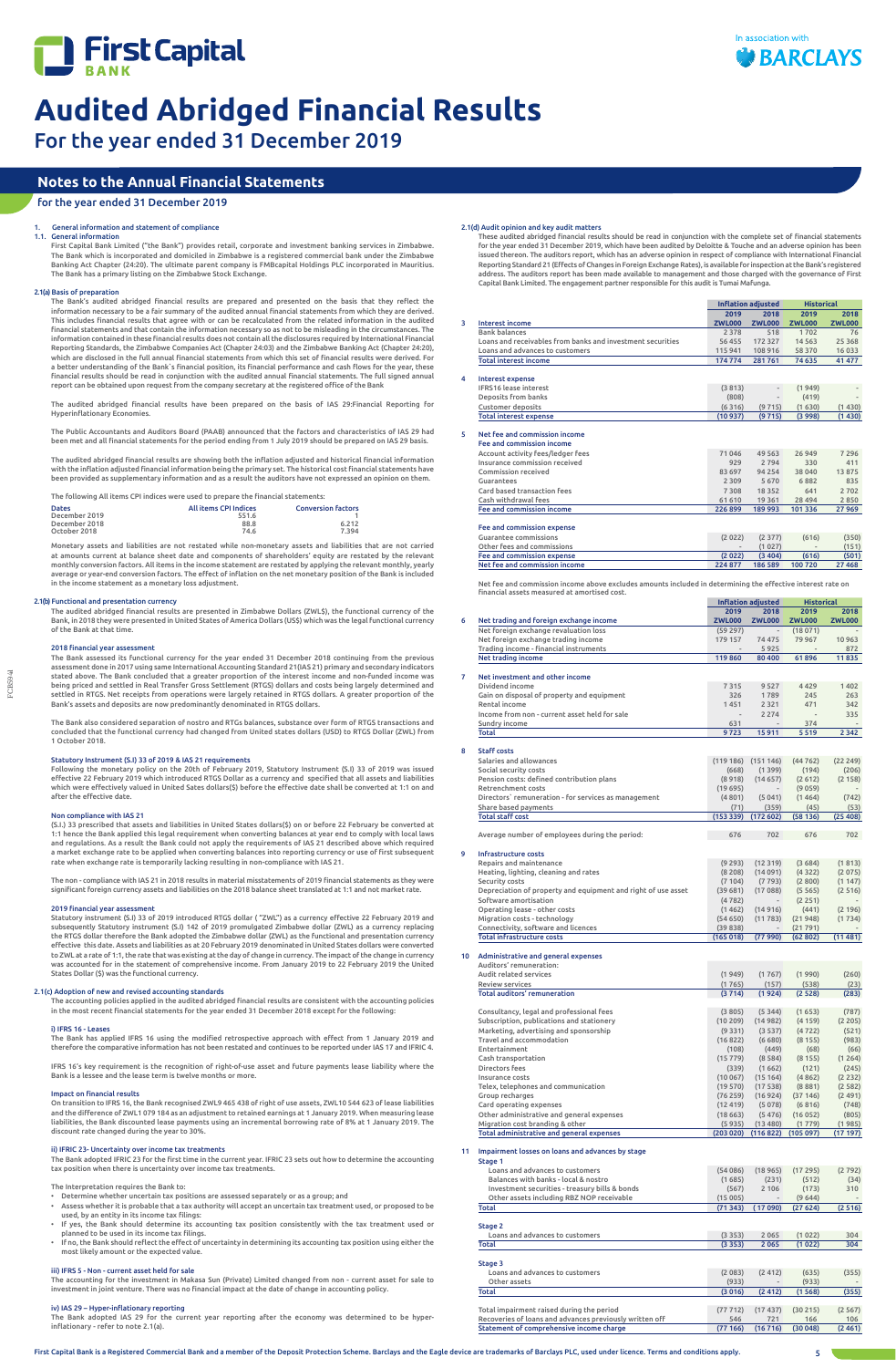For the year ended 31 December 2019

1.1. General information

First Capital Bank Limited ("the Bank") provides retail, corporate and investment banking services in Zimbabwe. The Bank which is incorporated and domiciled in Zimbabwe is a registered commercial bank under the Zimbabwe Banking Act Chapter (24:20). The ultimate parent company is FMBcapital Holdings PLC incorporated in Mauritius. The Bank has a primary listing on the Zimbabwe Stock Exchange.

# 2.1(a) Basis of preparation

The Bank's audited abridged financial results are prepared and presented on the basis that they reflect the information necessary to be a fair summary of the audited annual financial statements from which they are derived. This includes financial results that agree with or can be recalculated from the related information in the audited financial statements and that contain the information necessary so as not to be misleading in the circumstances. The information contained in these financial results does not contain all the disclosures required by International Financial Reporting Standards, the Zimbabwe Companies Act (Chapter 24:03) and the Zimbabwe Banking Act (Chapter 24:20), which are disclosed in the full annual financial statements from which this set of financial results were derived. For a better understanding of the Bank`s financial position, its financial performance and cash flows for the year, these financial results should be read in conjunction with the audited annual financial statements. The full signed annual report can be obtained upon request from the company secretary at the registered office of the Bank

The audited abridged financial results have been prepared on the basis of IAS 29:Financial Reporting for Hyperinflationary Economies.

The Public Accountants and Auditors Board (PAAB) announced that the factors and characteristics of IAS 29 had been met and all financial statements for the period ending from 1 July 2019 should be prepared on IAS 29 basis.

The audited abridged financial results are showing both the inflation adjusted and historical financial information with the inflation adjusted financial information being the primary set. The historical cost financial statements have been provided as supplementary information and as a result the auditors have not expressed an opinion on them.

Following the monetary policy on the 20th of February 2019, Statutory Instrument (S.I) 33 of 2019 was issued<br>effective 22 February 2019 which introduced RTGS Dollar as a currency and specified that all assets and liabiliti which were effectively valued in United Sates dollars(\$) before the effective date shall be converted at 1:1 on and after the effective date.

| The following All items CPI indices were used to prepare the financial statements: |  |  |
|------------------------------------------------------------------------------------|--|--|

| <b>Dates</b>  | <b>All items CPI Indices</b> | <b>Conversion factors</b> |
|---------------|------------------------------|---------------------------|
| December 2019 | 551.6                        |                           |
| December 2018 | 88.8                         | 6.212                     |
| October 2018  | 74.6                         | 7.394                     |

Monetary assets and liabilities are not restated while non-monetary assets and liabilities that are not carried at amounts current at balance sheet date and components of shareholders' equity are restated by the relevant monthly conversion factors. All items in the income statement are restated by applying the relevant monthly, yearly average or year-end conversion factors. The effect of inflation on the net monetary position of the Bank is included in the income statement as a monetary loss adjustment.

# 2.1(b) Functional and presentation currency

The audited abridged financial results are presented in Zimbabwe Dollars (ZWL\$), the functional currency of the Bank, in 2018 they were presented in United States of America Dollars (US\$) which was the legal functional currency of the Bank at that time.

# 2018 financial year assessment

The Bank assessed its functional currency for the year ended 31 December 2018 continuing from the previous assessment done in 2017 using same International Accounting Standard 21(IAS 21) primary and secondary indicators stated above. The Bank concluded that a greater proportion of the interest income and non-funded income was being priced and settled in Real Transfer Gross Settlement (RTGS) dollars and costs being largely determined and settled in RTGS. Net receipts from operations were largely retained in RTGS dollars. A greater proportion of the Bank's assets and deposits are now predominantly denominated in RTGS dollars.

The Bank also considered separation of nostro and RTGs balances, substance over form of RTGS transactions and concluded that the functional currency had changed from United states dollars (USD) to RTGS Dollar (ZWL) from 1 October 2018.

# Statutory Instrument (S.I) 33 of 2019 & IAS 21 requirements

# Non compliance with IAS 21

(S.I.) 33 prescribed that assets and liabilities in United States dollars(\$) on or before 22 February be converted at 1:1 hence the Bank applied this legal requirement when converting balances at year end to comply with local laws<br>and regulations. As a result the Bank could not apply the requirements of IAS 21 described above which requir a market exchange rate to be applied when converting balances into reporting currency or use of first subsequent rate when exchange rate is temporarily lacking resulting in non-compliance with IAS 21.

The non - compliance with IAS 21 in 2018 results in material misstatements of 2019 financial statements as they were significant foreign currency assets and liabilities on the 2018 balance sheet translated at 1:1 and not market rate.

# 2019 financial year assessment

Statutory instrument (S.I) 33 of 2019 introduced RTGS dollar ( "ZWL") as a currency effective 22 February 2019 and subsequently Statutory instrument (S.I) 142 of 2019 promulgated Zimbabwe dollar (ZWL) as a currency replacing the RTGS dollar therefore the Bank adopted the Zimbabwe dollar (ZWL) as the functional and presentation currency effective this date. Assets and liabilities as at 20 February 2019 denominated in United States dollars were converted to ZWL at a rate of 1:1, the rate that was existing at the day of change in currency. The impact of the change in currency was accounted for in the statement of comprehensive income. From January 2019 to 22 February 2019 the United States Dollar (\$) was the functional currency.

# 2.1(c) Adoption of new and revised accounting standards

The accounting policies applied in the audited abridged financial results are consistent with the accounting policies in the most recent financial statements for the year ended 31 December 2018 except for the following:

## i) IFRS 16 - Leases

The Bank has applied IFRS 16 using the modified retrospective approach with effect from 1 January 2019 and therefore the comparative information has not been restated and continues to be reported under IAS 17 and IFRIC 4.

IFRS 16's key requirement is the recognition of right-of-use asset and future payments lease liability where the Bank is a lessee and the lease term is twelve months or more.

### Impact on financial results

On transition to IFRS 16, the Bank recognised ZWL9 465 438 of right of use assets, ZWL10 544 623 of lease liabilities and the difference of ZWL1 079 184 as an adjustment to retained earnings at 1 January 2019. When measuring lease liabilities, the Bank discounted lease payments using an incremental borrowing rate of 8% at 1 January 2019. The discount rate changed during the year to 30%.

# ii) IFRIC 23- Uncertainty over income tax treatments

The Bank adopted IFRIC 23 for the first time in the current year. IFRIC 23 sets out how to determine the accounting tax position when there is uncertainty over income tax treatments.

The Interpretation requires the Bank to:

- Determine whether uncertain tax positions are assessed separately or as a group; and
- Assess whether it is probable that a tax authority will accept an uncertain tax treatment used, or proposed to be used, by an entity in its income tax filings:
- If yes, the Bank should determine its accounting tax position consistently with the tax treatment used or planned to be used in its income tax filings.
- If no, the Bank should reflect the effect of uncertainty in determining its accounting tax position using either the most likely amount or the expected value.

# iii) IFRS 5 - Non - current asset held for sale

The accounting for the investment in Makasa Sun (Private) Limited changed from non - current asset for sale to investment in joint venture. There was no financial impact at the date of change in accounting policy.

### iv) IAS 29 – Hyper-inflationary reporting

The Bank adopted IAS 29 for the current year reporting after the economy was determined to be hyperinflationary - refer to note 2.1(a).

# 2.1(d) Audit opinion and key audit matters

These audited abridged financial results should be read in conjunction with the complete set of financial statements for the year ended 31 December 2019, which have been audited by Deloitte & Touche and an adverse opinion has been issued thereon. The auditors report, which has an adverse opinion in respect of compliance with International Financial Reporting Standard 21 (Effects of Changes in Foreign Exchange Rates), is available for inspection at the Bank's registered address. The auditors report has been made available to management and those charged with the governance of First Capital Bank Limited. The engagement partner responsible for this audit is Tumai Mafunga.





**Inflation adjusted Historical**

|   |                                                            | 2019          | 2018          | 2019          | 2018          |
|---|------------------------------------------------------------|---------------|---------------|---------------|---------------|
| 3 | <b>Interest income</b>                                     | <b>ZWL000</b> | <b>ZWL000</b> | <b>ZWL000</b> | <b>ZWL000</b> |
|   | <b>Bank balances</b>                                       | 2 3 7 8       | 518           | 1702          | 76            |
|   | Loans and receivables from banks and investment securities | 56 455        | 172 327       | 14 5 6 3      | 25 3 68       |
|   | Loans and advances to customers                            | 115 941       | 108 916       | 58 370        | 16 0 33       |
|   | <b>Total interest income</b>                               | 174 774       | 281761        | 74 635        | 41 477        |
| 4 | <b>Interest expense</b>                                    |               |               |               |               |
|   | <b>IFRS16</b> lease interest                               | (3813)        |               | (1949)        |               |
|   | Deposits from banks                                        | (808)         |               | (419)         |               |
|   | Customer deposits                                          | (6316)        | (9715)        | (1630)        | (1430)        |
|   | <b>Total interest expense</b>                              | (10937)       | (9715)        | (3998)        | (1430)        |
| 5 | Net fee and commission income                              |               |               |               |               |
|   | Fee and commission income                                  |               |               |               |               |
|   | Account activity fees/ledger fees                          | 71046         | 49 5 63       | 26949         | 7 2 9 6       |
|   | Insurance commission received                              | 929           | 2794          | 330           | 411           |
|   | Commission received                                        | 83 697        | 94 2 54       | 38 040        | 13875         |
|   | Guarantees                                                 | 2 3 0 9       | 5670          | 6882          | 835           |
|   | Card based transaction fees                                | 7308          | 18352         | 641           | 2702          |
|   | Cash withdrawal fees                                       | 61 610        | 19 3 61       | 28 4 94       | 2850          |
|   | <b>Fee and commission income</b>                           | 226899        | 189 993       | 101 336       | 27969         |
|   |                                                            |               |               |               |               |
|   | Fee and commission expense                                 |               |               |               |               |
|   | Guarantee commissions                                      | (2022)        | (2377)        | (616)         | (350)         |
|   | Other fees and commissions                                 |               | (1027)        |               | (151)         |
|   | Fee and commission expense                                 | (2022)        | (3, 404)      | (616)         | (501)         |
|   | Net fee and commission income                              | 224 877       | 186 589       | 100 720       | 27 4 68       |

Net fee and commission income above excludes amounts included in determining the effective interest rate on financial assets measured at amortised cost.

|                |                                                               |                          | <b>Inflation adjusted</b> | <b>Historical</b>        |                |
|----------------|---------------------------------------------------------------|--------------------------|---------------------------|--------------------------|----------------|
|                |                                                               | 2019                     | 2018                      | 2019                     | 2018           |
| 6              | Net trading and foreign exchange income                       | <b>ZWL000</b>            | <b>ZWL000</b>             | <b>ZWL000</b>            | <b>ZWL000</b>  |
|                | Net foreign exchange revaluation loss                         | (59 297)                 |                           | (18071)                  |                |
|                | Net foreign exchange trading income                           | 179 157                  | 74 475                    | 79 967                   | 10963          |
|                | Trading income - financial instruments                        |                          | 5925                      |                          | 872            |
|                | <b>Net trading income</b>                                     | 119 860                  | 80 400                    | 61896                    | 11835          |
|                |                                                               |                          |                           |                          |                |
| $\overline{7}$ | Net investment and other income                               |                          |                           |                          |                |
|                | Dividend income                                               | 7315                     | 9527                      | 4429                     | 1402           |
|                | Gain on disposal of property and equipment                    | 326                      | 1789                      | 245                      | 263            |
|                | Rental income                                                 | 1451                     | 2 3 2 1                   | 471                      | 342            |
|                | Income from non - current asset held for sale                 | $\overline{\phantom{a}}$ | 2 2 7 4                   | $\overline{\phantom{a}}$ | 335            |
|                | Sundry income                                                 | 631                      |                           | 374                      |                |
|                | Total                                                         | 9723                     | 15911                     | 5519                     | 2 3 4 2        |
|                |                                                               |                          |                           |                          |                |
| 8              | <b>Staff costs</b>                                            |                          |                           |                          |                |
|                | Salaries and allowances                                       | (119186)                 | (151146)                  | (44762)                  | (22 249)       |
|                | Social security costs                                         | (668)                    | (1399)                    | (194)                    | (206)          |
|                | Pension costs: defined contribution plans                     | (8918)                   | (14657)                   | (2612)                   | (2158)         |
|                | <b>Retrenchment costs</b>                                     | (19695)                  |                           | (9059)                   |                |
|                | Directors` remuneration - for services as management          | (4801)                   | (5041)                    | (1464)                   | (742)          |
|                | Share based payments                                          | (71)                     | (359)                     | (45)                     | (53)           |
|                | <b>Total staff cost</b>                                       | (153339)                 | (172602)                  | (58136)                  | (25 408)       |
|                |                                                               |                          |                           |                          |                |
|                | Average number of employees during the period:                | 676                      | 702                       | 676                      | 702            |
|                |                                                               |                          |                           |                          |                |
| 9              | <b>Infrastructure costs</b>                                   |                          |                           |                          |                |
|                | Repairs and maintenance                                       | (9, 293)                 | (12319)                   | (3684)                   | (1813)         |
|                | Heating, lighting, cleaning and rates                         | (8208)                   | (14091)                   | (4322)                   | (2075)         |
|                | Security costs                                                | (7104)                   | (7793)                    | (2800)                   | (1147)         |
|                | Depreciation of property and equipment and right of use asset | (39681)                  | (17088)                   | (5565)                   | (2516)         |
|                | Software amortisation                                         | (4782)                   |                           | (2251)                   |                |
|                | Operating lease - other costs                                 | (1462)                   | (14916)                   | (441)                    | (2196)         |
|                | Migration costs - technology                                  | (54650)                  | (11783)                   | (21948)                  | (1734)         |
|                | Connectivity, software and licences                           | (39838)                  | $\sim$                    | (21791)                  | $\overline{a}$ |
|                | <b>Total infrastructure costs</b>                             | (165018)                 | (77990)                   | (62802)                  | (11481)        |
|                |                                                               |                          |                           |                          |                |
| 10             | Administrative and general expenses                           |                          |                           |                          |                |
|                | Auditors' remuneration:                                       |                          |                           |                          |                |
|                | Audit related services                                        | (1949)                   | (1767)                    | (1990)                   | (260)          |
|                | <b>Review services</b>                                        | (1765)                   | (157)                     | (538)                    | (23)           |
|                | <b>Total auditors' remuneration</b>                           | (3714)                   | (1924)                    | (2528)                   | (283)          |
|                |                                                               |                          |                           |                          |                |
|                | Consultancy, legal and professional fees                      | (3805)                   | (5344)                    | (1653)                   | (787)          |
|                | Subscription, publications and stationery                     | (10209)                  | (14982)                   | (4159)                   | (2 205)        |
|                | Marketing, advertising and sponsorship                        | (9331)                   | (3 537)                   | (4722)                   | (521)          |
|                | Travel and accommodation                                      | (16822)                  | (6680)                    | (8155)                   | (983)          |
|                | Entertainment                                                 | (108)                    | (449)                     | (68)                     | (66)           |
|                | Cash transportation                                           | (15779)                  | (8584)                    | (8155)                   | (1264)         |
|                | Directors fees                                                | (339)                    | (1662)                    | (121)                    | (245)          |

Insurance costs (10 067) (15 164) (4 862) (2 232)

| Telex, telephones and communication       | (19570)   | (17538)   | (8881)   | (2, 582) |
|-------------------------------------------|-----------|-----------|----------|----------|
| Group recharges                           | (76259)   | (16924)   | (37146)  | (2, 491) |
| Card operating expenses                   | (12, 419) | (5078)    | (6816)   | (748)    |
| Other administrative and general expenses | (18663)   | (5476)    | (16052)  | (805)    |
| Migration cost branding & other           | (5935)    | (13, 480) | (1779)   | (1985)   |
| Total administrative and general expenses | (203 020) | (116822)  | (105097) | (17197)  |

# 11 Impairment losses on loans and advances by stage

## Stage 1

| Total                                          | (71343) | (17090)         | (27624) | (2516)          |
|------------------------------------------------|---------|-----------------|---------|-----------------|
| Other assets including RBZ NOP receivable      | (15005) | $\qquad \qquad$ | (9644)  | $\qquad \qquad$ |
| Investment securities - treasury bills & bonds | (567)   | 2 1 0 6         | (173)   | 310             |
| Balances with banks - local & nostro           | (1685)  | (231)           | (512)   | (34)            |
| Loans and advances to customers                | (54086) | (18965)         | (17295) | (2792)          |

### Stage 2

| Loans and advances to customers |        | 2065 | (1022) | 304 |
|---------------------------------|--------|------|--------|-----|
| <b>Total</b>                    | (3353) | 2065 | (1022) | 304 |

# Stage 3

| Loans and advances to customers<br>Other assets         | (2083)<br>(933) | (2, 412)<br>$\qquad \qquad \blacksquare$ | (635)<br>(933) | (355)    |
|---------------------------------------------------------|-----------------|------------------------------------------|----------------|----------|
| Total                                                   | (3016)          | (2412)                                   | (1568)         | (355)    |
|                                                         |                 |                                          |                |          |
| Total impairment raised during the period               | (77712)         | (17437)                                  | (30215)        | (2, 567) |
| Recoveries of loans and advances previously written off | 546             | 721                                      | 166            | 106      |
| Statement of comprehensive income charge                | (77 166)        | (16716)                                  | (30048)        | (2461)   |

# **Notes to the Annual Financial Statements**

for the year ended 31 December 2019

# General information and statement of compliance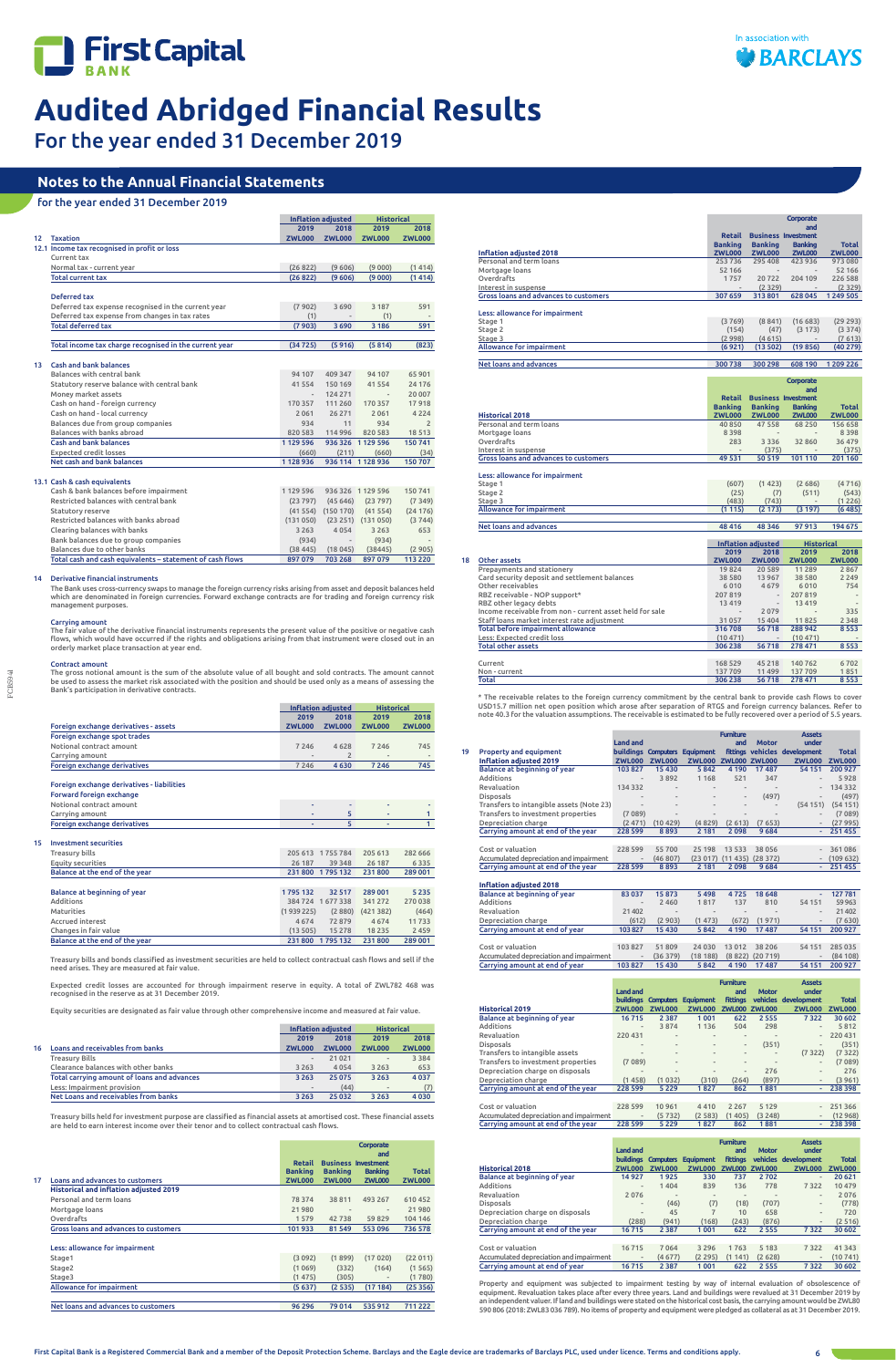



For the year ended 31 December 2019

FCB5941

# **Notes to the Annual Financial Statements**

# for the year ended 31 December 2019

The Bank uses cross-currency swaps to manage the foreign currency risks arising from asset and deposit balances held<br>which are denominated in foreign currencies. Forward exchange contracts are for trading and foreign curre management purposes.

|                 |                                                           | <b>Inflation adjusted</b> |               | <b>Historical</b>              |                |
|-----------------|-----------------------------------------------------------|---------------------------|---------------|--------------------------------|----------------|
|                 |                                                           | 2019                      | 2018          | 2019                           | 2018           |
| 12              | <b>Taxation</b>                                           | <b>ZWL000</b>             | <b>ZWL000</b> | <b>ZWL000</b>                  | <b>ZWL000</b>  |
|                 | 12.1 Income tax recognised in profit or loss              |                           |               |                                |                |
|                 | Current tax                                               |                           |               |                                |                |
|                 | Normal tax - current year                                 | (26822)                   | (9606)        | (9000)                         | (1414)         |
|                 | <b>Total current tax</b>                                  | (26822)                   | (9606)        | (9000)                         | (1414)         |
|                 |                                                           |                           |               |                                |                |
|                 | Deferred tax                                              |                           |               |                                |                |
|                 | Deferred tax expense recognised in the current year       | (7902)                    | 3690          | 3 1 8 7                        | 591            |
|                 | Deferred tax expense from changes in tax rates            | (1)                       |               | (1)                            |                |
|                 | <b>Total deferred tax</b>                                 | (7903)                    | 3690          | 3 1 8 6                        | 591            |
|                 |                                                           |                           |               |                                |                |
|                 | Total income tax charge recognised in the current year    | (34725)                   | (5916)        | (5814)                         | (823)          |
| 13 <sub>1</sub> | <b>Cash and bank balances</b>                             |                           |               |                                |                |
|                 | Balances with central bank                                | 94 107                    | 409 347       | 94 107                         | 65 901         |
|                 | Statutory reserve balance with central bank               | 41 5 5 4                  | 150 169       | 41554                          | 24 17 6        |
|                 | Money market assets                                       | $\overline{\phantom{a}}$  | 124 271       | $\overline{\phantom{a}}$       | 20 007         |
|                 | Cash on hand - foreign currency                           | 170 357                   | 111 260       | 170 357                        | 17918          |
|                 | Cash on hand - local currency                             | 2061                      | 26 271        | 2061                           | 4 2 2 4        |
|                 | Balances due from group companies                         | 934                       | 11            | 934                            | $\overline{2}$ |
|                 | Balances with banks abroad                                | 820 583                   | 114 996       | 820 583                        | 18513          |
|                 | Cash and bank balances                                    | 1 1 2 5 5 9 6             |               | 936 326 1 129 596              | 150741         |
|                 | <b>Expected credit losses</b>                             | (660)                     | (211)         | (660)                          | (34)           |
|                 | Net cash and bank balances                                | 1128936                   |               | 936 114 1 128 936              | 150 707        |
|                 |                                                           |                           |               |                                |                |
|                 | 13.1 Cash & cash equivalents                              |                           |               |                                |                |
|                 | Cash & bank balances before impairment                    | 1 129 596                 |               | 936 326 1 129 596              | 150741         |
|                 | Restricted balances with central bank                     | (23797)                   | (45646)       | (23797)                        | (7349)         |
|                 | Statutory reserve                                         |                           |               | $(41554)$ $(150170)$ $(41554)$ | (24176)        |
|                 | Restricted balances with banks abroad                     | (131050)                  |               | $(23 251)$ $(131 050)$         | (3744)         |
|                 | Clearing balances with banks                              | 3 2 6 3                   | 4054          | 3 2 6 3                        | 653            |
|                 | Bank balances due to group companies                      | (934)                     |               | (934)                          |                |
|                 | Balances due to other banks                               | (38, 445)                 | (18045)       | (38445)                        | (2905)         |
|                 | Total cash and cash equivalents - statement of cash flows | 897 079                   | 703 268       | 897079                         | 113 220        |

# 14 Derivative financial instruments

# Carrying amount

The fair value of the derivative financial instruments represents the present value of the positive or negative cash flows, which would have occurred if the rights and obligations arising from that instrument were closed out in an orderly market place transaction at year end.

# Contract amount

The gross notional amount is the sum of the absolute value of all bought and sold contracts. The amount cannot be used to assess the market risk associated with the position and should be used only as a means of assessing the Bank's participation in derivative contracts.

|                                              |               | Inflation adjusted | <b>Historical</b>        |                              |
|----------------------------------------------|---------------|--------------------|--------------------------|------------------------------|
|                                              | 2019          | 2018               | 2019                     | 2018                         |
| <b>Foreign exchange derivatives - assets</b> | <b>ZWL000</b> | <b>ZWL000</b>      | ZWL000                   | <b>ZWL000</b>                |
| Foreign exchange spot trades                 |               |                    |                          |                              |
| Notional contract amount                     | 7 2 4 6       | 4628               | 7246                     | 745                          |
| Carrying amount                              | $\,$ $\,$     |                    | $\overline{\phantom{a}}$ | $\qquad \qquad \blacksquare$ |
| Foreign exchange derivatives                 | 7 2 4 6       | 4630               | 7 2 4 6                  | 745                          |

Foreign exchange derivatives - liabilities

| Forward foreign exchange     |   |  |  |
|------------------------------|---|--|--|
| Notional contract amount     | - |  |  |
| Carrying amount              | - |  |  |
| Foreign exchange derivatives | ۰ |  |  |
|                              |   |  |  |

| <b>Investment securities</b> |
|------------------------------|
|                              |

| Treasury bills                 | 205 613   | 1755784  | 205 613  | 282 666 |
|--------------------------------|-----------|----------|----------|---------|
| Equity securities              | 26 187    | 39 348   | 26 187   | 6335    |
| Balance at the end of the year | 231800    | 1795132  | 231 800  | 289 001 |
|                                |           |          |          |         |
| Balance at beginning of year   | 1795132   | 32 517   | 289 001  | 5 2 3 5 |
| Additions                      | 384724    | 1677338  | 341 272  | 270 038 |
| Maturities                     | (1939225) | (2880)   | (421382) | (464)   |
| <b>Accrued interest</b>        | 4674      | 72879    | 4674     | 11733   |
| Changes in fair value          | (13505)   | 15 278   | 18 2 3 5 | 2459    |
| Balance at the end of the year | 231800    | 1795 132 | 231 800  | 289 001 |
|                                |           |          |          |         |

Treasury bills and bonds classified as investment securities are held to collect contractual cash flows and sell if the need arises. They are measured at fair value.

Expected credit losses are accounted for through impairment reserve in equity. A total of ZWL782 468 was recognised in the reserve as at 31 December 2019.

Equity securities are designated as fair value through other comprehensive income and measured at fair value.

|    |                                             |                          | Inflation adjusted |                 | <b>Historical</b> |
|----|---------------------------------------------|--------------------------|--------------------|-----------------|-------------------|
|    |                                             | 2019                     | 2018               | 2019            | 2018              |
| 16 | Loans and receivables from banks            | <b>ZWL000</b>            | <b>ZWL000</b>      | <b>ZWL000</b>   | <b>ZWL000</b>     |
|    | <b>Treasury Bills</b>                       | $\overline{\phantom{a}}$ | 21 0 21            | $\qquad \qquad$ | 3 3 8 4           |
|    | Clearance balances with other banks         | 3 2 6 3                  | 4054               | 3 2 6 3         | 653               |
|    | Total carrying amount of loans and advances | 3 2 6 3                  | 25 0 75            | 3 2 6 3         | 4037              |
|    | Less: Impairment provision                  |                          | (44)               | ٠               | (7)               |
|    | Net Loans and receivables from banks        | 3 2 6 3                  | 25 0 32            | 3 2 6 3         | 4030              |

Treasury bills held for investment purpose are classified as financial assets at amortised cost. These financial assets are held to earn interest income over their tenor and to collect contractual cash flows.

|                                               |                |                            | Corporate<br>and             |               |
|-----------------------------------------------|----------------|----------------------------|------------------------------|---------------|
|                                               | <b>Retail</b>  | <b>Business Investment</b> |                              |               |
|                                               | <b>Banking</b> | <b>Banking</b>             | <b>Banking</b>               | <b>Total</b>  |
| 17<br>Loans and advances to customers         | <b>ZWL000</b>  | <b>ZWL000</b>              | <b>ZWL000</b>                | <b>ZWL000</b> |
| <b>Historical and inflation adjusted 2019</b> |                |                            |                              |               |
| Personal and term loans                       | 78 374         | 38811                      | 493 267                      | 610452        |
| Mortgage loans                                | 21980          | $\overline{\phantom{m}}$   | $\overline{\phantom{0}}$     | 21980         |
| Overdrafts                                    | 1579           | 42738                      | 59829                        | 104 146       |
| Gross loans and advances to customers         | 101933         | 81 549                     | 553096                       | 736 578       |
| Less: allowance for impairment                |                |                            |                              |               |
| Stage1                                        | (3092)         | (1899)                     | (17020)                      | (22011)       |
| Stage2                                        | (1069)         | (332)                      | (164)                        | (1565)        |
| Stage3                                        | (1475)         | (305)                      | $\qquad \qquad \blacksquare$ | (1780)        |
| Allowance for impairment                      | (5637)         | (2535)                     | (17184)                      | (25356)       |
| Net loans and advances to customers           | 96 296         | 79 014                     | 535 912                      | 711 222       |

|    |                                                          |                |                          | Corporate<br>and                  |               |
|----|----------------------------------------------------------|----------------|--------------------------|-----------------------------------|---------------|
|    |                                                          |                |                          | <b>Retail Business Investment</b> |               |
|    |                                                          | <b>Banking</b> | <b>Banking</b>           | <b>Banking</b>                    | <b>Total</b>  |
|    | Inflation adjusted 2018                                  | <b>ZWL000</b>  | <b>ZWL000</b>            | <b>ZWL000</b>                     | <b>ZWL000</b> |
|    | Personal and term loans                                  | 253736         | 295 408                  | 423 936                           | 973 080       |
|    | Mortgage loans                                           | 52 166         |                          |                                   | 52 166        |
|    | Overdrafts                                               | 1757           | 20722                    | 204 109                           | 226 588       |
|    | Interest in suspense                                     |                | (2329)                   |                                   | (2329)        |
|    | Gross loans and advances to customers                    | 307 659        | 313 801                  | 628 045                           | 1 249 505     |
|    |                                                          |                |                          |                                   |               |
|    | Less: allowance for impairment                           |                |                          |                                   |               |
|    | Stage 1                                                  | (3769)         | (8841)                   | (16683)                           | (29 293)      |
|    | Stage 2                                                  | (154)          | (47)                     | (3173)                            | (3374)        |
|    | Stage 3                                                  | (2998)         | (4615)                   |                                   | (7613)        |
|    | Allowance for impairment                                 | (6921)         | (13502)                  | (19856)                           | (40 279)      |
|    |                                                          |                |                          |                                   |               |
|    | Net loans and advances                                   | 300738         | 300 298                  | 608 190                           | 1 209 226     |
|    |                                                          |                |                          |                                   |               |
|    |                                                          |                |                          | Corporate                         |               |
|    |                                                          |                |                          | and                               |               |
|    |                                                          | Retail         |                          | <b>Business Investment</b>        |               |
|    |                                                          | <b>Banking</b> | <b>Banking</b>           | <b>Banking</b>                    | <b>Total</b>  |
|    | <b>Historical 2018</b>                                   | <b>ZWL000</b>  | <b>ZWL000</b>            | <b>ZWL000</b>                     | <b>ZWL000</b> |
|    | Personal and term loans                                  | 40 8 50        | 47558                    | 68 250                            | 156 658       |
|    | Mortgage loans                                           | 8398           |                          |                                   | 8398          |
|    | Overdrafts                                               | 283            | 3 3 3 6                  | 32 860                            | 36 479        |
|    | Interest in suspense                                     |                | (375)                    |                                   | (375)         |
|    | Gross loans and advances to customers                    | 49 531         | 50 519                   | 101 110                           | 201 160       |
|    |                                                          |                |                          |                                   |               |
|    | Less: allowance for impairment                           |                | (1423)                   |                                   | (4716)        |
|    | Stage 1<br>Stage 2                                       | (607)<br>(25)  | (7)                      | (2686)<br>(511)                   | (543)         |
|    | Stage 3                                                  | (483)          | (743)                    |                                   | (1226)        |
|    | <b>Allowance for impairment</b>                          | (1115)         | (2173)                   | (3 197)                           | (6485)        |
|    |                                                          |                |                          |                                   |               |
|    | Net loans and advances                                   | 48 4 16        | 48 3 46                  | 97913                             | 194 675       |
|    |                                                          |                |                          |                                   |               |
|    |                                                          |                | Inflation adjusted       | <b>Historical</b>                 |               |
|    |                                                          | 2019           | 2018                     | 2019                              | 2018          |
| 18 | Other assets                                             | <b>ZWL000</b>  | <b>ZWL000</b>            | <b>ZWL000</b>                     | <b>ZWL000</b> |
|    | Prepayments and stationery                               | 19824          | 20 589                   | 11 2 8 9                          | 2867          |
|    | Card security deposit and settlement balances            | 38 580         | 13 967                   | 38 5 80                           | 2 2 4 9       |
|    | Other receivables                                        | 6010           | 4679                     | 6010                              | 754           |
|    | RBZ receivable - NOP support*                            | 207 819        | $\overline{a}$           | 207819                            |               |
|    | RBZ other legacy debts                                   | 13 4 19        | $\overline{\phantom{a}}$ | 13419                             |               |
|    | Income receivable from non - current asset held for sale |                | 2079                     |                                   | 335           |
|    | Staff loans market interest rate adjustment              | 31 057         | 15 404                   | 11825                             | 2 3 4 8       |
|    | Total before impairment allowance                        | 316708         | 56718                    | 288 942                           | 8553          |
|    | Less: Expected credit loss                               | (10471)        | $\sim$                   | (10471)                           |               |
|    | <b>Total other assets</b>                                | 306 238        | 56718                    | 278 471                           | 8553          |
|    |                                                          |                |                          |                                   |               |
|    | Current                                                  | 168 529        | 45 218                   | 140762                            | 6702          |
|    | Non - current                                            | 137709         | 11 499                   | 137 709                           | 1851          |
|    | <b>Total</b>                                             | 306 238        | 56718                    | 278 471                           | 8553          |

\* The receivable relates to the foreign currency commitment by the central bank to provide cash flows to cover USD15.7 million net open position which arose after separation of RTGS and foreign currency balances. Refer to note 40.3 for the valuation assumptions. The receivable is estimated to be fully recovered over a period of 5.5 years.

|                                          |                 |               |                               | <b>Furniture</b>         |              | <b>Assets</b>                 |               |
|------------------------------------------|-----------------|---------------|-------------------------------|--------------------------|--------------|-------------------------------|---------------|
|                                          | <b>Land and</b> |               |                               | and                      | <b>Motor</b> | under                         |               |
| 19<br><b>Property and equipment</b>      |                 |               | buildings Computers Equipment |                          |              | fittings vehicles development | <b>Total</b>  |
| <b>Inflation adjusted 2019</b>           | <b>ZWL000</b>   | <b>ZWL000</b> | ZWL000 ZWL000 ZWL000          |                          |              | <b>ZWL000</b>                 | <b>ZWL000</b> |
| Balance at beginning of year             | 103 827         | 15 4 30       | 5842                          | 4 1 9 0                  | 17487        | 54 151                        | 200 927       |
| <b>Additions</b>                         |                 | 3892          | 1 1 6 8                       | 521                      | 347          |                               | 5928          |
| Revaluation                              | 134 332         |               |                               |                          |              |                               | 134 332       |
| <b>Disposals</b>                         |                 |               |                               | $\overline{\phantom{m}}$ | (497)        | $\overline{\phantom{m}}$      | (497)         |
| Transfers to intangible assets (Note 23) |                 |               |                               | $\overline{\phantom{m}}$ |              | (54151)                       | (54151)       |
| Transfers to investment properties       | (7089)          |               |                               |                          |              |                               | (7089)        |
| Depreciation charge                      | (2471)          | (10429)       | (4829)                        | (2613)                   | (7653)       |                               | (27995)       |
| Carrying amount at end of the year       | 228 599         | 8893          | 2 1 8 1                       | 2098                     | 9684         | ٠                             | 251 455       |
|                                          |                 |               |                               |                          |              |                               |               |
| Cost or valuation                        | 228 599         | 55 700        | 25 198                        | 13 5 33                  | 38 056       |                               | 361086        |
| Accumulated depreciation and impairment  |                 | (46807)       | (23017)                       | (11435)                  | (28372)      |                               | (109632)      |
| Carrying amount at end of the year       | 228 599         | 8893          | 2 1 8 1                       | 2098                     | 9684         | ٠                             | 251 455       |
|                                          |                 |               |                               |                          |              |                               |               |
| <b>Inflation adjusted 2018</b>           |                 |               |                               |                          |              |                               |               |
| Balance at beginning of year             | 83 037          | 15873         | 5 4 9 8                       | 4725                     | 18 6 48      | ÷.                            | 127 781       |
| Additions                                |                 | 2 4 6 0       | 1817                          | 137                      | 810          | 54 151                        | 59 9 63       |
| Revaluation                              | 21 4 0 2        |               |                               |                          |              |                               | 21 40 2       |
| Depreciation charge                      | (612)           | (2903)        | (1473)                        | (672)                    | (1971)       |                               | (7630)        |
| Carrying amount at end of year           | 103827          | 15 430        | 5842                          | 4 1 9 0                  | 17487        | 54 151                        | 200 927       |
|                                          |                 |               |                               |                          |              |                               |               |
| Cost or valuation                        | 103 827         | 51809         | 24 0 30                       | 13 0 12                  | 38 20 6      | 54 151                        | 285 035       |
| Accumulated depreciation and impairment  |                 | (36379)       | (18188)                       | (8822)                   | (20 719)     |                               | (84108)       |
| Carrying amount at end of year           | 103 827         | 15 430        | 5842                          | 4 1 9 0                  | 17487        | 54 151                        | 200 927       |
|                                          |                 |               |                               |                          |              |                               |               |
|                                          |                 |               |                               | <b>Furniture</b>         |              | <b>Assets</b>                 |               |
|                                          | <b>Land and</b> |               |                               | and                      | <b>Motor</b> | under                         |               |

|                                         |                          |                          |               | <b>Furniture</b>         |               | <b>Assets</b>            |               |
|-----------------------------------------|--------------------------|--------------------------|---------------|--------------------------|---------------|--------------------------|---------------|
|                                         | <b>Land and</b>          |                          |               | and                      | <b>Motor</b>  | under                    |               |
|                                         | <b>buildings</b>         | <b>Computers</b>         | Equipment     | <b>fittings</b>          |               | vehicles development     | <b>Total</b>  |
| <b>Historical 2019</b>                  | <b>ZWL000</b>            | <b>ZWL000</b>            | <b>ZWL000</b> | <b>ZWL000</b>            | <b>ZWL000</b> | <b>ZWL000</b>            | <b>ZWL000</b> |
| Balance at beginning of year            | 16715                    | 2 3 8 7                  | 1001          | 622                      | 2555          | 7322                     | 30 602        |
| Additions                               | ۰                        | 3874                     | 1 1 3 6       | 504                      | 298           | $\overline{\phantom{a}}$ | 5812          |
| Revaluation                             | 220 431                  | $\qquad \qquad$          | $\frac{1}{2}$ | $\blacksquare$           |               | $\overline{\phantom{a}}$ | 220 431       |
| <b>Disposals</b>                        | $\overline{\phantom{a}}$ | $\qquad \qquad$          | $\frac{1}{2}$ | $\overline{\phantom{m}}$ | (351)         | $\overline{\phantom{a}}$ | (351)         |
| Transfers to intangible assets          | ۰                        | $\qquad \qquad$          | $\frac{1}{2}$ | $\frac{1}{2}$            |               | (7322)                   | (7322)        |
| Transfers to investment properties      | (7089)                   | $\qquad \qquad$          | $\frac{1}{2}$ | $\frac{1}{2}$            | -             | $\overline{\phantom{a}}$ | (7089)        |
| Depreciation charge on disposals        | ٠                        | $\overline{\phantom{a}}$ |               | $\frac{1}{2}$            | 276           | $\frac{1}{2}$            | 276           |
| Depreciation charge                     | (1458)                   | (1032)                   | (310)         | (264)                    | (897)         | $\overline{\phantom{a}}$ | (3961)        |
| Carrying amount at end of the year      | 228 599                  | 5 2 2 9                  | 1827          | 862                      | 1881          | ٠                        | 238 398       |
|                                         |                          |                          |               |                          |               |                          |               |
| Cost or valuation                       | 228 599                  | 10961                    | 4410          | 2 2 6 7                  | 5 1 2 9       | $\frac{1}{2}$            | 251 366       |
| Accumulated depreciation and impairment | ٠                        | (5732)                   | (2583)        | (1405)                   | (3248)        | $\overline{\phantom{a}}$ | (12968)       |
| Carrying amount at end of the year      | 228 599                  | 5 2 2 9                  | 1827          | 862                      | 1881          | ٠                        | 238 398       |

|                                         |                  |                  |                              | <b>Furniture</b> |               | <b>Assets</b>                |               |
|-----------------------------------------|------------------|------------------|------------------------------|------------------|---------------|------------------------------|---------------|
|                                         | <b>Land and</b>  |                  |                              | and              | <b>Motor</b>  | under                        |               |
|                                         | <b>buildings</b> | <b>Computers</b> | Equipment                    | <b>fittings</b>  |               | vehicles development         | <b>Total</b>  |
| <b>Historical 2018</b>                  | <b>ZWL000</b>    | <b>ZWL000</b>    | <b>ZWL000</b>                | <b>ZWL000</b>    | <b>ZWL000</b> | <b>ZWL000</b>                | <b>ZWL000</b> |
| Balance at beginning of year            | 14927            | 1925             | 330                          | 737              | 2702          | $\overline{\phantom{a}}$     | 20 621        |
| Additions                               | -                | 1404             | 839                          | 136              | 778           | 7322                         | 10 479        |
| Revaluation                             | 2076             | $\qquad \qquad$  | $\qquad \qquad \blacksquare$ | $\qquad \qquad$  |               | $\qquad \qquad \blacksquare$ | 2076          |
| <b>Disposals</b>                        |                  | (46)             | (7)                          | (18)             | (707)         | $\overline{\phantom{a}}$     | (778)         |
| Depreciation charge on disposals        |                  | 45               |                              | 10               | 658           | $\frac{1}{2}$                | 720           |
| Depreciation charge                     | (288)            | (941)            | (168)                        | (243)            | (876)         | $\qquad \qquad \blacksquare$ | (2516)        |
| Carrying amount at end of the year      | 16715            | 2 3 8 7          | 1 0 0 1                      | 622              | 2 5 5 5       | 7322                         | 30 602        |
|                                         |                  |                  |                              |                  |               |                              |               |
| Cost or valuation                       | 16715            | 7064             | 3 2 9 6                      | 1763             | 5 1 8 3       | 7 3 2 2                      | 41 343        |
| Accumulated depreciation and impairment |                  | (4677)           | (2295)                       | (1141)           | (2628)        | $\overline{\phantom{a}}$     | (10741)       |
| Carrying amount at end of year          | 16715            | 2 3 8 7          | 1 0 0 1                      | 622              | 2 5 5 5       | 7322                         | 30 602        |

Property and equipment was subjected to impairment testing by way of internal evaluation of obsolescence of equipment. Revaluation takes place after every three years. Land and buildings were revalued at 31 December 2019 by an independent valuer. If land and buildings were stated on the historical cost basis, the carrying amount would be ZWL80 590 806 (2018: ZWL83 036 789). No items of property and equipment were pledged as collateral as at 31 December 2019.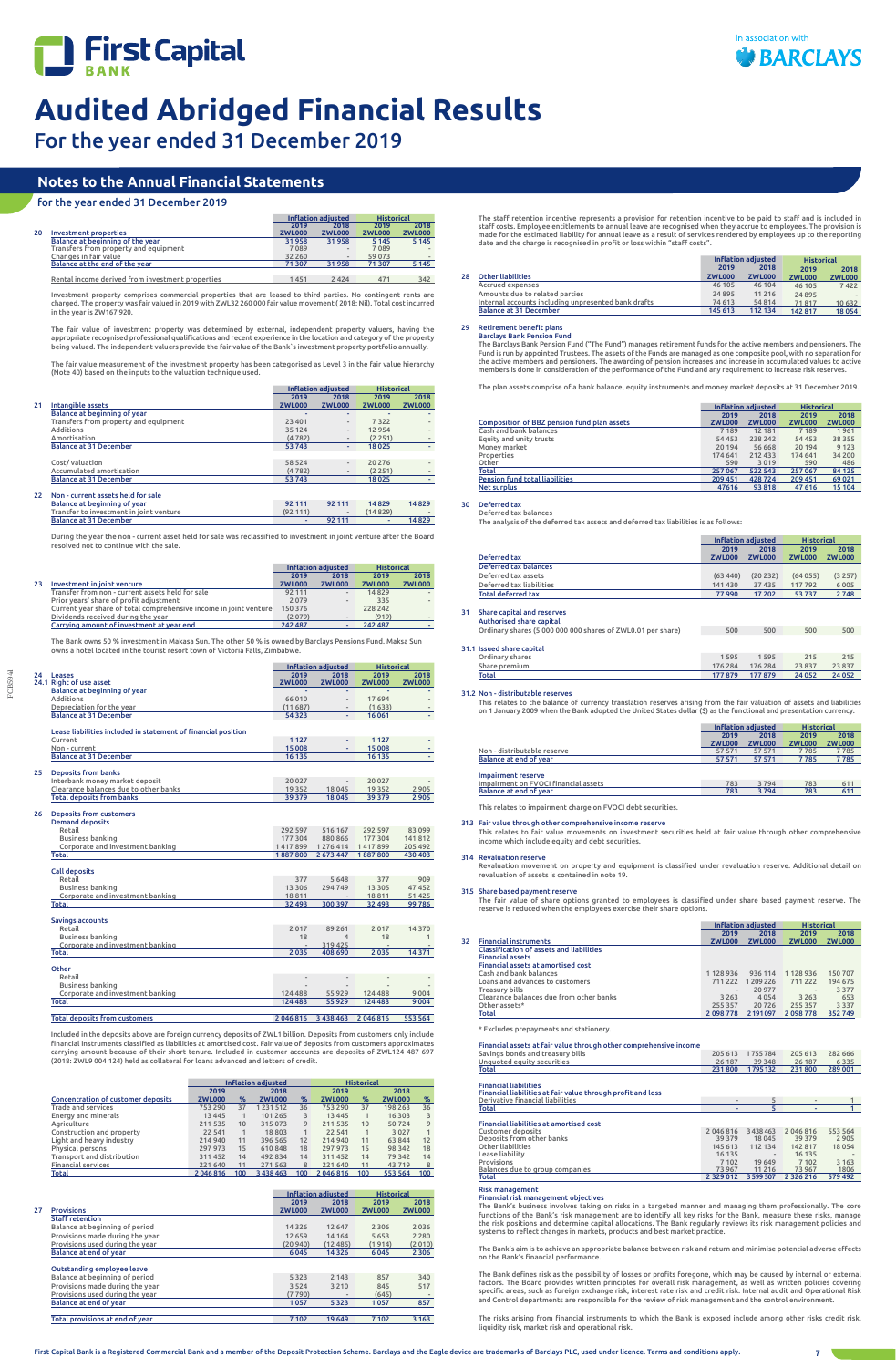



For the year ended 31 December 2019

FCB5941

# **Notes to the Annual Financial Statements**

# for the year ended 31 December 2019

|    |                                                  | <b>Inflation adjusted</b> |               | <b>Historical</b> |               |
|----|--------------------------------------------------|---------------------------|---------------|-------------------|---------------|
|    |                                                  | 2019                      | 2018          | 2019              | 2018          |
| 20 | Investment properties                            | <b>ZWL000</b>             | <b>ZWL000</b> | <b>ZWL000</b>     | <b>ZWL000</b> |
|    | Balance at beginning of the year                 | 31958                     | 31958         | 5 1 4 5           | 5 1 4 5       |
|    | Transfers from property and equipment            | 7089                      | -             | 7089              |               |
|    | Changes in fair value                            | 32 260                    |               | 59 073            |               |
|    | Balance at the end of the year                   | 71 307                    | 31958         | 71 307            | 5 1 4 5       |
|    |                                                  |                           |               |                   |               |
|    | Rental income derived from investment properties | 1451                      | 2424          | 471               | 342           |

Investment property comprises commercial properties that are leased to third parties. No contingent rents are charged. The property was fair valued in 2019 with ZWL32 260 000 fair value movement ( 2018: Nil). Total cost incurred in the year is ZW167 920.

The fair value of investment property was determined by external, independent property valuers, having the appropriate recognised professional qualifications and recent experience in the location and category of the property being valued. The independent valuers provide the fair value of the Bank`s investment property portfolio annually.

The fair value measurement of the investment property has been categorised as Level 3 in the fair value hierarchy (Note 40) based on the inputs to the valuation technique used.

|    |                                         | <b>Inflation adiusted</b> |                          | <b>Historical</b> |                          |
|----|-----------------------------------------|---------------------------|--------------------------|-------------------|--------------------------|
|    |                                         | 2019                      | 2018                     | 2019              | 2018                     |
| 21 | Intangible assets                       | <b>ZWL000</b>             | <b>ZWL000</b>            | <b>ZWL000</b>     | <b>ZWL000</b>            |
|    | Balance at beginning of year            |                           |                          |                   |                          |
|    | Transfers from property and equipment   | 23 401                    |                          | 7322              |                          |
|    | Additions                               | 35 124                    |                          | 12954             | $\overline{\phantom{a}}$ |
|    | Amortisation                            | (4782)                    |                          | (2251)            |                          |
|    | <b>Balance at 31 December</b>           | 53 743                    | ٠                        | 18025             |                          |
|    |                                         |                           |                          |                   |                          |
|    | Cost/valuation                          | 58 5 24                   | $\overline{\phantom{a}}$ | 20 27 6           |                          |
|    | Accumulated amortisation                | (4782)                    |                          | (2251)            |                          |
|    | <b>Balance at 31 December</b>           | 53743                     |                          | 18 0 25           |                          |
| 22 | Non - current assets held for sale      |                           |                          |                   |                          |
|    | Balance at beginning of year            | 92 111                    | 92 111                   | 14829             | 14829                    |
|    | Transfer to investment in joint venture | (92111)                   |                          | (14829)           |                          |
|    | <b>Balance at 31 December</b>           | ٠                         | 92 111                   |                   | 14829                    |

During the year the non - current asset held for sale was reclassified to investment in joint venture after the Board resolved not to continue with the sale.

| 2018          |
|---------------|
| <b>ZWL000</b> |
|               |
|               |
|               |
| (919)         |
|               |
|               |

The Bank owns 50 % investment in Makasa Sun. The other 50 % is owned by Barclays Pensions Fund. Maksa Sun owns a hotel located in the tourist resort town of Victoria Falls, Zimbabwe.

|    |                                                               |                 | <b>Inflation adjusted</b>           | <b>Historical</b> |                  |
|----|---------------------------------------------------------------|-----------------|-------------------------------------|-------------------|------------------|
| 24 | Leases                                                        | 2019            | 2018                                | 2019              | 2018             |
|    | 24.1 Right of use asset                                       | <b>ZWL000</b>   | <b>ZWL000</b>                       | <b>ZWL000</b>     | <b>ZWL000</b>    |
|    | Balance at beginning of year                                  |                 | ٠                                   |                   |                  |
|    | Additions                                                     | 66 010          | $\overline{\phantom{a}}$            | 17694             | $\overline{a}$   |
|    | Depreciation for the year                                     | (11687)         |                                     | (1633)            |                  |
|    | <b>Balance at 31 December</b>                                 | 54 3 23         |                                     | 16 061            |                  |
|    | Lease liabilities included in statement of financial position |                 |                                     |                   |                  |
|    | Current                                                       | 1 1 2 7         | ÷                                   | 1 1 2 7           |                  |
|    | Non - current                                                 | 15 008          | ÷                                   | 15 008            | ٠                |
|    | <b>Balance at 31 December</b>                                 | 16 135          |                                     | 16 135            | ٠                |
|    |                                                               |                 |                                     |                   |                  |
|    | <b>Deposits from banks</b>                                    |                 |                                     |                   |                  |
|    | Interbank money market deposit                                | 20 027          | $\overline{\phantom{a}}$            | 20 027            |                  |
|    | Clearance balances due to other banks                         | 19 3 5 2        | 18 045                              | 19 3 5 2          | 2 9 0 5          |
|    | <b>Total deposits from banks</b>                              | 39 3 79         | 18 0 45                             | 39 379            | 2905             |
|    | <b>Deposits from customers</b>                                |                 |                                     |                   |                  |
|    | <b>Demand deposits</b>                                        |                 |                                     |                   |                  |
|    | Retail                                                        | 292 597         | 516 167                             | 292 597           | 83 099           |
|    | Business banking                                              | 177 304         | 880 866                             | 177 304           | 141 812          |
|    | Corporate and investment banking                              |                 | 1417899 1276414                     | 1417899           | 205 492          |
|    | <b>Total</b>                                                  | 1887800         | 2 673 447                           | 1887800           | 430 403          |
|    |                                                               |                 |                                     |                   |                  |
|    | <b>Call deposits</b>                                          |                 |                                     |                   |                  |
|    | Retail                                                        | 377             | 5648                                | 377               | 909              |
|    | Business banking                                              | 13 3 06         | 294749                              | 13 305            | 47452            |
|    | Corporate and investment banking<br>Total                     | 18811<br>32 493 | $\overline{\phantom{a}}$<br>300 397 | 18811<br>32 493   | 51 425<br>99 786 |
|    |                                                               |                 |                                     |                   |                  |
|    | Savings accounts                                              |                 |                                     |                   |                  |
|    | Retail                                                        | 2017            | 89 261                              | 2017              | 14 370           |
|    | <b>Business banking</b>                                       | 18              | $\overline{4}$                      | 18                | 1                |
|    | Corporate and investment banking                              |                 | 319 425                             | $\overline{a}$    |                  |
|    | <b>Total</b>                                                  | 2035            | 408 690                             | 2035              | 14 3 7 1         |
|    | Other                                                         |                 |                                     |                   |                  |
|    | Retail                                                        |                 |                                     |                   |                  |
|    | <b>Business banking</b>                                       |                 |                                     |                   |                  |
|    | Corporate and investment banking                              | 124 488         | 55 929                              | 124 488           | 9004             |
|    | Total                                                         | 124 488         | 55 929                              | 124 488           | 9004             |
|    |                                                               |                 |                                     |                   |                  |
|    | <b>Total deposits from customers</b>                          | 2046816         | 3 438 463                           | 2046816           | 553 564          |

Included in the deposits above are foreign currency deposits of ZWL1 billion. Deposits from customers only include financial instruments classified as liabilities at amortised cost. Fair value of deposits from customers approximates carrying amount because of their short tenure. Included in customer accounts are deposits of ZWL124 487 697 (2018: ZWL9 004 124) held as collateral for loans advanced and letters of credit.

**Inflation adjusted Historical** 

|                                           | 2019          |      | 2018          |     | 2019          |      | 2018          |     |
|-------------------------------------------|---------------|------|---------------|-----|---------------|------|---------------|-----|
| <b>Concentration of customer deposits</b> | <b>ZWL000</b> | $\%$ | <b>ZWL000</b> | %   | <b>ZWL000</b> | $\%$ | <b>ZWL000</b> | %   |
| <b>Trade and services</b>                 | 753 290       | 37   | 1 2 3 1 5 1 2 | 36  | 753 290       | 37   | 198 263       | 36  |
| Energy and minerals                       | 13 445        |      | 101 265       | 3   | 13 4 45       |      | 16 303        | 3   |
| Agriculture                               | 211 535       | 10   | 315073        | 9   | 211 535       | 10   | 50724         | 9   |
| Construction and property                 | 22 541        |      | 18803         |     | 22 541        |      | 3 0 2 7       |     |
| Light and heavy industry                  | 214 940       | 11   | 396 565       | 12  | 214 940       | 11   | 63844         | 12  |
| Physical persons                          | 297 973       | 15   | 610848        | 18  | 297 973       | 15   | 98 342        | 18  |
| Transport and distribution                | 311452        | 14   | 492 834       | 14  | 311452        | 14   | 79 342        | 14  |
| <b>Financial services</b>                 | 221 640       | 11   | 271 563       | 8   | 221 640       | 11   | 43719         | 8   |
| <b>Total</b>                              | 2046816       | 100  | 3 4 3 8 4 6 3 | 100 | 2046816       | 100  | 553 564       | 100 |

|                                 | <b>Inflation adiusted</b> |               | <b>Historical</b> |               |
|---------------------------------|---------------------------|---------------|-------------------|---------------|
|                                 | 2019                      | 2018          | 2019              | 2018          |
| 27<br><b>Provisions</b>         | <b>ZWL000</b>             | <b>ZWL000</b> | <b>ZWL000</b>     | <b>ZWL000</b> |
| <b>Staff retention</b>          |                           |               |                   |               |
| Balance at beginning of period  | 14 3 26                   | 12 647        | 2 3 0 6           | 2036          |
| Provisions made during the year | 12 659                    | 14 1 64       | 5653              | 2 2 8 0       |
| Provisions used during the year | (20940)                   | (12485)       | (1914)            | (2010)        |
| Balance at end of year          | 6 0 4 5                   | 14 3 26       | 6045              | 2 3 0 6       |
| Outstanding employee leave      |                           |               |                   |               |
| Balance at beginning of period  | 5 3 2 3                   | 2 1 4 3       | 857               | 340           |
| Provisions made during the year | 3 5 2 4                   | 3 2 1 0       | 845               | 517           |
| Provisions used during the year | (7790)                    |               | (645)             |               |
| <b>Balance at end of year</b>   | 1057                      | 5 3 2 3       | 1057              | 857           |
| Total provisions at end of vear | 7 102                     | 19 649        | 7 102             | 3 1 6 3       |

The Bank's business involves taking on risks in a targeted manner and managing them professionally. The core<br>functions of the Bank's risk management are to identify all key risks for the Bank, measure these risks, manage<br>t systems to reflect changes in markets, products and best market practice.

The staff retention incentive represents a provision for retention incentive to be paid to staff and is included in staff costs. Employee entitlements to annual leave are recognised when they accrue to employees. The provision is<br>made for the estimated liability for annual leave as a result of services rendered by employees up to the re date and the charge is recognised in profit or loss within "staff costs".

|    |                                                     | <b>Inflation adjusted</b> |               | <b>Historical</b> |                          |
|----|-----------------------------------------------------|---------------------------|---------------|-------------------|--------------------------|
|    |                                                     | 2019                      | 2018          | 2019              | 2018                     |
| 28 | <b>Other liabilities</b>                            | <b>ZWL000</b>             | <b>ZWL000</b> | <b>ZWL000</b>     | <b>ZWL000</b>            |
|    | Accrued expenses                                    | 46 105                    | 46 104        | 46 105            | 7422                     |
|    | Amounts due to related parties                      | 24895                     | 11 2 16       | 24 8 95           | $\overline{\phantom{a}}$ |
|    | Internal accounts including unpresented bank drafts | 74 613                    | 54 8 14       | 71817             | 10 632                   |
|    | <b>Balance at 31 December</b>                       | 145 613                   | 112 134       | 142 817           | 18 0 54                  |

# 29 Retirement benefit plans Barclays Bank Pension Fund

The Barclays Bank Pension Fund ("The Fund") manages retirement funds for the active members and pensioners. The Fund is run by appointed Trustees. The assets of the Funds are managed as one composite pool, with no separation for<br>the active members and pensioners. The awarding of pension increases and increase in accumulated values t members is done in consideration of the performance of the Fund and any requirement to increase risk reserves.

The plan assets comprise of a bank balance, equity instruments and money market deposits at 31 December 2019.

|                                                    | <b>Inflation adjusted</b> |               | <b>Historical</b> |               |
|----------------------------------------------------|---------------------------|---------------|-------------------|---------------|
|                                                    | 2019                      | 2018          | 2019              | 2018          |
| <b>Composition of BBZ pension fund plan assets</b> | <b>ZWL000</b>             | <b>ZWL000</b> | <b>ZWL000</b>     | <b>ZWL000</b> |
| Cash and bank balances                             | 7 1 8 9                   | 12 181        | 7 1 8 9           | 1961          |
| Equity and unity trusts                            | 54 4 53                   | 238 242       | 54 4 53           | 38 35 5       |
| Money market                                       | 20 194                    | 56 668        | 20 194            | 9 1 2 3       |
| Properties                                         | 174 641                   | 212 433       | 174 641           | 34 200        |
| Other                                              | 590                       | 3019          | 590               | 486           |
| Total                                              | 257067                    | 522 543       | 257067            | 84 125        |
| <b>Pension fund total liabilities</b>              | 209 451                   | 428 724       | 209 451           | 69 0 21       |
| Net surplus                                        | 47616                     | 93 818        | 47 616            | 15 104        |

#### 30 Deferred tax Deferred tax balances

The analysis of the deferred tax assets and deferred tax liabilities is as follows:

|                              | Inflation adjusted |               | <b>Historical</b> |               |
|------------------------------|--------------------|---------------|-------------------|---------------|
|                              | 2019               | 2018          | 2019              | 2018          |
| Deferred tax                 | <b>ZWL000</b>      | <b>ZWL000</b> | <b>ZWL000</b>     | <b>ZWL000</b> |
| <b>Deferred tax balances</b> |                    |               |                   |               |
| Deferred tax assets          | (63, 440)          | (20232)       | (64055)           | (3 257)       |
| Deferred tax liabilities     | 141430             | 37 435        | 117792            | 6 0 0 5       |
| <b>Total deferred tax</b>    | 77990              | 17 202        | 53737             | 2 7 4 8       |
|                              |                    |               |                   |               |
| Share canital and recenses   |                    |               |                   |               |

# 31 Share capital and reserves Authorised share capital

| Total                                                       | 177879  | 177879  | 24 0 52 | 24 0 52 |
|-------------------------------------------------------------|---------|---------|---------|---------|
| Share premium                                               | 176 284 | 176 284 | 23837   | 23 837  |
| Ordinary shares                                             | 1595    | 1595    | 215     | 215     |
| 31.1 Issued share capital                                   |         |         |         |         |
| Ordinary shares (5 000 000 000 shares of ZWL0.01 per share) | 500     | 500     | 500     | 500     |
| AUCHOLISCU SHULC CUDICUL                                    |         |         |         |         |

# 31.2 Non - distributable reserves

This relates to the balance of currency translation reserves arising from the fair valuation of assets and liabilities on 1 January 2009 when the Bank adopted the United States dollar (\$) as the functional and presentation currency.

|                                      | Inflation adjusted |               | <b>Historical</b> |               |
|--------------------------------------|--------------------|---------------|-------------------|---------------|
|                                      | 2019               | 2018          | 2019              | 2018          |
|                                      | <b>ZWL000</b>      | <b>ZWL000</b> | <b>ZWL000</b>     | <b>ZWL000</b> |
| Non - distributable reserve          | 57 571             | 57 571        | 7785              | 7785          |
| Balance at end of year               | 57 571             | 57 571        | 7785              | 7785          |
|                                      |                    |               |                   |               |
| <b>Impairment reserve</b>            |                    |               |                   |               |
| Impairment on FVOCI financial assets | 783                | 3794          | 783               | 611           |
| Balance at end of year               | 783                | 3794          | 783               | 611           |

This relates to impairment charge on FVOCI debt securities.

#### 31.3 Fair value through other comprehensive income reserve

This relates to fair value movements on investment securities held at fair value through other comprehensive income which include equity and debt securities.

# 31.4 Revaluation reserve

Revaluation movement on property and equipment is classified under revaluation reserve. Additional detail on revaluation of assets is contained in note 19.

31.5 Share based payment reserve The fair value of share options granted to employees is classified under share based payment reserve. The reserve is reduced when the employees exercise their share options.

|    |                                                 |                | Inflation adiusted |                | <b>Historical</b> |
|----|-------------------------------------------------|----------------|--------------------|----------------|-------------------|
|    |                                                 | 2019           | 2018               | 2019           | 2018              |
| 32 | <b>Financial instruments</b>                    | <b>ZWL000</b>  | <b>ZWL000</b>      | <b>ZWL000</b>  | <b>ZWL000</b>     |
|    | <b>Classification of assets and liabilities</b> |                |                    |                |                   |
|    | <b>Financial assets</b>                         |                |                    |                |                   |
|    | <b>Financial assets at amortised cost</b>       |                |                    |                |                   |
|    | Cash and bank balances                          | 1128936        | 936 114            | 1128936        | 150 707           |
|    | Loans and advances to customers                 | 711 222        | 1209226            | 711 222        | 194 675           |
|    | Treasury bills                                  | $\overline{a}$ | 20 977             | $\overline{a}$ | 3 3 7 7           |
|    | Clearance balances due from other banks         | 3 2 6 3        | 4 0 5 4            | 3 2 6 3        | 653               |
|    | Other assets*                                   | 255 357        | 20726              | 255 357        | 3 3 3 7           |
|    | Total                                           | 2098778        | 2 191 097          | 2098778        | 352749            |

\* Excludes prepayments and stationery.

| Financial assets at fair value through other comprehensive income |  |
|-------------------------------------------------------------------|--|
| Savings bonds and treasury bills                                  |  |
| المحاولة ويستحدث وبالمستحيل والمحاجب ومحاليا                      |  |

| Savings bonds and treasury bills | 205 613 1755 784 | 205 613 282 666 |      |
|----------------------------------|------------------|-----------------|------|
| Unguoted equity securities       | 26 187 39 348    | 26 187          | 6335 |
| Total                            | 231 800 1795 132 | 231800 289001   |      |
|                                  |                  |                 |      |

# Financial liabilities Financial liabilities at fair value through profit and loss

| , mancial habiticity at ian value chi bagh profit and loyy<br>Derivative financial liabilities |  |  |
|------------------------------------------------------------------------------------------------|--|--|
| Total                                                                                          |  |  |

### Financial liabilities at amortised cost

| <b>Customer deposits</b>        | 2046816       | 3438463                      | 2046816       | 553 564   |
|---------------------------------|---------------|------------------------------|---------------|-----------|
| Deposits from other banks       | 39 3 79       | 18 045                       | 39 3 79       | 2 9 0 5   |
| Other liabilities               | 145 613       | 112 134                      | 142 817       | 18 0 54   |
| Lease liability                 | 16 135        | $\qquad \qquad \blacksquare$ | 16 13 5       | $\,$ $\,$ |
| Provisions                      | 7 102         | 19 649                       | 7 102         | 3 1 6 3   |
| Balances due to group companies | 73967         | 11 2 16                      | 73967         | 1806      |
| Total                           | 2 3 2 9 0 1 2 | 3 5 9 5 0 7                  | 2 3 2 6 2 1 6 | 579 492   |

# Risk management Financial risk management objectives

The Bank's aim is to achieve an appropriate balance between risk and return and minimise potential adverse effects on the Bank's financial performance.

The Bank defines risk as the possibility of losses or profits foregone, which may be caused by internal or external factors. The Board provides written principles for overall risk management, as well as written policies covering<br>specific areas, such as foreign exchange risk, interest rate risk and credit risk. Internal audit and Operati and Control departments are responsible for the review of risk management and the control environment.

The risks arising from financial instruments to which the Bank is exposed include among other risks credit risk, liquidity risk, market risk and operational risk.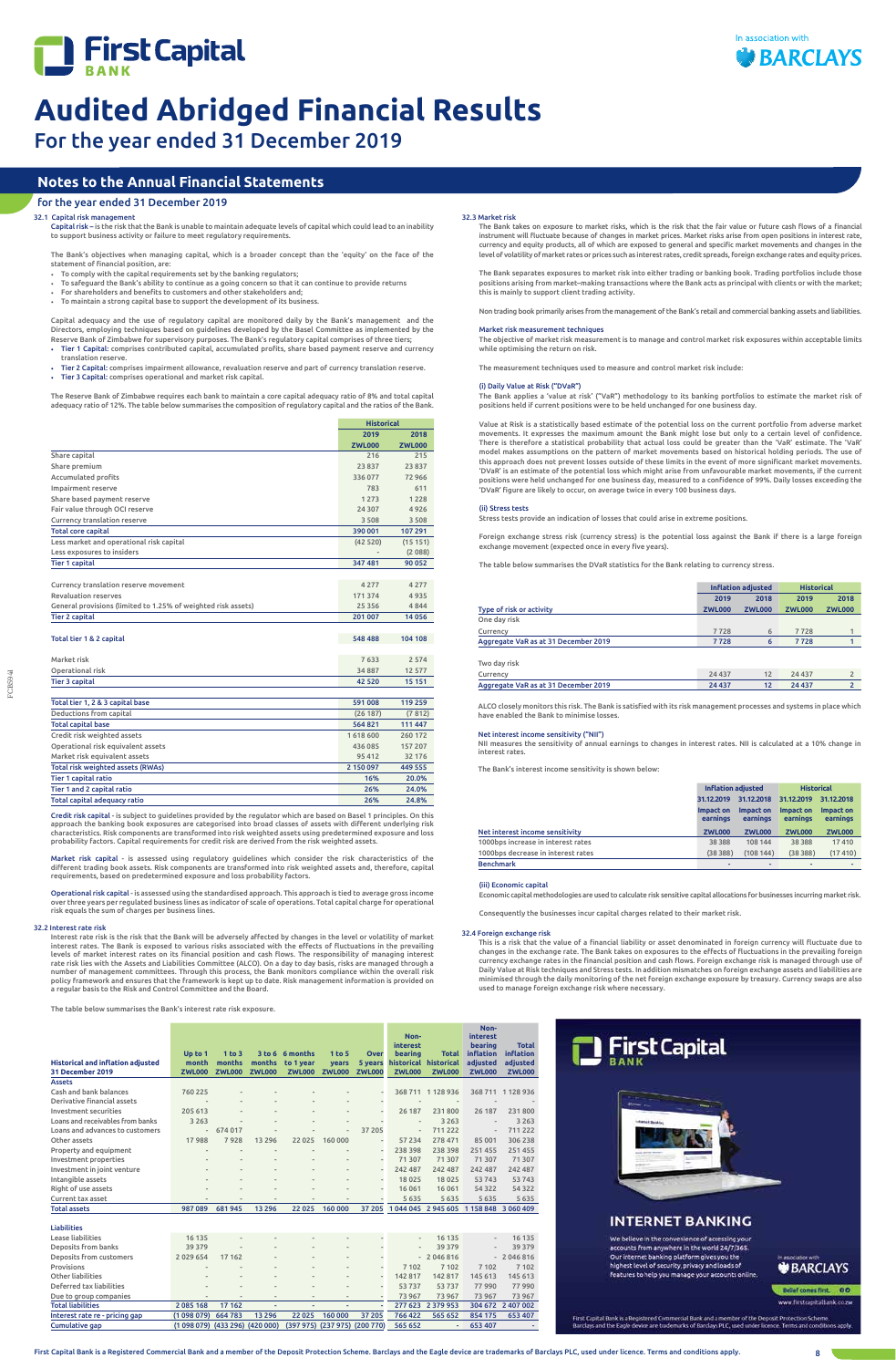



For the year ended 31 December 2019

FCB5941

# **Notes to the Annual Financial Statements**

# for the year ended 31 December 2019

32.1 Capital risk management

# 32.3 Market risk

The Bank takes on exposure to market risks, which is the risk that the fair value or future cash flows of a financial instrument will fluctuate because of changes in market prices. Market risks arise from open positions in interest rate, currency and equity products, all of which are exposed to general and specific market movements and changes in the level of volatility of market rates or prices such as interest rates, credit spreads, foreign exchange rates and equity prices.

The Bank separates exposures to market risk into either trading or banking book. Trading portfolios include those positions arising from market–making transactions where the Bank acts as principal with clients or with the market; this is mainly to support client trading activity.

Non trading book primarily arises from the management of the Bank's retail and commercial banking assets and liabilities.

# Market risk measurement techniques

The objective of market risk measurement is to manage and control market risk exposures within acceptable limits while optimising the return on risk.

The measurement techniques used to measure and control market risk include:

#### (i) Daily Value at Risk ("DVaR")

The Bank applies a 'value at risk' ("VaR") methodology to its banking portfolios to estimate the market risk of positions held if current positions were to be held unchanged for one business day.

Value at Risk is a statistically based estimate of the potential loss on the current portfolio from adverse market movements. It expresses the maximum amount the Bank might lose but only to a certain level of confidence. There is therefore a statistical probability that actual loss could be greater than the 'VaR' estimate. The 'VaR' model makes assumptions on the pattern of market movements based on historical holding periods. The use of this approach does not prevent losses outside of these limits in the event of more significant market movements. 'DVaR' is an estimate of the potential loss which might arise from unfavourable market movements, if the current positions were held unchanged for one business day, measured to a confidence of 99%. Daily losses exceeding the 'DVaR' figure are likely to occur, on average twice in every 100 business days.

# (ii) Stress tests

Stress tests provide an indication of losses that could arise in extreme positions.

Foreign exchange stress risk (currency stress) is the potential loss against the Bank if there is a large foreign exchange movement (expected once in every five years).

The table below summarises the DVaR statistics for the Bank relating to currency stress.

|                                      | <b>Inflation adjusted</b> |               | <b>Historical</b> |                          |
|--------------------------------------|---------------------------|---------------|-------------------|--------------------------|
|                                      | 2019                      | 2018          | 2019              | 2018                     |
| Type of risk or activity             | <b>ZWL000</b>             | <b>ZWL000</b> | <b>ZWL000</b>     | <b>ZWL000</b>            |
| One day risk                         |                           |               |                   |                          |
| Currency                             | 7728                      | 6             | 7728              |                          |
| Aggregate VaR as at 31 December 2019 | 7728                      | 6             | 7728              |                          |
| Two day risk                         |                           |               |                   |                          |
| Currency                             | 24 4 3 7                  | 12            | 24 4 3 7          | $\overline{2}$           |
| Aggregate VaR as at 31 December 2019 | 24 437                    | 12            | 24 4 3 7          | $\overline{\phantom{a}}$ |

ALCO closely monitors this risk. The Bank is satisfied with its risk management processes and systems in place which have enabled the Bank to minimise losses.

# Net interest income sensitivity ("NII")

NII measures the sensitivity of annual earnings to changes in interest rates. NII is calculated at a 10% change in interest rates.

The Bank's interest income sensitivity is shown below:

|                                    | <b>Inflation adjusted</b> |                          | <b>Historical</b>     |                          |  |
|------------------------------------|---------------------------|--------------------------|-----------------------|--------------------------|--|
|                                    | 31.12.2019                | 31.12.2018<br>31.12.2019 |                       | 31.12.2018               |  |
|                                    | Impact on<br>earnings     | Impact on<br>earnings    | Impact on<br>earnings | Impact on<br>earnings    |  |
| Net interest income sensitivity    | <b>ZWL000</b>             | <b>ZWL000</b>            | <b>ZWL000</b>         | <b>ZWL000</b>            |  |
| 1000bps increase in interest rates | 38 3 8 8                  | 108 144                  | 38 3 8 8              | 17410                    |  |
| 1000bps decrease in interest rates | (38388)                   | (108144)                 | (38388)               | (17410)                  |  |
| <b>Benchmark</b>                   | ٠                         | $\overline{\phantom{a}}$ | ۰                     | $\overline{\phantom{a}}$ |  |

#### (iii) Economic capital

Economic capital methodologies are used to calculate risk sensitive capital allocations for businesses incurring market risk.

Consequently the businesses incur capital charges related to their market risk.

|                                                               | <b>Historical</b> |               |
|---------------------------------------------------------------|-------------------|---------------|
|                                                               | 2019              | 2018          |
|                                                               | <b>ZWL000</b>     | <b>ZWL000</b> |
| Share capital                                                 | 216               | 215           |
| Share premium                                                 | 23837             | 23 837        |
| Accumulated profits                                           | 336077            | 72 966        |
| Impairment reserve                                            | 783               | 611           |
| Share based payment reserve                                   | 1 2 7 3           | 1 2 2 8       |
| Fair value through OCI reserve                                | 24 30 7           | 4926          |
| Currency translation reserve                                  | 3 5 0 8           | 3 5 0 8       |
| <b>Total core capital</b>                                     | 390 001           | 107 291       |
| Less market and operational risk capital                      | (42520)           | (15151)       |
| Less exposures to insiders                                    |                   | (2088)        |
| <b>Tier 1 capital</b>                                         | 347 481           | 90 052        |
|                                                               |                   |               |
| Currency translation reserve movement                         | 4 2 7 7           | 4277          |
| <b>Revaluation reserves</b>                                   | 171 374           | 4935          |
| General provisions (limited to 1.25% of weighted risk assets) | 25 3 5 6          | 4844          |
| <b>Tier 2 capital</b>                                         | 201 007           | 14056         |
|                                                               |                   |               |
| Total tier 1 & 2 capital                                      | 548 488           | 104 108       |
|                                                               |                   |               |
| Market risk                                                   | 7633              | 2574          |
| Operational risk                                              | 34887             | 12 577        |
| <b>Tier 3 capital</b>                                         | 42 5 20           | 15 15 1       |
|                                                               |                   |               |
| Total tier 1, 2 & 3 capital base                              | 591008            | 119 259       |
| Deductions from capital                                       | (26187)           | (7812)        |
| <b>Total capital base</b>                                     | 564821            | 111 447       |
| Credit risk weighted assets                                   | 1618600           | 260 172       |
| Operational risk equivalent assets                            | 436 085           | 157 207       |
| Market risk equivalent assets                                 | 95 412            | 32 176        |
| Total risk weighted assets (RWAs)                             | 2 150 097         | 449 555       |
| <b>Tier 1 capital ratio</b>                                   | 16%               | 20.0%         |
| Tier 1 and 2 capital ratio                                    | 26%               | 24.0%         |
| Total capital adequacy ratio                                  | 26%               | 24.8%         |
|                                                               |                   |               |

Credit risk capital - is subject to guidelines provided by the regulator which are based on Basel 1 principles. On this approach the banking book exposures are categorised into broad classes of assets with different underlying risk characteristics. Risk components are transformed into risk weighted assets using predetermined exposure and loss probability factors. Capital requirements for credit risk are derived from the risk weighted assets.

Market risk capital - is assessed using regulatory guidelines which consider the risk characteristics of the different trading book assets. Risk components are transformed into risk weighted assets and, therefore, capital requirements, based on predetermined exposure and loss probability factors.

Operational risk capital - is assessed using the standardised approach. This approach is tied to average gross income over three years per regulated business lines as indicator of scale of operations. Total capital charge for operational risk equals the sum of charges per business lines.

### 32.2 Interest rate risk

# Interest rate risk is the risk that the Bank will be adversely affected by changes in the level or volatility of market

interest rates. The Bank is exposed to various risks associated with the effects of fluctuations in the prevailing levels of market interest rates on its financial position and cash flows. The responsibility of managing interest<br>rate risk lies with the Assets and Liabilities Committee (ALCO). On a day to day basis, risks are managed th number of management committees. Through this process, the Bank monitors compliance within the overall risk policy framework and ensures that the framework is kept up to date. Risk management information is provided on a regular basis to the Risk and Control Committee and the Board.

Capital risk – is the risk that the Bank is unable to maintain adequate levels of capital which could lead to an inability to support business activity or failure to meet regulatory requirements.

The Bank's objectives when managing capital, which is a broader concept than the 'equity' on the face of the statement of financial position, are:

- To comply with the capital requirements set by the banking regulators;
- To safeguard the Bank's ability to continue as a going concern so that it can continue to provide returns • For shareholders and benefits to customers and other stakeholders and;
- To maintain a strong capital base to support the development of its business.

Capital adequacy and the use of regulatory capital are monitored daily by the Bank's management and the Directors, employing techniques based on guidelines developed by the Basel Committee as implemented by the Reserve Bank of Zimbabwe for supervisory purposes. The Bank's regulatory capital comprises of three tiers;

- Tier 1 Capital: comprises contributed capital, accumulated profits, share based payment reserve and currency translation reserve.
- Tier 2 Capital: comprises impairment allowance, revaluation reserve and part of currency translation reserve. • Tier 3 Capital: comprises operational and market risk capital.
- 

The Reserve Bank of Zimbabwe requires each bank to maintain a core capital adequacy ratio of 8% and total capital adequacy ratio of 12%. The table below summarises the composition of regulatory capital and the ratios of the Bank.

The table below summarises the Bank's interest rate risk exposure.

**years** 

**5 years**

**historical**

**Historical and inflation adjusted Up to 1 month 1 to 3 months 3 to 6 6 months months to 1 year 31 December 2019 ZWL000 ZWL000 ZWL000 ZWL000 ZWL000 ZWL000 ZWL000 ZWL000 ZWL000 ZWL000**

#### **1 to 5 Over Noninterest bearing Total Noninterest bearing inflation Total inflation**

**historical**

**adjusted**

**adjusted**

Assets

| Cash and bank balances           | 760 225                  | $\overline{a}$           |                          | -                        |                          |                          |                          | 368 711 1 128 936            | 368711                   | 1128936 |
|----------------------------------|--------------------------|--------------------------|--------------------------|--------------------------|--------------------------|--------------------------|--------------------------|------------------------------|--------------------------|---------|
| Derivative financial assets      | $\overline{\phantom{a}}$ | $\overline{\phantom{a}}$ | $\overline{\phantom{a}}$ | $\overline{\phantom{a}}$ | ۰                        |                          | ۰                        | $\qquad \qquad \blacksquare$ | $\qquad \qquad$          |         |
| Investment securities            | 205 613                  | $\overline{\phantom{a}}$ | $\overline{\phantom{a}}$ | $\overline{\phantom{a}}$ | ۰                        | ۰                        | 26 187                   | 231800                       | 26 187                   | 231800  |
| Loans and receivables from banks | 3 2 6 3                  | $\overline{a}$           | $\overline{a}$           | $\overline{\phantom{a}}$ | $\overline{\phantom{a}}$ |                          | $\overline{\phantom{a}}$ | 3 2 6 3                      | $\overline{\phantom{a}}$ | 3 2 6 3 |
| Loans and advances to customers  | $\overline{\phantom{a}}$ | 674 017                  | $\overline{a}$           | $\overline{a}$           | ٠                        | 37 205                   | $\overline{\phantom{m}}$ | 711222                       | $\overline{\phantom{a}}$ | 711 222 |
| Other assets                     | 17988                    | 7928                     | 13 2 9 6                 | 22 0 25                  | 160 000                  | $\overline{\phantom{0}}$ | 57 234                   | 278 471                      | 85 001                   | 306 238 |
| Property and equipment           | $\qquad \qquad$          | $\overline{a}$           | $\overline{\phantom{a}}$ | ٠                        |                          |                          | 238 398                  | 238 398                      | 251 455                  | 251 455 |
| Investment properties            |                          | $\overline{a}$           | ۰                        | $\overline{\phantom{a}}$ | ۰                        |                          | 71 307                   | 71 307                       | 71 307                   | 71 307  |
| Investment in joint venture      | $\overline{\phantom{a}}$ | $\overline{\phantom{a}}$ | ۰                        | $\overline{\phantom{a}}$ | -                        |                          | 242 487                  | 242 487                      | 242 487                  | 242 487 |
| Intangible assets                |                          | $\overline{\phantom{a}}$ | $\,$                     | $\overline{\phantom{a}}$ | $\sim$                   |                          | 18 0 25                  | 18 0 25                      | 53743                    | 53743   |
| Right of use assets              | $\overline{\phantom{a}}$ | $\overline{\phantom{a}}$ | -                        | $\overline{\phantom{a}}$ | $\overline{a}$           | ۰                        | 16 061                   | 16061                        | 54 3 2 2                 | 54 3 22 |
| Current tax asset                | $\overline{\phantom{a}}$ | $\overline{\phantom{a}}$ | -                        | $\blacksquare$           |                          |                          | 5 6 3 5                  | 5635                         | 5635                     | 5635    |
| <b>Total assets</b>              | 987089                   | 681945                   | 13 29 6                  | 22 0 25                  | 160 000                  | 37 205                   | 1044045                  | 2945 605 1158 848 3060 409   |                          |         |
|                                  |                          |                          |                          |                          |                          |                          |                          |                              |                          |         |
| <b>Liabilities</b>               |                          |                          |                          |                          |                          |                          |                          |                              |                          |         |
| Lease liabilities                | 16 13 5                  | $\overline{\phantom{a}}$ |                          | $\overline{\phantom{a}}$ | $\sim$                   |                          | $\overline{\phantom{a}}$ | 16 135                       | $\frac{1}{2}$            | 16 135  |
| Deposits from banks              | 39 379                   | ۰                        |                          | ۰                        |                          |                          | $\overline{\phantom{a}}$ | 39 379                       | $\frac{1}{2}$            | 39 379  |

Deposits from customers 2 029 654 17 162 - - - - - 2 046 816 - 2 046 816 Provisions - - - - - - 7 102 7 102 7 102 7 102 Other liabilities - - - - - - 142 817 142 817 145 613 145 613 Deferred tax liabilities - - - - - - 53 737 53 737 77 990 77 990 Due to group companies - - - - - - - - - - - - - - - - 73 967 73 967 73 967 Total liabilities 2 085 168 17 162 - - - - 277 623 2 379 953 304 672 2 407 002 Interest rate re - pricing gap (1 098 079) 664 783 13 296 22 025 160 000 37 205 766 422 565 652 854 175 653 407 Cumulative gap (1 098 079) (433 296) (420 000) (397 975 ) (237 975) (200 770) 565 652 - 653 407 -



# **INTERNET BANKING**

We believe in the convenience of accessing your accounts from anywhere in the world 24/7/365<br>Our internet banking platform gives you the highest level of security, privacy and loads of<br>features to help you manage your accounts onli

# **BARCLAYS**

Belief comes first. 00

**diritcapitalbar** 

First Capital Bank is a Registered Commercial Bank and a member of the Deposit Protection Scheme<br>Barclays and the Eagle device are trademarks of Barclays PLC, used under licence. Terms and conditi

# 32.4 Foreign exchange risk

This is a risk that the value of a financial liability or asset denominated in foreign currency will fluctuate due to changes in the exchange rate. The Bank takes on exposures to the effects of fluctuations in the prevailing foreign currency exchange rates in the financial position and cash flows. Foreign exchange risk is managed through use of Daily Value at Risk techniques and Stress tests. In addition mismatches on foreign exchange assets and liabilities are minimised through the daily monitoring of the net foreign exchange exposure by treasury. Currency swaps are also used to manage foreign exchange risk where necessary.

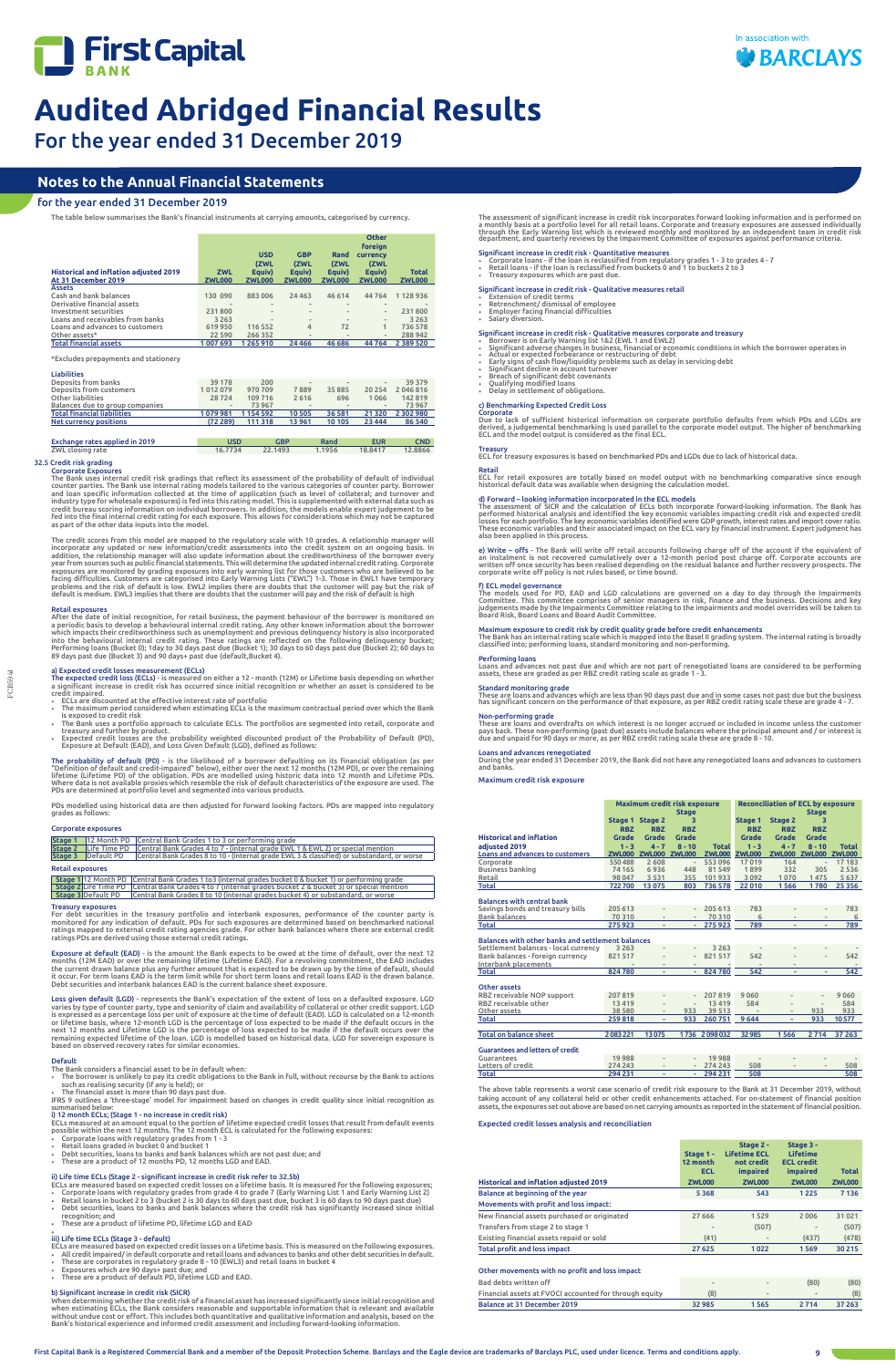



For the year ended 31 December 2019

FCB5941

Retail exposures<br>After the date of initial recognition, for retail business, the payment behaviour of the borrower is monitored on<br>a periodic basis to develop a behavioural internal credit rating. Any other known informati Performing loans (Bucket 0); 1day to 30 days past due (Bucket 1); 30 days to 60 days past due (Bucket 2); 60 days to<br>89 days past due (Bucket 3) and 90 days+ past due (default,Bucket 4).

a) Expected credit losses measurement (ECLs)<br>The expected credit loss (ECLs) - is measured on either a 12 - month (12M) or Lifetime basis depending on whether<br>a significant increase in credit risk has occurred since initia

- 
- 
- FCLs are discounted at the effective interest rate of portfolio<br>
The maximum contractual period over which the Bank<br>
is exposed to credit risk<br>
The Bank uses a portfolio approach to calculate ECLs. The portfolios are segme
- 

T**he probability of default (PD)** - is the likelihood of a borrower defaulting on its financial obligation (as per<br>"Definition of default and credit-impaired" below), either over the next 12 months (12M PD), or over the re Where data is not available proxies which resemble the risk of default characteristics of the exposure are used. The<br>PDs are determined at portfolio level and segmented into various products.

# **Notes to the Annual Financial Statements**

# for the year ended 31 December 2019

The table below summarises the Bank's financial instruments at carrying amounts, categorised by currency.

|                                               |               |                              |                              |                              | <b>Other</b>                 |               |
|-----------------------------------------------|---------------|------------------------------|------------------------------|------------------------------|------------------------------|---------------|
|                                               |               | <b>USD</b><br>(ZWL           | <b>GBP</b><br>(ZWL           | Rand<br>(ZWL                 | foreign<br>currency<br>(ZWL  |               |
| <b>Historical and inflation adjusted 2019</b> | <b>ZWL</b>    | Equiv)                       | Eauiv)                       | Equiv)                       | Equiv)                       | <b>Total</b>  |
| At 31 December 2019                           | <b>ZWL000</b> | <b>ZWL000</b>                | <b>ZWL000</b>                | <b>ZWL000</b>                | <b>ZWL000</b>                | <b>ZWL000</b> |
| <b>Assets</b>                                 |               |                              |                              |                              |                              |               |
| Cash and bank balances                        | 130 090       | 883 006                      | 24 4 6 3                     | 46 614                       | 44764                        | 1128936       |
| Derivative financial assets                   | -             | $\qquad \qquad \blacksquare$ | $\overline{\phantom{a}}$     | $\qquad \qquad \blacksquare$ | $\qquad \qquad \blacksquare$ | ۰             |
| Investment securities                         | 231 800       | $\frac{1}{2}$                | $\frac{1}{2}$                |                              | $\overline{\phantom{m}}$     | 231800        |
| Loans and receivables from banks              | 3 2 6 3       | $\frac{1}{2}$                | $\qquad \qquad \blacksquare$ | $\qquad \qquad \blacksquare$ | $\overline{\phantom{m}}$     | 3 2 6 3       |
| Loans and advances to customers               | 619 950       | 116 552                      | 4                            | 72                           |                              | 736 578       |
| Other assets*                                 | 22 5 9 0      | 266 352                      | $\sim$                       | $\blacksquare$               | $\qquad \qquad \blacksquare$ | 288942        |
| <b>Total financial assets</b>                 | 1 007 693     | 1265910                      | 24 4 6 6                     | 46 68 6                      | 44764                        | 2 3 8 9 5 2 0 |

# \*Excludes prepayments and stationery

| <b>Liabilities</b>                 |                              |           |                          |                              |                              |           |
|------------------------------------|------------------------------|-----------|--------------------------|------------------------------|------------------------------|-----------|
| Deposits from banks                | 39 178                       | 200       | $\overline{\phantom{a}}$ | $\qquad \qquad \blacksquare$ | $\qquad \qquad \blacksquare$ | 39 379    |
| <b>Deposits from customers</b>     | 1012079                      | 970 709   | 7889                     | 35 8 8 5                     | 20 254                       | 2046816   |
| Other liabilities                  | 28724                        | 109 716   | 2 6 1 6                  | 696                          | 1066                         | 142819    |
| Balances due to group companies    | $\qquad \qquad \blacksquare$ | 73 967    | $\qquad \qquad$          | $\blacksquare$               | $\qquad \qquad \blacksquare$ | 73967     |
| <b>Total financial liabilities</b> | 1079981                      | 1 154 592 | 10 505                   | 36 581                       | 21 3 20                      | 2 302 980 |
| <b>Net currency positions</b>      | (72289)                      | 111 318   | 13 961                   | 10 10 5                      | 23 4 44                      | 86 540    |
|                                    |                              |           |                          |                              |                              |           |

| Exchange rates applied in 2019 | USD     | GBP     | Rand   | <b>EUR</b> | <b>CND</b> |
|--------------------------------|---------|---------|--------|------------|------------|
| ZWL closing rate               | 16.7734 | 22.1493 | 1.1956 | 18,8417    | 12,8866    |
|                                |         |         |        |            |            |

# 32.5 Credit risk grading Corporate Exposures

The Bank uses internal credit risk gradings that reflect its assessment of the probability of default of individual<br>counter parties. The Bank use internal rating models tailored to the various categories of counter party.

The credit scores from this model are mapped to the regulatory scale with 10 grades. A relationship manager will incorporate any updated or new information/credit assessments into the credit system on an ongoing basis. In<br>addition, the relationship manager will also update information about the creditworthiness of the borrower every<br> default is medium. EWL3 implies that there are doubts that the customer will pay and the risk of default is high

- ECLs are measured based on expected credit losses on a lifetime basis. It is measured for the following exposures;<br>• Corporate loans with regulatory grades from grade 4 to grade 7 (Early Warning List 1 and Early Warning
- 
- 
- recognition; and These are a product of lifetime PD, lifetime LGD and EAD

- ECLs are measured based on expected credit losses on a lifetime basis. This is measured on the following exposures.<br>• All credit impaired/ in default corporate and retail loans and advances to banks and other debt secur
- 
- 
- Exposures which are 90 days+ past due; and These are a product of default PD, lifetime LGD and EAD.

PDs modelled using historical data are then adjusted for forward looking factors. PDs are mapped into regulatory grades as follows:

# Corporate exposures

|                           | <b>Stage 1</b> 12 Month PD Central Bank Grades 1 to 3 or performing grade                           |
|---------------------------|-----------------------------------------------------------------------------------------------------|
|                           | Stage 2 Life Time PD Central Bank Grades 4 to 7 - (internal grade EWL 1 & EWL 2) or special mention |
| <b>Stage 3</b> Default PD | Central Bank Grades 8 to 10 - (internal grade EWL 3 & classified) or substandard, or worse          |

# Retail exposures

Stage 1|12 Month PD | Central Bank Grades 1 to3 (internal grades bucket 0 & bucket 1) or performing grade Stage 2|Life Time PD | Central Bank Grades 4 to 7 (internal grades bucket 2 & bucket 3) or special mention<br>Stage 3|Default PD | Central Bank Grades 8 to 10 (internal grades bucket 4) or substandard, or worse

### Treasury exposures

For debt securities in the treasury portfolio and interbank exposures, performance of the counter party is<br>monitored for any indication of default. PDs for such exposures are determined based on benchmarked national<br>rating

Exposure at default (EAD) - is the amount the Bank expects to be owed at the time of default, over the next 12<br>months (12M EAD) or over the remaining lifetime (Lifetime EAD). For a revolving commitment, the EAD includes<br>th

Loss given default (LGD) - represents the Bank's expectation of the extent of loss on a defaulted exposure. LGD<br>varies by type of counter party, type and seniority of claim and availability of collateral or other credit su

#### Default The Bank considers a financial asset to be in default when:

The assessment of significant increase in credit risk incorporates forward looking information and is performed on<br>a monthly basis at a portfolio level for all retail loans. Corporate and treasury exposures are assessed in

Significant increase in credit risk - Quantitative measures<br>• Corporate loans - if the loan is reclassified from regulatory grades 1 - 3 to grades 4 - 7<br>• Retail loans - if the loan is reclassified from buckets 0 and 1 to

# ii) Life time ECLs (Stage 2 - significant increase in credit risk refer to 32.5b)

# • iii) Life time ECLs (Stage 3 - default)

# b) Significant increase in credit risk (SICR)

When determining whether the credit risk of a financial asset has increased significantly since initial recognition and<br>when estimating ECLs, the Bank considers reasonable and supportable information that is relevant and a

Significant increase in credit risk - Qualitative measures retail

# • Extension of credit terms • Retrenchment/ dismissal of employee • Employer facing financial difficulties • Salary diversion.

- Significant increase in credit risk Qualitative measures corporate and treasury<br>• Borrower is on Early Warning list 1&2 (EWL 1 and EWL2)<br>• Significant adverse changes in business, financial or economic conditions in whic
- 
- 
- 
- 

# c) Benchmarking Expected Credit Loss

**Corporate**<br>Due to lack of sufficient historical information on corporate portfolio defaults from which PDs and LGDs are<br>derived, a judgemental benchmarking is used parallel to the corporate model output. The higher of ben

Treasury ECL for treasury exposures is based on benchmarked PDs and LGDs due to lack of historical data.

Retail<br>ECL for retail exposures are totally based on model output with no benchmarking comparative since enough<br>historical default data was available when designing the calculation model.

d) Forward – looking information incorporated in the ECL models<br>The assessment of SICR and the calculation of ECLs both incorporate forward-looking information. The Bank has<br>performed historical analysis and identified the

**e) Write – offs -** The Bank will write off retail accounts following charge off of the account if the equivalent of<br>an instalment is not recovered cumulatively over a 12-month period post charge off. Corporate accounts ar

f) ECL model governance<br>The models used for PD, EAD and LGD calculations are governed on a day to day through the Impairments<br>Committee. This committee comprises of senior managers in risk, finance and the business. Decisi

Maximum exposure to credit risk by credit quality grade before credit enhancements<br>The Bank has an internal rating scale which is mapped into the Basel II grading system. The internal rating is broadly<br>classified into; per

# Performing loans

Loans and advances not past due and which are not part of renegotiated loans are considered to be performing<br>assets, these are graded as per RBZ credit rating scale as grade 1 - 3.

# Standard monitoring grade

These are loans and advances which are less than 90 days past due and in some cases not past due but the business<br>has significant concern on the performance of that exposure, as per RBZ credit rating scale these are grade

Non-performing grade<br>These are loans and overdrafts on which interest is no longer accrued or included in income unless the customer<br>pays back. These non-performing (past due) assets include balances where the principal am

Loans and advances renegotiated During the year ended 31 December 2019, the Bank did not have any renegotiated loans and advances to customers and banks.

## Maximum credit risk exposure

|                                                   | Maximum credit risk exposure |                          |                          | <b>Reconciliation of ECL by exposure</b> |               |                          |                              |               |
|---------------------------------------------------|------------------------------|--------------------------|--------------------------|------------------------------------------|---------------|--------------------------|------------------------------|---------------|
|                                                   |                              |                          | <b>Stage</b>             |                                          |               |                          | <b>Stage</b>                 |               |
|                                                   |                              | Stage 1 Stage 2          | з.                       |                                          | Stage 1       | Stage 2                  | з                            |               |
|                                                   | <b>RBZ</b>                   | <b>RBZ</b>               | <b>RBZ</b>               |                                          | <b>RBZ</b>    | <b>RBZ</b>               | <b>RBZ</b>                   |               |
| <b>Historical and inflation</b>                   | Grade                        | <b>Grade</b>             | Grade                    |                                          | Grade         | <b>Grade</b>             | Grade                        |               |
| adiusted 2019                                     | $1 - 3$                      | $4 - 7$                  | $8 - 10$                 | <b>Total</b>                             | $1 - 3$       | $4 - 7$                  | $8 - 10$                     | <b>Total</b>  |
| Loans and advances to customers                   | <b>ZWL000</b>                | <b>ZWL000 ZWL000</b>     |                          | <b>ZWL000</b>                            | <b>ZWL000</b> | <b>ZWL000</b>            | <b>ZWL000</b>                | <b>ZWL000</b> |
|                                                   |                              |                          |                          |                                          |               |                          |                              |               |
| Corporate                                         | 550488                       | 2608                     | $\overline{\phantom{a}}$ | 553 096                                  | 17019         | 164                      | $\qquad \qquad \blacksquare$ | 17 183        |
| <b>Business banking</b>                           | 74 165                       | 6936                     | 448                      | 81 549                                   | 1899          | 332                      | 305                          | 2 5 3 6       |
| Retail                                            | 98 047                       | 3531                     | 355                      | 101933                                   | 3 0 9 2       | 1070                     | 1475                         | 5 6 3 7       |
| Total                                             | 722700                       | 13 0 75                  | 803                      | 736 578                                  | 22 010        | 1566                     | 1780                         | 25 3 56       |
|                                                   |                              |                          |                          |                                          |               |                          |                              |               |
| <b>Balances with central bank</b>                 |                              |                          |                          |                                          |               |                          |                              |               |
| Savings bonds and treasury bills                  | 205 613                      |                          |                          | 205 613                                  | 783           |                          | $\qquad \qquad \blacksquare$ | 783           |
| <b>Bank balances</b>                              | 70 310                       | $\overline{\phantom{a}}$ | $\sim$                   | 70310                                    | 6             | $\overline{\phantom{a}}$ | $\overline{\phantom{a}}$     | 6             |
| <b>Total</b>                                      | 275 923                      | ٠                        | ÷.                       | 275923                                   | 789           | ٠                        | ٠                            | 789           |
|                                                   |                              |                          |                          |                                          |               |                          |                              |               |
| Balances with other banks and settlement balances |                              |                          |                          |                                          |               |                          |                              |               |
| Settlement balances - local currency              | 3 2 6 3                      |                          |                          | 3 2 6 3                                  |               |                          |                              |               |
| Bank balances - foreign currency                  | 821 517                      |                          |                          | 821517                                   | 542           |                          | $\overline{\phantom{a}}$     | 542           |
| Interbank placements                              |                              | $\frac{1}{2}$            |                          |                                          |               |                          |                              |               |
| <b>Total</b>                                      | 824780                       | ٠                        |                          | 824780                                   | 542           | ÷                        | ٠                            | 542           |
|                                                   |                              |                          |                          |                                          |               |                          |                              |               |
| Other assets                                      |                              |                          |                          |                                          |               |                          |                              |               |
| RBZ receivable NOP support                        | 207819                       |                          |                          | 207819                                   | 9060          |                          | $\overline{\phantom{m}}$     | 9060          |
| RBZ receivable other                              | 13419                        |                          |                          | 13419                                    | 584           |                          | $\overline{a}$               | 584           |
| Other assets                                      | 38 5 8 0                     |                          | 933                      | 39 513                                   |               |                          | 933                          | 933           |
| Total                                             | 259818                       | ٠                        | 933                      | 260751                                   | 9 6 4 4       | ٠                        | 933                          | 10577         |
|                                                   |                              |                          |                          |                                          |               |                          |                              |               |
| <b>Total on balance sheet</b>                     | 2083221                      | 13075                    |                          | 1736 2098032                             | 32985         | 1566                     | 2 7 1 4                      | 37 263        |
|                                                   |                              |                          |                          |                                          |               |                          |                              |               |
| <b>Guarantees and letters of credit</b>           |                              |                          |                          |                                          |               |                          |                              |               |
| Guarantees                                        | 19988                        |                          |                          | 19988                                    | $\frac{1}{2}$ |                          | $\overline{\phantom{0}}$     |               |
|                                                   |                              |                          |                          |                                          |               |                          |                              |               |
| Letters of credit                                 | 274 243                      |                          | $\overline{\phantom{0}}$ | 274 243                                  | 508           |                          | $\overline{\phantom{m}}$     | 508           |
| Total                                             | 294 231                      |                          |                          | 294 231                                  | 508           |                          |                              | 508           |

- 
- 

• The borrower is unlikely to pay its credit obligations to the Bank in full, without recourse by the Bank to actions<br>such as realising security (if any is held); or<br>• The financial asset is more than 90 days past due.<br>IFR

i) 12 month ECLs; (Stage 1 - no increase in credit risk)<br>ECLs measured at an amount equal to the portion of lifetime expected credit losses that result from default events<br>possible within the next 12 months. The 12 month E

- 
- 
- Corporate loans with regulatory grades from 1 3<br>• Retail loans graded in bucket 0 and bucket 1<br>• Debt securities, loans to banks and bank balances which are not past due; and<br>• These are a product of 12 mon
- 

The above table represents a worst case scenario of credit risk exposure to the Bank at 31 December 2019, without taking account of any collateral held or other credit enhancements attached. For on-statement of financial position assets, the exposures set out above are based on net carrying amounts as reported in the statement of financial position.

# Expected credit losses analysis and reconciliation

| <b>Historical and inflation adjusted 2019</b> | Stage 1 -<br>12 month<br><b>ECL</b><br><b>ZWL000</b> | Stage 2 -<br><b>Lifetime ECL</b><br>not credit<br><i>impaired</i><br><b>ZWL000</b> | Stage 3 -<br><b>Lifetime</b><br><b>ECL credit</b><br><i>impaired</i><br><b>ZWL000</b> | <b>Total</b><br><b>ZWL000</b> |
|-----------------------------------------------|------------------------------------------------------|------------------------------------------------------------------------------------|---------------------------------------------------------------------------------------|-------------------------------|
| Balance at beginning of the year              | 5 3 6 8                                              | 543                                                                                | 1225                                                                                  | 7 1 3 6                       |
| Movements with profit and loss impact:        |                                                      |                                                                                    |                                                                                       |                               |
| New financial assets purchased or originated  | 27 6 6 6                                             | 1529                                                                               | 2006                                                                                  | 31 0 21                       |
| Transfers from stage 2 to stage 1             | $\overline{a}$                                       | (507)                                                                              |                                                                                       | (507)                         |
| Existing financial assets repaid or sold      | (41)                                                 | $\qquad \qquad$                                                                    | (437)                                                                                 | (478)                         |
| <b>Total profit and loss impact</b>           | 27 625                                               | 1022                                                                               | 1569                                                                                  | 30 215                        |

# Other movements with no profit and loss impact

| Bad debts written off                                  | $\overline{\phantom{a}}$ |        | (80) | (80)   |
|--------------------------------------------------------|--------------------------|--------|------|--------|
| Financial assets at FVOCI accounted for through equity | (8)                      | $\sim$ |      |        |
| Balance at 31 December 2019                            | 32985                    | 1565   | 2714 | 37 263 |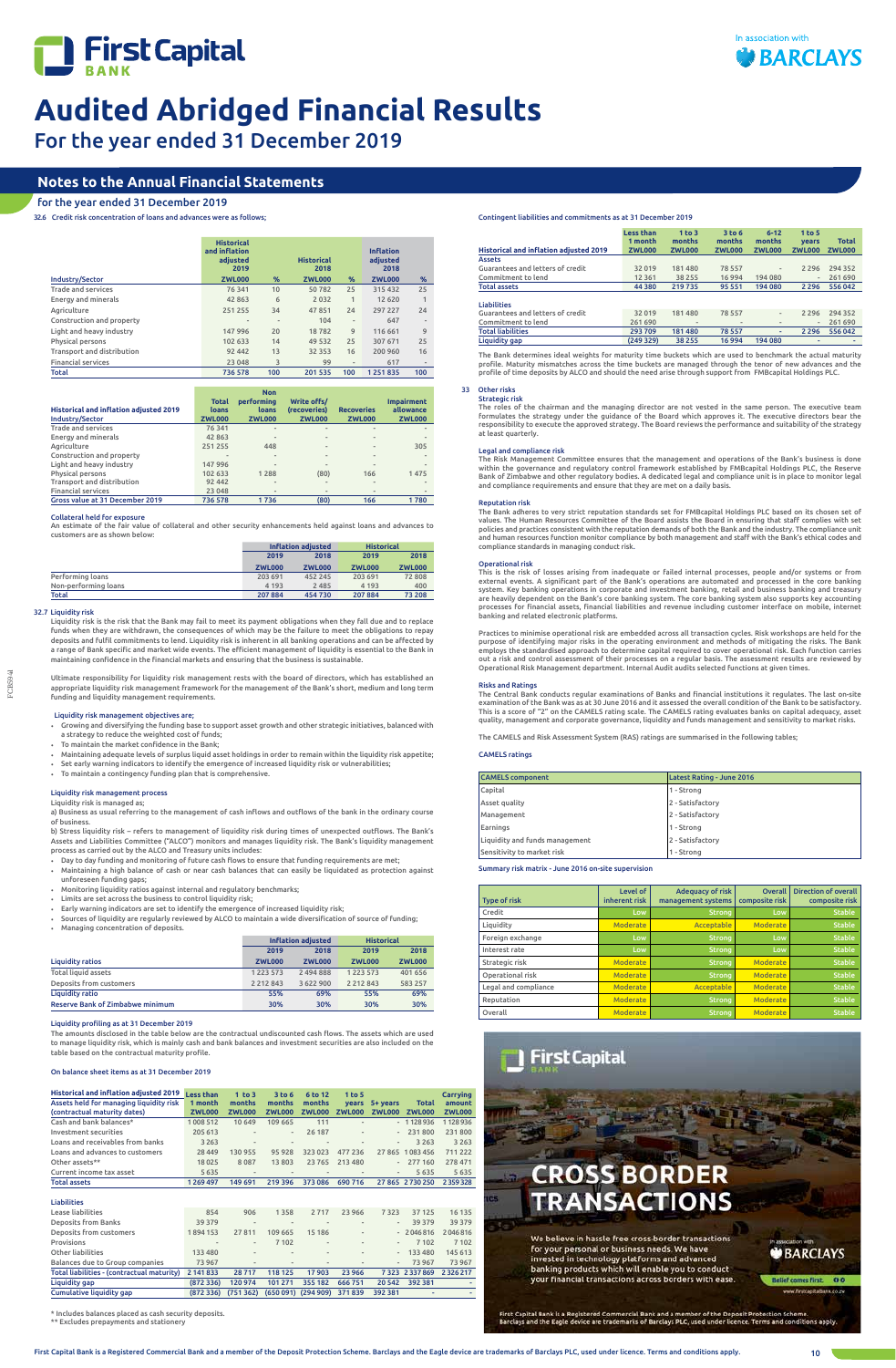



For the year ended 31 December 2019

# **Notes to the Annual Financial Statements**

# for the year ended 31 December 2019

32.6 Credit risk concentration of loans and advances were as follows;

|                            | <b>Historical</b><br>and inflation<br>adiusted<br>2019 |      | <b>Historical</b><br>2018 |               | <b>Inflation</b><br>adjusted<br>2018 |                          |
|----------------------------|--------------------------------------------------------|------|---------------------------|---------------|--------------------------------------|--------------------------|
| Industry/Sector            | <b>ZWL000</b>                                          | $\%$ | <b>ZWL000</b>             | $\%$          | <b>ZWL000</b>                        | $\%$                     |
| <b>Trade and services</b>  | 76341                                                  | 10   | 50782                     | 25            | 315 432                              | 25                       |
| <b>Energy and minerals</b> | 42863                                                  | 6    | 2032                      | $\mathbf{1}$  | 12 6 20                              | 1                        |
| Agriculture                | 251255                                                 | 34   | 47851                     | 24            | 297 227                              | 24                       |
| Construction and property  | $\qquad \qquad$                                        | ٠    | 104                       | $\frac{1}{2}$ | 647                                  | $\qquad \qquad$          |
| Light and heavy industry   | 147996                                                 | 20   | 18782                     | 9             | 116 661                              | 9                        |
| Physical persons           | 102 633                                                | 14   | 49 5 32                   | 25            | 307 671                              | 25                       |
| Transport and distribution | 92 442                                                 | 13   | 32 3 5 3                  | 16            | 200 960                              | 16                       |
| <b>Financial services</b>  | 23 048                                                 | 3    | 99                        | $\frac{1}{2}$ | 617                                  | $\overline{\phantom{a}}$ |
| <b>Total</b>               | 736 578                                                | 100  | 201535                    | 100           | 1251835                              | 100                      |

| <b>Historical and inflation adjusted 2019</b><br>Industry/Sector | <b>Total</b><br>loans<br><b>ZWL000</b> | <b>Non</b><br><b>performing</b><br>loans<br><b>ZWL000</b> | Write offs/<br>(recoveries)<br><b>ZWL000</b> | <b>Recoveries</b><br><b>ZWL000</b> | <b>Impairment</b><br>allowance<br><b>ZWL000</b> |
|------------------------------------------------------------------|----------------------------------------|-----------------------------------------------------------|----------------------------------------------|------------------------------------|-------------------------------------------------|
| <b>Trade and services</b>                                        | 76 341                                 | $\frac{1}{2}$                                             | $\overline{\phantom{a}}$                     | $\overline{\phantom{a}}$           |                                                 |
| <b>Energy and minerals</b>                                       | 42 863                                 |                                                           |                                              | $\sim$                             |                                                 |
| Agriculture                                                      | 251 255                                | 448                                                       |                                              | $\overline{\phantom{a}}$           | 305                                             |
| Construction and property                                        |                                        |                                                           |                                              | $\frac{1}{2}$                      |                                                 |
| Light and heavy industry                                         | 147 996                                |                                                           |                                              |                                    |                                                 |
| Physical persons                                                 | 102 633                                | 1288                                                      | (80)                                         | 166                                | 1475                                            |
| Transport and distribution                                       | 92 442                                 |                                                           |                                              | $\overline{a}$                     |                                                 |
| <b>Financial services</b>                                        | 23 048                                 |                                                           |                                              | $\overline{a}$                     |                                                 |
| Gross value at 31 December 2019                                  | 736 578                                | 1736                                                      | (80)                                         | 166                                | 1780                                            |

# Collateral held for exposure

An estimate of the fair value of collateral and other security enhancements held against loans and advances to customers are as shown below:

|                      | Inflation adjusted |               | <b>Historical</b> |               |
|----------------------|--------------------|---------------|-------------------|---------------|
|                      | 2018<br>2019       |               | 2019              | 2018          |
|                      | <b>ZWL000</b>      | <b>ZWL000</b> | <b>ZWL000</b>     | <b>ZWL000</b> |
| Performing loans     | 203 691            | 452 245       | 203 691           | 72808         |
| Non-performing loans | 4 1 9 3            | 2 4 8 5       | 4 1 9 3           | 400           |
| Total                | 207884             | 454730        | 207884            | 73 208        |

# 32.7 Liquidity risk

FCB594

Liquidity risk is the risk that the Bank may fail to meet its payment obligations when they fall due and to replace funds when they are withdrawn, the consequences of which may be the failure to meet the obligations to repay deposits and fulfil commitments to lend. Liquidity risk is inherent in all banking operations and can be affected by a range of Bank specific and market wide events. The efficient management of liquidity is essential to the Bank in maintaining confidence in the financial markets and ensuring that the business is sustainable.

Ultimate responsibility for liquidity risk management rests with the board of directors, which has established an appropriate liquidity risk management framework for the management of the Bank's short, medium and long term funding and liquidity management requirements.

# Liquidity risk management objectives are;

- Growing and diversifying the funding base to support asset growth and other strategic initiatives, balanced with a strategy to reduce the weighted cost of funds;
- To maintain the market confidence in the Bank;
- Maintaining adequate levels of surplus liquid asset holdings in order to remain within the liquidity risk appetite; Set early warning indicators to identify the emergence of increased liquidity risk or vulnerabilities;
- 
- To maintain a contingency funding plan that is comprehensive.

Includes balances placed as cash security deposits \*\* Excludes prepayments and stationery

# **CROSS BORDER ANSACTIONS**

We believe in hassle free cross-border transactions for your personal or business needs. We have invested in technology platforms and advanced banking products which will enable you to conduct your financial transactions across borders with ease.

**BARCLAYS** 

f comes first. 00

First Capital Bank is a Registered Commercial Bank and a member of the Deposit Protection Scheme.<br>Barclays and the Eagle device are trademarks of Barclays PLC, used under licence. Terms and conditi ions apply

# Liquidity risk management process Liquidity risk is managed as;

a) Business as usual referring to the management of cash inflows and outflows of the bank in the ordinary course of business.

b) Stress liquidity risk – refers to management of liquidity risk during times of unexpected outflows. The Bank's Assets and Liabilities Committee ("ALCO") monitors and manages liquidity risk. The Bank's liquidity management process as carried out by the ALCO and Treasury units includes:

- Day to day funding and monitoring of future cash flows to ensure that funding requirements are met; • Maintaining a high balance of cash or near cash balances that can easily be liquidated as protection against unforeseen funding gaps;
- Monitoring liquidity ratios against internal and regulatory benchmarks;
- Limits are set across the business to control liquidity risk;
- Early warning indicators are set to identify the emergence of increased liquidity risk;
- Sources of liquidity are regularly reviewed by ALCO to maintain a wide diversification of source of funding;

The Bank adheres to very strict reputation standards set for FMBcapital Holdings PLC based on its chosen set of<br>values. The Human Resources Committee of the Board assists the Board in ensuring that staff complies with set<br> and human resources function monitor compliance by both management and staff with the Bank's ethical codes and compliance standards in managing conduct risk.

| • Managing concentration of deposits.   |               |                           |                   |               |  |  |  |
|-----------------------------------------|---------------|---------------------------|-------------------|---------------|--|--|--|
|                                         |               | <b>Inflation adjusted</b> | <b>Historical</b> |               |  |  |  |
|                                         | 2019          | 2018                      | 2019              | 2018          |  |  |  |
| <b>Liquidity ratios</b>                 | <b>ZWL000</b> | <b>ZWL000</b>             | <b>ZWL000</b>     | <b>ZWL000</b> |  |  |  |
| <b>Total liquid assets</b>              | 1 2 2 3 5 7 3 | 2 494 888                 | 1 2 2 3 5 7 3     | 401 656       |  |  |  |
| Deposits from customers                 | 2 2 1 2 8 4 3 | 3 622 900                 | 2 2 1 2 8 4 3     | 583 257       |  |  |  |
| <b>Liquidity ratio</b>                  | 55%           | 69%                       | 55%               | 69%           |  |  |  |
| <b>Reserve Bank of Zimbabwe minimum</b> | 30%           | 30%                       | 30%               | 30%           |  |  |  |

# Liquidity profiling as at 31 December 2019

The amounts disclosed in the table below are the contractual undiscounted cash flows. The assets which are used to manage liquidity risk, which is mainly cash and bank balances and investment securities are also included on the table based on the contractual maturity profile.

## On balance sheet items as at 31 December 2019

| <b>Historical and inflation adjusted 2019</b><br>Assets held for managing liquidity risk<br>(contractual maturity dates) | <b>Less than</b><br>1 month<br><b>ZWL000</b> | $1$ to $3$<br>months<br><b>ZWL000</b> | 3 to 6<br>months<br><b>ZWL000</b> | 6 to 12<br>months<br><b>ZWL000</b> | 1 to 5<br>years<br><b>ZWL000</b> | 5+ years<br><b>ZWL000</b> | <b>Total</b><br><b>ZWL000</b> | Carrying<br>amount<br><b>ZWL000</b> |
|--------------------------------------------------------------------------------------------------------------------------|----------------------------------------------|---------------------------------------|-----------------------------------|------------------------------------|----------------------------------|---------------------------|-------------------------------|-------------------------------------|
| Cash and bank balances*                                                                                                  | 1008 512                                     | 10 649                                | 109 665                           | 111                                |                                  |                           | $-1128936$                    | 1128936                             |
| Investment securities                                                                                                    | 205 613                                      |                                       | $\frac{1}{2}$                     | 26 187                             | ۰                                | $\overline{\phantom{a}}$  | 231 800                       | 231800                              |
| Loans and receivables from banks                                                                                         | 3 2 6 3                                      |                                       | $\frac{1}{2}$                     |                                    |                                  | $\frac{1}{2}$             | 3 2 6 3                       | 3 2 6 3                             |
| Loans and advances to customers                                                                                          | 28 4 49                                      | 130 955                               | 95928                             | 323 023                            | 477 236                          |                           | 27 865 1083 456               | 711222                              |
| Other assets**                                                                                                           | 18025                                        | 8087                                  | 13803                             | 23765                              | 213 480                          | $\overline{\phantom{a}}$  | 277 160                       | 278 471                             |
| Current income tax asset                                                                                                 | 5635                                         | $\overline{\phantom{a}}$              | $\overline{\phantom{a}}$          | ٠                                  |                                  | $\overline{\phantom{a}}$  | 5 6 3 5                       | 5 6 3 5                             |
| <b>Total assets</b>                                                                                                      | 1269497                                      | 149 691                               | 219 396                           | 373086                             | 690716                           |                           | 27 865 2 730 250              | 2 3 5 9 3 2 8                       |
| <b>Liabilities</b>                                                                                                       |                                              |                                       |                                   |                                    |                                  |                           |                               |                                     |
| Lease liabilities                                                                                                        | 854                                          | 906                                   | 1358                              | 2717                               | 23 966                           | 7323                      | 37 125                        | 16 135                              |
| <b>Deposits from Banks</b>                                                                                               | 39 379                                       | $\overline{\phantom{a}}$              | $\overline{\phantom{a}}$          | ٠                                  | ٠                                | $\overline{\phantom{a}}$  | 39 379                        | 39 3 7 9                            |
| Deposits from customers                                                                                                  | 1894153                                      | 27811                                 | 109 665                           | 15 18 6                            | ٠                                |                           | $-2046816$                    | 2046816                             |
| Provisions                                                                                                               | $\qquad \qquad$                              | $\overline{\phantom{m}}$              | 7 1 0 2                           | ٠                                  | ۰                                | $\overline{\phantom{a}}$  | 7 102                         | 7 1 0 2                             |
| Other liabilities                                                                                                        | 133 480                                      | $\overline{a}$                        | $\overline{\phantom{m}}$          | $\overline{\phantom{a}}$           |                                  |                           | 133 480                       | 145 613                             |
| Balances due to Group companies                                                                                          | 73 967                                       |                                       | $\overline{\phantom{m}}$          |                                    |                                  | $\overline{\phantom{a}}$  | 73967                         | 73 967                              |
| Total liabilities - (contractual maturity)                                                                               | 2 141 833                                    | 28717                                 | 118 125                           | 17 903                             | 23 966                           | 7323                      | 2 3 3 7 8 6 9                 | 2326217                             |
| Liquidity gap                                                                                                            | (872336)                                     | 120 974                               | 101 271                           | 355 182                            | 666 751                          | 20 542                    | 392 381                       |                                     |
| <b>Cumulative liquidity gap</b>                                                                                          | (872, 336)                                   | (751362)                              |                                   | (650 091) (294 909)                | 371839                           | 392 381                   |                               |                                     |

|                                               | <b>Less than</b> | $1$ to $3$    | 3 to 6                       | $6 - 12$                 | 1 <sub>to 5</sub>        |               |
|-----------------------------------------------|------------------|---------------|------------------------------|--------------------------|--------------------------|---------------|
|                                               | 1 month          | months        | months                       | months                   | vears                    | <b>Total</b>  |
| <b>Historical and inflation adjusted 2019</b> | <b>ZWL000</b>    | <b>ZWL000</b> | <b>ZWL000</b>                | <b>ZWL000</b>            | <b>ZWL000</b>            | <b>ZWL000</b> |
| <b>Assets</b>                                 |                  |               |                              |                          |                          |               |
| Guarantees and letters of credit              | 32019            | 181480        | 78 5 5 7                     | -                        | 2 2 9 6                  | 294 352       |
| Commitment to lend                            | 12 3 6 1         | 38 255        | 16 9 94                      | 194 080                  | $\overline{\phantom{a}}$ | 261 690       |
| <b>Total assets</b>                           | 44 380           | 219735        | 95 551                       | 194 080                  | 2 2 9 6                  | 556 042       |
|                                               |                  |               |                              |                          |                          |               |
| <b>Liabilities</b>                            |                  |               |                              |                          |                          |               |
| Guarantees and letters of credit              | 32019            | 181480        | 78 5 5 7                     | $\overline{\phantom{0}}$ | 2 2 9 6                  | 294 352       |
| Commitment to lend                            | 261 690          |               | $\qquad \qquad \blacksquare$ |                          | $\overline{\phantom{a}}$ | 261 690       |
| <b>Total liabilities</b>                      | 293709           | 181480        | 78 557                       | ٠                        | 2 2 9 6                  | 556 042       |
| Liquidity gap                                 | (249 329)        | 38 255        | 16994                        | 194 080                  |                          | ٠             |

The Bank determines ideal weights for maturity time buckets which are used to benchmark the actual maturity profile. Maturity mismatches across the time buckets are managed through the tenor of new advances and the profile of time deposits by ALCO and should the need arise through support from FMBcapital Holdings PLC.

#### 33 Other risks Strategic risk

The roles of the chairman and the managing director are not vested in the same person. The executive team formulates the strategy under the guidance of the Board which approves it. The executive directors bear the responsibility to execute the approved strategy. The Board reviews the performance and suitability of the strategy at least quarterly.

# Legal and compliance risk

The Risk Management Committee ensures that the management and operations of the Bank's business is done within the governance and regulatory control framework established by FMBcapital Holdings PLC, the Reserve Bank of Zimbabwe and other regulatory bodies. A dedicated legal and compliance unit is in place to monitor legal and compliance requirements and ensure that they are met on a daily basis.

# Reputation risk

# Operational risk

This is the risk of losses arising from inadequate or failed internal processes, people and/or systems or from external events. A significant part of the Bank's operations are automated and processed in the core banking system. Key banking operations in corporate and investment banking, retail and business banking and treasury are heavily dependent on the Bank's core banking system. The core banking system also supports key accounting<br>processes for financial assets, financial liabilities and revenue including customer interface on mobile, intern banking and related electronic platforms.

Practices to minimise operational risk are embedded across all transaction cycles. Risk workshops are held for the purpose of identifying major risks in the operating environment and methods of mitigating the risks. The Bank<br>employs the standardised approach to determine capital required to cover operational risk. Each function carries Operational Risk Management department. Internal Audit audits selected functions at given times.

# Risks and Ratings

The Central Bank conducts regular examinations of Banks and financial institutions it regulates. The last on-site examination of the Bank was as at 30 June 2016 and it assessed the overall condition of the Bank to be satisfactory. This is a score of "2" on the CAMELS rating scale. The CAMELS rating evaluates banks on capital adequacy, asset quality, management and corporate governance, liquidity and funds management and sensitivity to market risks.

The CAMELS and Risk Assessment System (RAS) ratings are summarised in the following tables;

# CAMELS ratings

| <b>CAMELS</b> component        | Latest Rating - June 2016 |
|--------------------------------|---------------------------|
| Capital                        | 1 - Strong                |
| Asset quality                  | 2 - Satisfactory          |
| Management                     | 2 - Satisfactory          |
| Earnings                       | 1 - Strong                |
| Liquidity and funds management | 2 - Satisfactory          |
| Sensitivity to market risk     | 1 - Strong                |

# Summary risk matrix - June 2016 on-site supervision

| <b>Type of risk</b>  | Level of<br>inherent risk | <b>Adequacy of risk</b><br>management systems | <b>Overall</b><br>composite risk | <b>Direction of overall</b><br>composite risk |
|----------------------|---------------------------|-----------------------------------------------|----------------------------------|-----------------------------------------------|
| Credit               | Low                       | <b>Strong</b>                                 | Low                              | <b>Stable</b>                                 |
| Liquidity            | <b>Moderate</b>           | Acceptable                                    | <b>Moderate</b>                  | <b>Stable</b>                                 |
| Foreign exchange     | Low                       | <b>Strong</b>                                 | Low                              | <b>Stable</b>                                 |
| Interest rate        | Low                       | <b>Strong</b>                                 | Low                              | <b>Stable</b>                                 |
| Strategic risk       | <b>Moderate</b>           | <b>Strong</b>                                 | <b>Moderate</b>                  | <b>Stable</b>                                 |
| Operational risk     | <b>Moderate</b>           | <b>Strong</b>                                 | Moderate                         | <b>Stable</b>                                 |
| Legal and compliance | <b>Moderate</b>           | Acceptable                                    | <b>Moderate</b>                  | <b>Stable</b>                                 |
| Reputation           | <b>Moderate</b>           | Strong,                                       | <b>Moderate</b>                  | <b>Stable</b>                                 |
| Overall              | <b>Moderate</b>           | <b>Strong</b>                                 | <b>Moderate</b>                  | <b>Stable</b>                                 |



# Contingent liabilities and commitments as at 31 December 2019